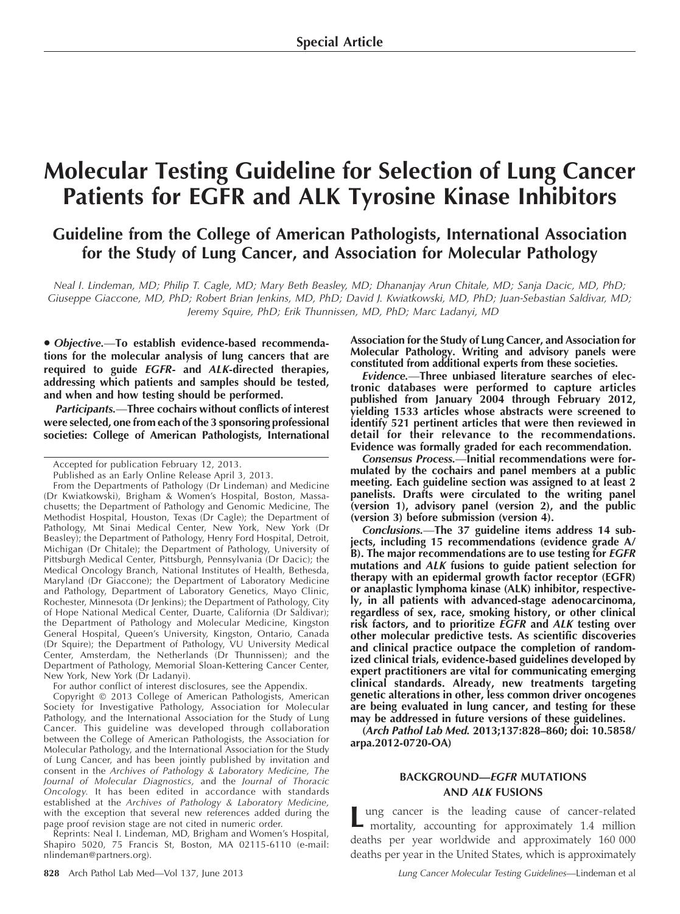# Molecular Testing Guideline for Selection of Lung Cancer Patients for EGFR and ALK Tyrosine Kinase Inhibitors

# Guideline from the College of American Pathologists, International Association for the Study of Lung Cancer, and Association for Molecular Pathology

Neal I. Lindeman, MD; Philip T. Cagle, MD; Mary Beth Beasley, MD; Dhananjay Arun Chitale, MD; Sanja Dacic, MD, PhD; Giuseppe Giaccone, MD, PhD; Robert Brian Jenkins, MD, PhD; David J. Kwiatkowski, MD, PhD; Juan-Sebastian Saldivar, MD; Jeremy Squire, PhD; Erik Thunnissen, MD, PhD; Marc Ladanyi, MD

· Objective.-To establish evidence-based recommendations for the molecular analysis of lung cancers that are required to guide EGFR- and ALK-directed therapies, addressing which patients and samples should be tested, and when and how testing should be performed.

Participants.—Three cochairs without conflicts of interest were selected, one from each of the 3 sponsoring professional societies: College of American Pathologists, International

Accepted for publication February 12, 2013.

For author conflict of interest disclosures, see the Appendix.

Copyright © 2013 College of American Pathologists, American Society for Investigative Pathology, Association for Molecular Pathology, and the International Association for the Study of Lung Cancer. This guideline was developed through collaboration between the College of American Pathologists, the Association for Molecular Pathology, and the International Association for the Study of Lung Cancer, and has been jointly published by invitation and consent in the Archives of Pathology & Laboratory Medicine, The Journal of Molecular Diagnostics, and the Journal of Thoracic Oncology. It has been edited in accordance with standards established at the Archives of Pathology & Laboratory Medicine, with the exception that several new references added during the page proof revision stage are not cited in numeric order.

Reprints: Neal I. Lindeman, MD, Brigham and Women's Hospital, Shapiro 5020, 75 Francis St, Boston, MA 02115-6110 (e-mail: nlindeman@partners.org).

Association for the Study of Lung Cancer, and Association for Molecular Pathology. Writing and advisory panels were constituted from additional experts from these societies.

Evidence.—Three unbiased literature searches of electronic databases were performed to capture articles published from January 2004 through February 2012, yielding 1533 articles whose abstracts were screened to identify 521 pertinent articles that were then reviewed in detail for their relevance to the recommendations. Evidence was formally graded for each recommendation.

Consensus Process.—Initial recommendations were formulated by the cochairs and panel members at a public meeting. Each guideline section was assigned to at least 2 panelists. Drafts were circulated to the writing panel (version 1), advisory panel (version 2), and the public (version 3) before submission (version 4).

Conclusions.—The 37 guideline items address 14 subjects, including 15 recommendations (evidence grade A/ B). The major recommendations are to use testing for EGFR mutations and ALK fusions to guide patient selection for therapy with an epidermal growth factor receptor (EGFR) or anaplastic lymphoma kinase (ALK) inhibitor, respectively, in all patients with advanced-stage adenocarcinoma, regardless of sex, race, smoking history, or other clinical risk factors, and to prioritize EGFR and ALK testing over other molecular predictive tests. As scientific discoveries and clinical practice outpace the completion of randomized clinical trials, evidence-based guidelines developed by expert practitioners are vital for communicating emerging clinical standards. Already, new treatments targeting genetic alterations in other, less common driver oncogenes are being evaluated in lung cancer, and testing for these may be addressed in future versions of these guidelines.

(Arch Pathol Lab Med. 2013;137:828–860; doi: 10.5858/ arpa.2012-0720-OA)

## BACKGROUND—EGFR MUTATIONS AND ALK FUSIONS

Lung cancer is the leading cause of cancer-related mortality, accounting for approximately 1.4 million deaths per year worldwide and approximately 160 000 deaths per year in the United States, which is approximately

Published as an Early Online Release April 3, 2013.

From the Departments of Pathology (Dr Lindeman) and Medicine (Dr Kwiatkowski), Brigham & Women's Hospital, Boston, Massachusetts; the Department of Pathology and Genomic Medicine, The Methodist Hospital, Houston, Texas (Dr Cagle); the Department of Pathology, Mt Sinai Medical Center, New York, New York (Dr Beasley); the Department of Pathology, Henry Ford Hospital, Detroit, Michigan (Dr Chitale); the Department of Pathology, University of Pittsburgh Medical Center, Pittsburgh, Pennsylvania (Dr Dacic); the Medical Oncology Branch, National Institutes of Health, Bethesda, Maryland (Dr Giaccone); the Department of Laboratory Medicine and Pathology, Department of Laboratory Genetics, Mayo Clinic, Rochester, Minnesota (Dr Jenkins); the Department of Pathology, City of Hope National Medical Center, Duarte, California (Dr Saldivar); the Department of Pathology and Molecular Medicine, Kingston General Hospital, Queen's University, Kingston, Ontario, Canada (Dr Squire); the Department of Pathology, VU University Medical Center, Amsterdam, the Netherlands (Dr Thunnissen); and the Department of Pathology, Memorial Sloan-Kettering Cancer Center, New York, New York (Dr Ladanyi).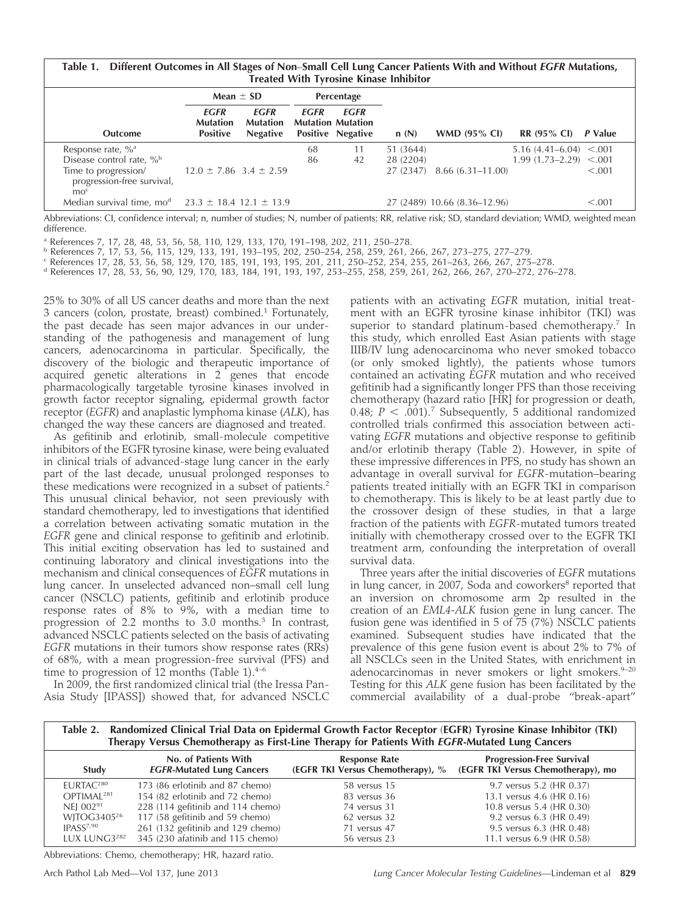| Table 1. Different Outcomes in All Stages of Non-Small Cell Lung Cancer Patients With and Without EGFR Mutations,<br><b>Treated With Tyrosine Kinase Inhibitor</b> |                                                   |                                                   |             |                                                              |                                     |                              |                                                    |                    |
|--------------------------------------------------------------------------------------------------------------------------------------------------------------------|---------------------------------------------------|---------------------------------------------------|-------------|--------------------------------------------------------------|-------------------------------------|------------------------------|----------------------------------------------------|--------------------|
|                                                                                                                                                                    | Mean $\pm$ SD                                     |                                                   |             | Percentage                                                   |                                     |                              |                                                    |                    |
| <b>Outcome</b>                                                                                                                                                     | <b>EGFR</b><br><b>Mutation</b><br><b>Positive</b> | <b>EGFR</b><br><b>Mutation</b><br><b>Negative</b> | <b>EGFR</b> | <b>EGFR</b><br><b>Mutation Mutation</b><br>Positive Negative | n(N)                                | <b>WMD</b> (95% CI)          | $RR(95\% CI)$                                      | P Value            |
| Response rate, $\%$ <sup>a</sup><br>Disease control rate, $\%^b$<br>Time to progression/<br>progression-free survival,<br>mo <sup>c</sup>                          | $12.0 \pm 7.86$ 3.4 $\pm$ 2.59                    |                                                   | 68<br>86    | 11<br>42                                                     | 51 (3644)<br>28 (2204)<br>27 (2347) | $8.66(6.31-11.00)$           | $5.16(4.41 - 6.04) < 0.001$<br>$1.99(1.73 - 2.29)$ | < 0.001<br>< 0.001 |
| Median survival time, mo <sup>d</sup> 23.3 $\pm$ 18.4 12.1 $\pm$ 13.9                                                                                              |                                                   |                                                   |             |                                                              |                                     | 27 (2489) 10.66 (8.36–12.96) |                                                    | < 0.001            |

Abbreviations: CI, confidence interval; n, number of studies; N, number of patients; RR, relative risk; SD, standard deviation; WMD, weighted mean difference.

<sup>a</sup> References 7, 17, 28, 48, 53, 56, 58, 110, 129, 133, 170, 191–198, 202, 211, 250–278.

<sup>b</sup> References 7, 17, 53, 56, 115, 129, 133, 191, 193–195, 202, 250–254, 258, 259, 261, 266, 267, 273–275, 277–279.

<sup>c</sup> References 17, 28, 53, 56, 58, 129, 170, 185, 191, 193, 195, 201, 211, 250–252, 254, 255, 261–263, 266, 267, 275–278.

<sup>d</sup> References 17, 28, 53, 56, 90, 129, 170, 183, 184, 191, 193, 197, 253–255, 258, 259, 261, 262, 266, 267, 270–272, 276–278.

25% to 30% of all US cancer deaths and more than the next 3 cancers (colon, prostate, breast) combined.<sup>1</sup> Fortunately, the past decade has seen major advances in our understanding of the pathogenesis and management of lung cancers, adenocarcinoma in particular. Specifically, the discovery of the biologic and therapeutic importance of acquired genetic alterations in 2 genes that encode pharmacologically targetable tyrosine kinases involved in growth factor receptor signaling, epidermal growth factor receptor (EGFR) and anaplastic lymphoma kinase (ALK), has changed the way these cancers are diagnosed and treated.

As gefitinib and erlotinib, small-molecule competitive inhibitors of the EGFR tyrosine kinase, were being evaluated in clinical trials of advanced-stage lung cancer in the early part of the last decade, unusual prolonged responses to these medications were recognized in a subset of patients.<sup>2</sup> This unusual clinical behavior, not seen previously with standard chemotherapy, led to investigations that identified a correlation between activating somatic mutation in the EGFR gene and clinical response to gefitinib and erlotinib. This initial exciting observation has led to sustained and continuing laboratory and clinical investigations into the mechanism and clinical consequences of EGFR mutations in lung cancer. In unselected advanced non–small cell lung cancer (NSCLC) patients, gefitinib and erlotinib produce response rates of 8% to 9%, with a median time to progression of 2.2 months to 3.0 months.<sup>3</sup> In contrast, advanced NSCLC patients selected on the basis of activating EGFR mutations in their tumors show response rates (RRs) of 68%, with a mean progression-free survival (PFS) and time to progression of 12 months (Table 1). $4-6$ 

In 2009, the first randomized clinical trial (the Iressa Pan-Asia Study [IPASS]) showed that, for advanced NSCLC patients with an activating EGFR mutation, initial treatment with an EGFR tyrosine kinase inhibitor (TKI) was superior to standard platinum-based chemotherapy.<sup>7</sup> In this study, which enrolled East Asian patients with stage IIIB/IV lung adenocarcinoma who never smoked tobacco (or only smoked lightly), the patients whose tumors contained an activating EGFR mutation and who received gefitinib had a significantly longer PFS than those receiving chemotherapy (hazard ratio [HR] for progression or death, 0.48;  $P < .001$ .<sup>7</sup> Subsequently, 5 additional randomized controlled trials confirmed this association between activating EGFR mutations and objective response to gefitinib and/or erlotinib therapy (Table 2). However, in spite of these impressive differences in PFS, no study has shown an advantage in overall survival for EGFR-mutation–bearing patients treated initially with an EGFR TKI in comparison to chemotherapy. This is likely to be at least partly due to the crossover design of these studies, in that a large fraction of the patients with EGFR-mutated tumors treated initially with chemotherapy crossed over to the EGFR TKI treatment arm, confounding the interpretation of overall survival data.

Three years after the initial discoveries of EGFR mutations in lung cancer, in 2007, Soda and coworkers $\delta$  reported that an inversion on chromosome arm 2p resulted in the creation of an EML4-ALK fusion gene in lung cancer. The fusion gene was identified in 5 of 75 (7%) NSCLC patients examined. Subsequent studies have indicated that the prevalence of this gene fusion event is about 2% to 7% of all NSCLCs seen in the United States, with enrichment in adenocarcinomas in never smokers or light smokers. $9-20$ Testing for this ALK gene fusion has been facilitated by the commercial availability of a dual-probe ''break-apart''

|                                                                                                                                               | Table 2. Randomized Clinical Trial Data on Epidermal Growth Factor Receptor (EGFR) Tyrosine Kinase Inhibitor (TKI)<br>Therapy Versus Chemotherapy as First-Line Therapy for Patients With EGFR-Mutated Lung Cancers |                                                                                              |                                                                                                                                                                         |  |  |  |  |
|-----------------------------------------------------------------------------------------------------------------------------------------------|---------------------------------------------------------------------------------------------------------------------------------------------------------------------------------------------------------------------|----------------------------------------------------------------------------------------------|-------------------------------------------------------------------------------------------------------------------------------------------------------------------------|--|--|--|--|
| Study                                                                                                                                         | No. of Patients With<br><b>EGFR-Mutated Lung Cancers</b>                                                                                                                                                            | <b>Response Rate</b>                                                                         | <b>Progression-Free Survival</b><br>(EGFR TKI Versus Chemotherapy), % (EGFR TKI Versus Chemotherapy), mo                                                                |  |  |  |  |
| FUIRTAC <sup>280</sup><br>OPTIMAL <sup>281</sup><br>NEI 002 <sup>91</sup><br>WJTOG3405 <sup>26</sup><br>IPASS <sup>7,90</sup><br>LUX LUNG3282 | 173 (86 erlotinib and 87 chemo)<br>154 (82 erlotinib and 72 chemo)<br>228 (114 gefitinib and 114 chemo)<br>117 (58 gefitinib and 59 chemo)<br>261 (132 gefitinib and 129 chemo)<br>345 (230 afatinib and 115 chemo) | 58 versus 15<br>83 versus 36<br>74 versus 31<br>62 versus 32<br>71 versus 47<br>56 versus 23 | 9.7 versus 5.2 (HR 0.37)<br>13.1 versus 4.6 (HR 0.16)<br>10.8 versus 5.4 (HR 0.30)<br>9.2 versus 6.3 (HR 0.49)<br>9.5 versus 6.3 (HR 0.48)<br>11.1 versus 6.9 (HR 0.58) |  |  |  |  |

Abbreviations: Chemo, chemotherapy; HR, hazard ratio.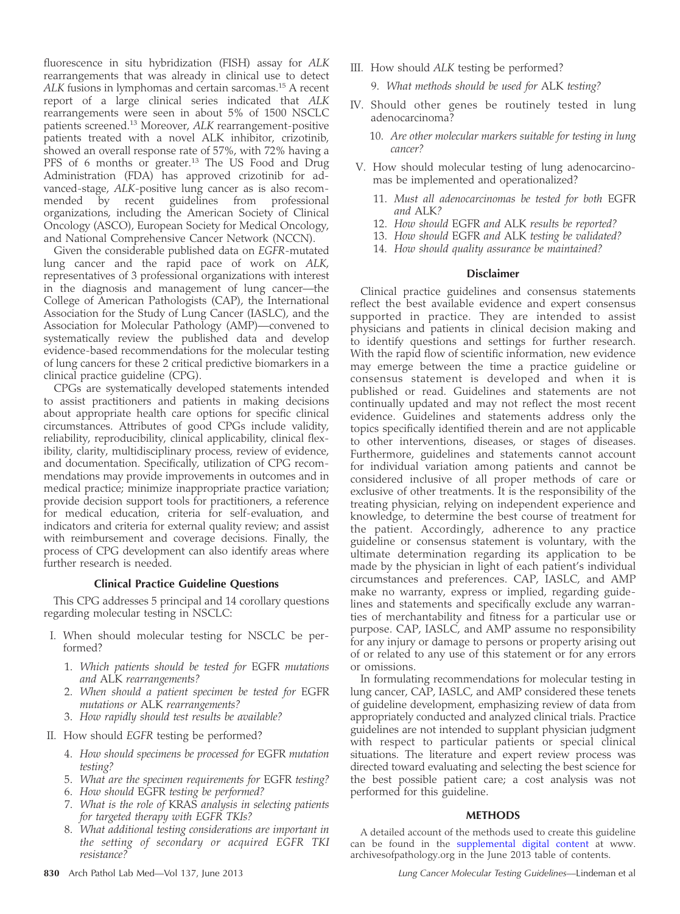fluorescence in situ hybridization (FISH) assay for ALK rearrangements that was already in clinical use to detect ALK fusions in lymphomas and certain sarcomas.<sup>15</sup> A recent report of a large clinical series indicated that ALK rearrangements were seen in about 5% of 1500 NSCLC patients screened.<sup>13</sup> Moreover, ALK rearrangement-positive patients treated with a novel ALK inhibitor, crizotinib, showed an overall response rate of 57%, with 72% having a PFS of 6 months or greater.<sup>13</sup> The US Food and Drug Administration (FDA) has approved crizotinib for advanced-stage, ALK-positive lung cancer as is also recommended by recent guidelines from professional organizations, including the American Society of Clinical Oncology (ASCO), European Society for Medical Oncology, and National Comprehensive Cancer Network (NCCN).

Given the considerable published data on EGFR-mutated lung cancer and the rapid pace of work on ALK, representatives of 3 professional organizations with interest in the diagnosis and management of lung cancer—the College of American Pathologists (CAP), the International Association for the Study of Lung Cancer (IASLC), and the Association for Molecular Pathology (AMP)—convened to systematically review the published data and develop evidence-based recommendations for the molecular testing of lung cancers for these 2 critical predictive biomarkers in a clinical practice guideline (CPG).

CPGs are systematically developed statements intended to assist practitioners and patients in making decisions about appropriate health care options for specific clinical circumstances. Attributes of good CPGs include validity, reliability, reproducibility, clinical applicability, clinical flexibility, clarity, multidisciplinary process, review of evidence, and documentation. Specifically, utilization of CPG recommendations may provide improvements in outcomes and in medical practice; minimize inappropriate practice variation; provide decision support tools for practitioners, a reference for medical education, criteria for self-evaluation, and indicators and criteria for external quality review; and assist with reimbursement and coverage decisions. Finally, the process of CPG development can also identify areas where further research is needed.

## Clinical Practice Guideline Questions

This CPG addresses 5 principal and 14 corollary questions regarding molecular testing in NSCLC:

- I. When should molecular testing for NSCLC be performed?
	- 1. Which patients should be tested for EGFR mutations and ALK rearrangements?
	- 2. When should a patient specimen be tested for EGFR mutations or ALK rearrangements?
	- 3. How rapidly should test results be available?
- II. How should EGFR testing be performed?
	- 4. How should specimens be processed for EGFR mutation testing?
	- 5. What are the specimen requirements for EGFR testing?
	- 6. How should EGFR testing be performed?
	- 7. What is the role of KRAS analysis in selecting patients for targeted therapy with EGFR TKIs?
	- 8. What additional testing considerations are important in the setting of secondary or acquired EGFR TKI resistance?

III. How should ALK testing be performed?

9. What methods should be used for ALK testing?

- IV. Should other genes be routinely tested in lung adenocarcinoma?
	- 10. Are other molecular markers suitable for testing in lung cancer?
- V. How should molecular testing of lung adenocarcinomas be implemented and operationalized?
	- 11. Must all adenocarcinomas be tested for both EGFR and ALK?
	- 12. How should EGFR and ALK results be reported?
	- 13. How should EGFR and ALK testing be validated?
	- 14. How should quality assurance be maintained?

#### Disclaimer

Clinical practice guidelines and consensus statements reflect the best available evidence and expert consensus supported in practice. They are intended to assist physicians and patients in clinical decision making and to identify questions and settings for further research. With the rapid flow of scientific information, new evidence may emerge between the time a practice guideline or consensus statement is developed and when it is published or read. Guidelines and statements are not continually updated and may not reflect the most recent evidence. Guidelines and statements address only the topics specifically identified therein and are not applicable to other interventions, diseases, or stages of diseases. Furthermore, guidelines and statements cannot account for individual variation among patients and cannot be considered inclusive of all proper methods of care or exclusive of other treatments. It is the responsibility of the treating physician, relying on independent experience and knowledge, to determine the best course of treatment for the patient. Accordingly, adherence to any practice guideline or consensus statement is voluntary, with the ultimate determination regarding its application to be made by the physician in light of each patient's individual circumstances and preferences. CAP, IASLC, and AMP make no warranty, express or implied, regarding guidelines and statements and specifically exclude any warranties of merchantability and fitness for a particular use or purpose. CAP, IASLC, and AMP assume no responsibility for any injury or damage to persons or property arising out of or related to any use of this statement or for any errors or omissions.

In formulating recommendations for molecular testing in lung cancer, CAP, IASLC, and AMP considered these tenets of guideline development, emphasizing review of data from appropriately conducted and analyzed clinical trials. Practice guidelines are not intended to supplant physician judgment with respect to particular patients or special clinical situations. The literature and expert review process was directed toward evaluating and selecting the best science for the best possible patient care; a cost analysis was not performed for this guideline.

#### METHODS

A detailed account of the methods used to create this guideline can be found in the [supplemental digital content](dx.doi.org/10.5858/arpa.2012-0720-OA.s1) at www. archivesofpathology.org in the June 2013 table of contents.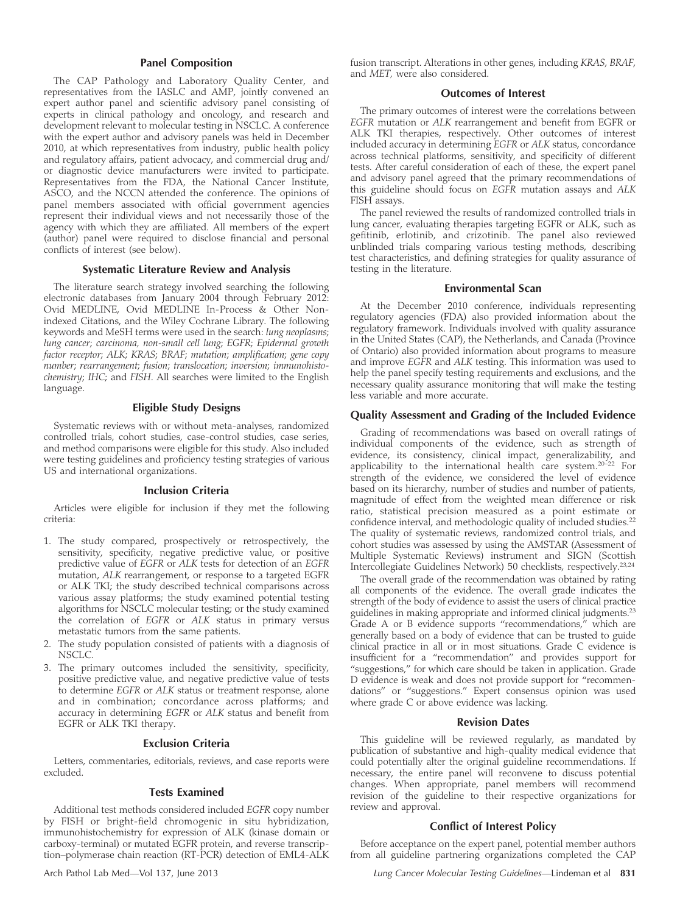#### Panel Composition

The CAP Pathology and Laboratory Quality Center, and representatives from the IASLC and AMP, jointly convened an expert author panel and scientific advisory panel consisting of experts in clinical pathology and oncology, and research and development relevant to molecular testing in NSCLC. A conference with the expert author and advisory panels was held in December 2010, at which representatives from industry, public health policy and regulatory affairs, patient advocacy, and commercial drug and/ or diagnostic device manufacturers were invited to participate. Representatives from the FDA, the National Cancer Institute, ASCO, and the NCCN attended the conference. The opinions of panel members associated with official government agencies represent their individual views and not necessarily those of the agency with which they are affiliated. All members of the expert (author) panel were required to disclose financial and personal conflicts of interest (see below).

#### Systematic Literature Review and Analysis

The literature search strategy involved searching the following electronic databases from January 2004 through February 2012: Ovid MEDLINE, Ovid MEDLINE In-Process & Other Nonindexed Citations, and the Wiley Cochrane Library. The following keywords and MeSH terms were used in the search: lung neoplasms; lung cancer; carcinoma, non-small cell lung; EGFR; Epidermal growth factor receptor; ALK; KRAS; BRAF; mutation; amplification; gene copy number; rearrangement; fusion; translocation; inversion; immunohistochemistry; IHC; and FISH. All searches were limited to the English language.

#### Eligible Study Designs

Systematic reviews with or without meta-analyses, randomized controlled trials, cohort studies, case-control studies, case series, and method comparisons were eligible for this study. Also included were testing guidelines and proficiency testing strategies of various US and international organizations.

#### Inclusion Criteria

Articles were eligible for inclusion if they met the following criteria:

- 1. The study compared, prospectively or retrospectively, the sensitivity, specificity, negative predictive value, or positive predictive value of EGFR or ALK tests for detection of an EGFR mutation, ALK rearrangement, or response to a targeted EGFR or ALK TKI; the study described technical comparisons across various assay platforms; the study examined potential testing algorithms for NSCLC molecular testing; or the study examined the correlation of EGFR or ALK status in primary versus metastatic tumors from the same patients.
- 2. The study population consisted of patients with a diagnosis of NSCLC.
- 3. The primary outcomes included the sensitivity, specificity, positive predictive value, and negative predictive value of tests to determine EGFR or ALK status or treatment response, alone and in combination; concordance across platforms; and accuracy in determining EGFR or ALK status and benefit from EGFR or ALK TKI therapy.

#### Exclusion Criteria

Letters, commentaries, editorials, reviews, and case reports were excluded.

#### Tests Examined

Additional test methods considered included EGFR copy number by FISH or bright-field chromogenic in situ hybridization, immunohistochemistry for expression of ALK (kinase domain or carboxy-terminal) or mutated EGFR protein, and reverse transcription–polymerase chain reaction (RT-PCR) detection of EML4-ALK

fusion transcript. Alterations in other genes, including KRAS, BRAF, and MET, were also considered.

#### Outcomes of Interest

The primary outcomes of interest were the correlations between EGFR mutation or ALK rearrangement and benefit from EGFR or ALK TKI therapies, respectively. Other outcomes of interest included accuracy in determining EGFR or ALK status, concordance across technical platforms, sensitivity, and specificity of different tests. After careful consideration of each of these, the expert panel and advisory panel agreed that the primary recommendations of this guideline should focus on EGFR mutation assays and ALK FISH assays.

The panel reviewed the results of randomized controlled trials in lung cancer, evaluating therapies targeting EGFR or ALK, such as gefitinib, erlotinib, and crizotinib. The panel also reviewed unblinded trials comparing various testing methods, describing test characteristics, and defining strategies for quality assurance of testing in the literature.

#### Environmental Scan

At the December 2010 conference, individuals representing regulatory agencies (FDA) also provided information about the regulatory framework. Individuals involved with quality assurance in the United States (CAP), the Netherlands, and Canada (Province of Ontario) also provided information about programs to measure and improve EGFR and ALK testing. This information was used to help the panel specify testing requirements and exclusions, and the necessary quality assurance monitoring that will make the testing less variable and more accurate.

#### Quality Assessment and Grading of the Included Evidence

Grading of recommendations was based on overall ratings of individual components of the evidence, such as strength of evidence, its consistency, clinical impact, generalizability, and applicability to the international health care system.<sup>20-22</sup> For strength of the evidence, we considered the level of evidence based on its hierarchy, number of studies and number of patients, magnitude of effect from the weighted mean difference or risk ratio, statistical precision measured as a point estimate or confidence interval, and methodologic quality of included studies.<sup>22</sup> The quality of systematic reviews, randomized control trials, and cohort studies was assessed by using the AMSTAR (Assessment of Multiple Systematic Reviews) instrument and SIGN (Scottish Intercollegiate Guidelines Network) 50 checklists, respectively.23,24

The overall grade of the recommendation was obtained by rating all components of the evidence. The overall grade indicates the strength of the body of evidence to assist the users of clinical practice guidelines in making appropriate and informed clinical judgments.<sup>23</sup> Grade A or B evidence supports ''recommendations,'' which are generally based on a body of evidence that can be trusted to guide clinical practice in all or in most situations. Grade C evidence is insufficient for a ''recommendation'' and provides support for ''suggestions,'' for which care should be taken in application. Grade D evidence is weak and does not provide support for ''recommendations'' or ''suggestions.'' Expert consensus opinion was used where grade C or above evidence was lacking.

#### Revision Dates

This guideline will be reviewed regularly, as mandated by publication of substantive and high-quality medical evidence that could potentially alter the original guideline recommendations. If necessary, the entire panel will reconvene to discuss potential changes. When appropriate, panel members will recommend revision of the guideline to their respective organizations for review and approval.

#### Conflict of Interest Policy

Before acceptance on the expert panel, potential member authors from all guideline partnering organizations completed the CAP

Arch Pathol Lab Med—Vol 137, June 2013 **Lung Cancer Molecular Testing Guidelines—Lindeman et al 831** Arch Pathol Lab Med—Vol 137, June 2013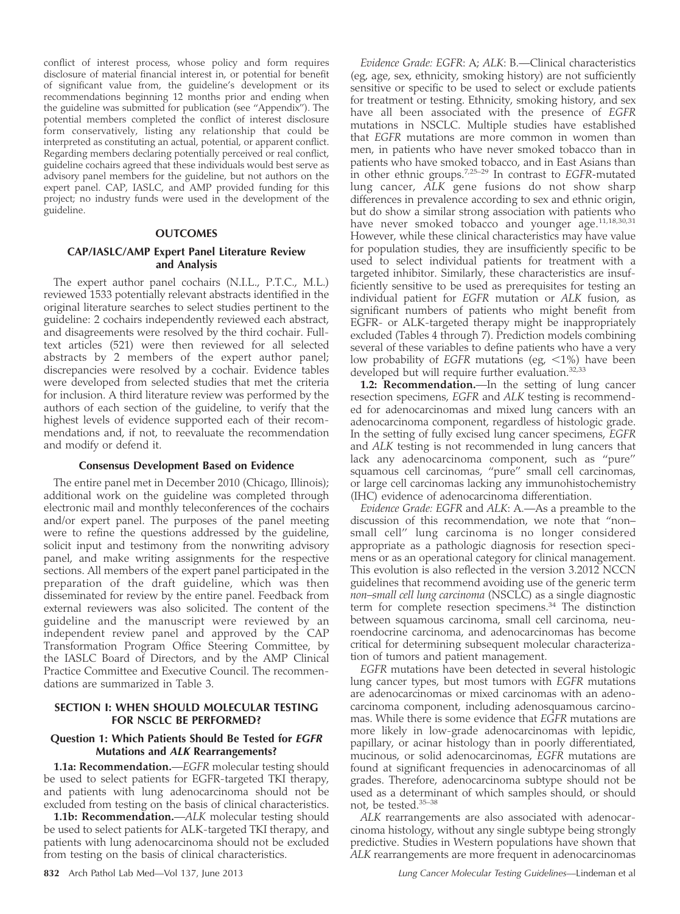conflict of interest process, whose policy and form requires disclosure of material financial interest in, or potential for benefit of significant value from, the guideline's development or its recommendations beginning 12 months prior and ending when the guideline was submitted for publication (see ''Appendix''). The potential members completed the conflict of interest disclosure form conservatively, listing any relationship that could be interpreted as constituting an actual, potential, or apparent conflict. Regarding members declaring potentially perceived or real conflict, guideline cochairs agreed that these individuals would best serve as advisory panel members for the guideline, but not authors on the expert panel. CAP, IASLC, and AMP provided funding for this project; no industry funds were used in the development of the guideline.

#### **OUTCOMES**

## CAP/IASLC/AMP Expert Panel Literature Review and Analysis

The expert author panel cochairs (N.I.L., P.T.C., M.L.) reviewed 1533 potentially relevant abstracts identified in the original literature searches to select studies pertinent to the guideline: 2 cochairs independently reviewed each abstract, and disagreements were resolved by the third cochair. Fulltext articles (521) were then reviewed for all selected abstracts by 2 members of the expert author panel; discrepancies were resolved by a cochair. Evidence tables were developed from selected studies that met the criteria for inclusion. A third literature review was performed by the authors of each section of the guideline, to verify that the highest levels of evidence supported each of their recommendations and, if not, to reevaluate the recommendation and modify or defend it.

#### Consensus Development Based on Evidence

The entire panel met in December 2010 (Chicago, Illinois); additional work on the guideline was completed through electronic mail and monthly teleconferences of the cochairs and/or expert panel. The purposes of the panel meeting were to refine the questions addressed by the guideline, solicit input and testimony from the nonwriting advisory panel, and make writing assignments for the respective sections. All members of the expert panel participated in the preparation of the draft guideline, which was then disseminated for review by the entire panel. Feedback from external reviewers was also solicited. The content of the guideline and the manuscript were reviewed by an independent review panel and approved by the CAP Transformation Program Office Steering Committee, by the IASLC Board of Directors, and by the AMP Clinical Practice Committee and Executive Council. The recommendations are summarized in Table 3.

## SECTION I: WHEN SHOULD MOLECULAR TESTING FOR NSCLC BE PERFORMED?

## Question 1: Which Patients Should Be Tested for EGFR Mutations and ALK Rearrangements?

1.1a: Recommendation.—EGFR molecular testing should be used to select patients for EGFR-targeted TKI therapy, and patients with lung adenocarcinoma should not be excluded from testing on the basis of clinical characteristics.

1.1b: Recommendation.—ALK molecular testing should be used to select patients for ALK-targeted TKI therapy, and patients with lung adenocarcinoma should not be excluded from testing on the basis of clinical characteristics.

Evidence Grade: EGFR: A; ALK: B.—Clinical characteristics (eg, age, sex, ethnicity, smoking history) are not sufficiently sensitive or specific to be used to select or exclude patients for treatment or testing. Ethnicity, smoking history, and sex have all been associated with the presence of EGFR mutations in NSCLC. Multiple studies have established that EGFR mutations are more common in women than men, in patients who have never smoked tobacco than in patients who have smoked tobacco, and in East Asians than in other ethnic groups.<sup>7,25-29</sup> In contrast to EGFR-mutated lung cancer, ALK gene fusions do not show sharp differences in prevalence according to sex and ethnic origin, but do show a similar strong association with patients who have never smoked tobacco and younger age.<sup>11,18,30,31</sup> However, while these clinical characteristics may have value for population studies, they are insufficiently specific to be used to select individual patients for treatment with a targeted inhibitor. Similarly, these characteristics are insufficiently sensitive to be used as prerequisites for testing an individual patient for EGFR mutation or ALK fusion, as significant numbers of patients who might benefit from EGFR- or ALK-targeted therapy might be inappropriately excluded (Tables 4 through 7). Prediction models combining several of these variables to define patients who have a very low probability of EGFR mutations (eg,  $\langle 1\% \rangle$  have been developed but will require further evaluation.<sup>32,33</sup>

**1.2: Recommendation.**—In the setting of lung cancer resection specimens, EGFR and ALK testing is recommended for adenocarcinomas and mixed lung cancers with an adenocarcinoma component, regardless of histologic grade. In the setting of fully excised lung cancer specimens, EGFR and ALK testing is not recommended in lung cancers that lack any adenocarcinoma component, such as ''pure'' squamous cell carcinomas, ''pure'' small cell carcinomas, or large cell carcinomas lacking any immunohistochemistry (IHC) evidence of adenocarcinoma differentiation.

Evidence Grade: EGFR and ALK: A.—As a preamble to the discussion of this recommendation, we note that ''non– small cell'' lung carcinoma is no longer considered appropriate as a pathologic diagnosis for resection specimens or as an operational category for clinical management. This evolution is also reflected in the version 3.2012 NCCN guidelines that recommend avoiding use of the generic term non–small cell lung carcinoma (NSCLC) as a single diagnostic term for complete resection specimens.34 The distinction between squamous carcinoma, small cell carcinoma, neuroendocrine carcinoma, and adenocarcinomas has become critical for determining subsequent molecular characterization of tumors and patient management.

EGFR mutations have been detected in several histologic lung cancer types, but most tumors with EGFR mutations are adenocarcinomas or mixed carcinomas with an adenocarcinoma component, including adenosquamous carcinomas. While there is some evidence that EGFR mutations are more likely in low-grade adenocarcinomas with lepidic, papillary, or acinar histology than in poorly differentiated, mucinous, or solid adenocarcinomas, EGFR mutations are found at significant frequencies in adenocarcinomas of all grades. Therefore, adenocarcinoma subtype should not be used as a determinant of which samples should, or should not, be tested.35–38

ALK rearrangements are also associated with adenocarcinoma histology, without any single subtype being strongly predictive. Studies in Western populations have shown that ALK rearrangements are more frequent in adenocarcinomas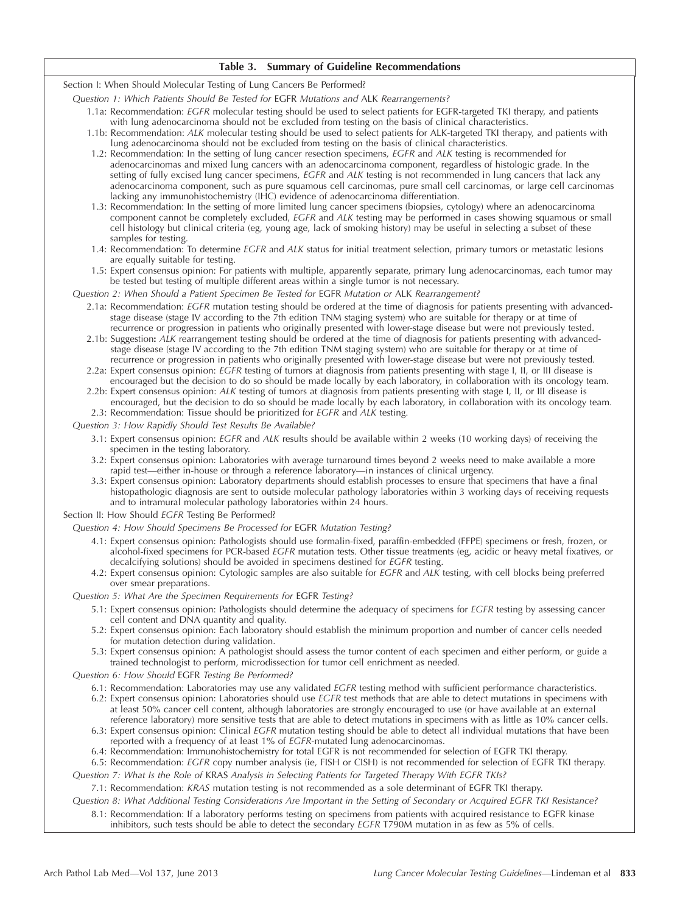#### Table 3. Summary of Guideline Recommendations

Section I: When Should Molecular Testing of Lung Cancers Be Performed?

- Question 1: Which Patients Should Be Tested for EGFR Mutations and ALK Rearrangements?
	- 1.1a: Recommendation: EGFR molecular testing should be used to select patients for EGFR-targeted TKI therapy, and patients with lung adenocarcinoma should not be excluded from testing on the basis of clinical characteristics.
	- 1.1b: Recommendation: ALK molecular testing should be used to select patients for ALK-targeted TKI therapy, and patients with lung adenocarcinoma should not be excluded from testing on the basis of clinical characteristics.
	- 1.2: Recommendation: In the setting of lung cancer resection specimens, EGFR and ALK testing is recommended for adenocarcinomas and mixed lung cancers with an adenocarcinoma component, regardless of histologic grade. In the setting of fully excised lung cancer specimens, EGFR and ALK testing is not recommended in lung cancers that lack any adenocarcinoma component, such as pure squamous cell carcinomas, pure small cell carcinomas, or large cell carcinomas lacking any immunohistochemistry (IHC) evidence of adenocarcinoma differentiation.
	- 1.3: Recommendation: In the setting of more limited lung cancer specimens (biopsies, cytology) where an adenocarcinoma component cannot be completely excluded, EGFR and ALK testing may be performed in cases showing squamous or small cell histology but clinical criteria (eg, young age, lack of smoking history) may be useful in selecting a subset of these samples for testing.
	- 1.4: Recommendation: To determine EGFR and ALK status for initial treatment selection, primary tumors or metastatic lesions are equally suitable for testing.
	- 1.5: Expert consensus opinion: For patients with multiple, apparently separate, primary lung adenocarcinomas, each tumor may be tested but testing of multiple different areas within a single tumor is not necessary.
- Question 2: When Should a Patient Specimen Be Tested for EGFR Mutation or ALK Rearrangement?
	- 2.1a: Recommendation: EGFR mutation testing should be ordered at the time of diagnosis for patients presenting with advancedstage disease (stage IV according to the 7th edition TNM staging system) who are suitable for therapy or at time of recurrence or progression in patients who originally presented with lower-stage disease but were not previously tested.
	- 2.1b: Suggestion: ALK rearrangement testing should be ordered at the time of diagnosis for patients presenting with advancedstage disease (stage IV according to the 7th edition TNM staging system) who are suitable for therapy or at time of recurrence or progression in patients who originally presented with lower-stage disease but were not previously tested.
	- 2.2a: Expert consensus opinion: EGFR testing of tumors at diagnosis from patients presenting with stage I, II, or III disease is encouraged but the decision to do so should be made locally by each laboratory, in collaboration with its oncology team.
	- 2.2b: Expert consensus opinion: ALK testing of tumors at diagnosis from patients presenting with stage I, II, or III disease is encouraged, but the decision to do so should be made locally by each laboratory, in collaboration with its oncology team.
	- 2.3: Recommendation: Tissue should be prioritized for EGFR and ALK testing.
- Question 3: How Rapidly Should Test Results Be Available?
	- 3.1: Expert consensus opinion: EGFR and ALK results should be available within 2 weeks (10 working days) of receiving the specimen in the testing laboratory.
	- 3.2: Expert consensus opinion: Laboratories with average turnaround times beyond 2 weeks need to make available a more rapid test—either in-house or through a reference laboratory—in instances of clinical urgency.
	- 3.3: Expert consensus opinion: Laboratory departments should establish processes to ensure that specimens that have a final histopathologic diagnosis are sent to outside molecular pathology laboratories within 3 working days of receiving requests and to intramural molecular pathology laboratories within 24 hours.

Section II: How Should EGFR Testing Be Performed?

Question 4: How Should Specimens Be Processed for EGFR Mutation Testing?

- 4.1: Expert consensus opinion: Pathologists should use formalin-fixed, paraffin-embedded (FFPE) specimens or fresh, frozen, or alcohol-fixed specimens for PCR-based EGFR mutation tests. Other tissue treatments (eg, acidic or heavy metal fixatives, or decalcifying solutions) should be avoided in specimens destined for EGFR testing.
- 4.2: Expert consensus opinion: Cytologic samples are also suitable for *EGFR* and ALK testing, with cell blocks being preferred over smear preparations.

#### Question 5: What Are the Specimen Requirements for EGFR Testing?

- 5.1: Expert consensus opinion: Pathologists should determine the adequacy of specimens for EGFR testing by assessing cancer cell content and DNA quantity and quality.
- 5.2: Expert consensus opinion: Each laboratory should establish the minimum proportion and number of cancer cells needed for mutation detection during validation.
- 5.3: Expert consensus opinion: A pathologist should assess the tumor content of each specimen and either perform, or guide a trained technologist to perform, microdissection for tumor cell enrichment as needed.

Question 6: How Should EGFR Testing Be Performed?

- 6.1: Recommendation: Laboratories may use any validated EGFR testing method with sufficient performance characteristics.
- 6.2: Expert consensus opinion: Laboratories should use EGFR test methods that are able to detect mutations in specimens with at least 50% cancer cell content, although laboratories are strongly encouraged to use (or have available at an external reference laboratory) more sensitive tests that are able to detect mutations in specimens with as little as 10% cancer cells.
- 6.3: Expert consensus opinion: Clinical EGFR mutation testing should be able to detect all individual mutations that have been reported with a frequency of at least 1% of EGFR-mutated lung adenocarcinomas.
- 6.4: Recommendation: Immunohistochemistry for total EGFR is not recommended for selection of EGFR TKI therapy.
- 6.5: Recommendation: EGFR copy number analysis (ie, FISH or CISH) is not recommended for selection of EGFR TKI therapy. Question 7: What Is the Role of KRAS Analysis in Selecting Patients for Targeted Therapy With EGFR TKIs?

7.1: Recommendation: KRAS mutation testing is not recommended as a sole determinant of EGFR TKI therapy.

Question 8: What Additional Testing Considerations Are Important in the Setting of Secondary or Acquired EGFR TKI Resistance? 8.1: Recommendation: If a laboratory performs testing on specimens from patients with acquired resistance to EGFR kinase inhibitors, such tests should be able to detect the secondary EGFR T790M mutation in as few as 5% of cells.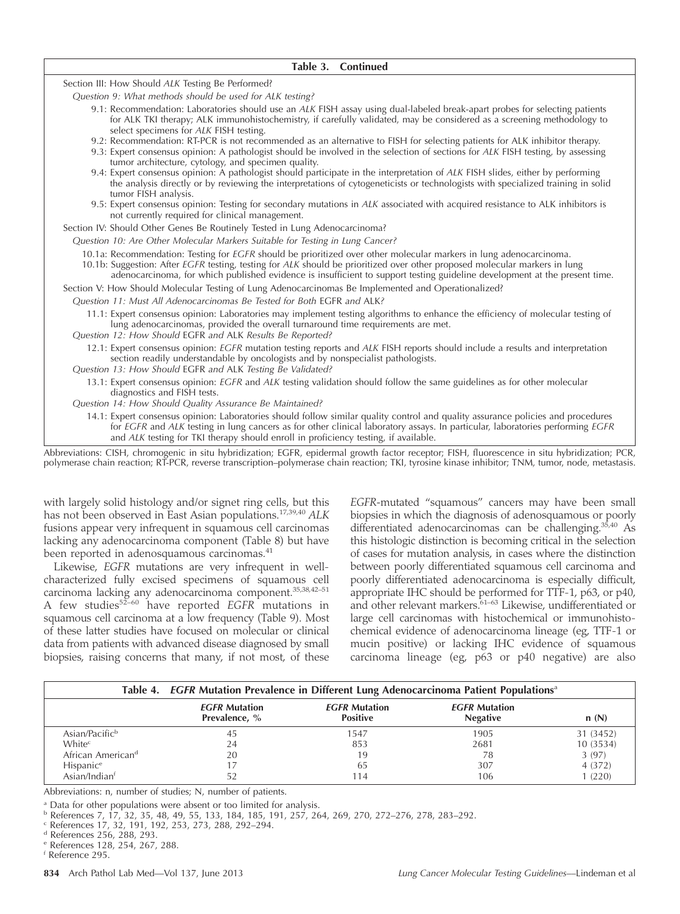| Table 3. Continued                                                                                                                                                                                                                                                                                                                                                             |
|--------------------------------------------------------------------------------------------------------------------------------------------------------------------------------------------------------------------------------------------------------------------------------------------------------------------------------------------------------------------------------|
| Section III: How Should ALK Testing Be Performed?                                                                                                                                                                                                                                                                                                                              |
| Question 9: What methods should be used for ALK testing?                                                                                                                                                                                                                                                                                                                       |
| 9.1: Recommendation: Laboratories should use an ALK FISH assay using dual-labeled break-apart probes for selecting patients<br>for ALK TKI therapy; ALK immunohistochemistry, if carefully validated, may be considered as a screening methodology to<br>select specimens for ALK FISH testing.                                                                                |
| 9.2: Recommendation: RT-PCR is not recommended as an alternative to FISH for selecting patients for ALK inhibitor therapy.<br>9.3: Expert consensus opinion: A pathologist should be involved in the selection of sections for ALK FISH testing, by assessing<br>tumor architecture, cytology, and specimen quality.                                                           |
| 9.4: Expert consensus opinion: A pathologist should participate in the interpretation of ALK FISH slides, either by performing<br>the analysis directly or by reviewing the interpretations of cytogeneticists or technologists with specialized training in solid<br>tumor FISH analysis.                                                                                     |
| 9.5: Expert consensus opinion: Testing for secondary mutations in ALK associated with acquired resistance to ALK inhibitors is<br>not currently required for clinical management.                                                                                                                                                                                              |
| Section IV: Should Other Genes Be Routinely Tested in Lung Adenocarcinoma?                                                                                                                                                                                                                                                                                                     |
| Question 10: Are Other Molecular Markers Suitable for Testing in Lung Cancer?                                                                                                                                                                                                                                                                                                  |
| 10.1a: Recommendation: Testing for EGFR should be prioritized over other molecular markers in lung adenocarcinoma.<br>10.1b: Suggestion: After EGFR testing, testing for ALK should be prioritized over other proposed molecular markers in lung<br>adenocarcinoma, for which published evidence is insufficient to support testing guideline development at the present time. |
| Section V: How Should Molecular Testing of Lung Adenocarcinomas Be Implemented and Operationalized?                                                                                                                                                                                                                                                                            |
| Ouestion 11: Must All Adenocarcinomas Be Tested for Both EGFR and ALK?                                                                                                                                                                                                                                                                                                         |
| 11.1: Expert consensus opinion: Laboratories may implement testing algorithms to enhance the efficiency of molecular testing of<br>lung adenocarcinomas, provided the overall turnaround time requirements are met.<br>Question 12: How Should EGFR and ALK Results Be Reported?                                                                                               |
| 12.1: Expert consensus opinion: EGFR mutation testing reports and ALK FISH reports should include a results and interpretation<br>section readily understandable by oncologists and by nonspecialist pathologists.<br>Question 13: How Should EGFR and ALK Testing Be Validated?                                                                                               |
| 13.1: Expert consensus opinion: EGFR and ALK testing validation should follow the same guidelines as for other molecular<br>diagnostics and FISH tests.<br>Question 14: How Should Quality Assurance Be Maintained?                                                                                                                                                            |
| 14.1: Expert consensus opinion: Laboratories should follow similar quality control and quality assurance policies and procedures<br>for EGFR and ALK testing in lung cancers as for other clinical laboratory assays. In particular, laboratories performing EGFR<br>and ALK testing for TKI therapy should enroll in proficiency testing, if available.                       |
| Abbreviations: CISH, chromogenic in situ hybridization; EGFR, epidermal growth factor receptor; FISH, fluorescence in situ hybridization; PCR,<br>polymerase chain reaction; RT-PCR, reverse transcription-polymerase chain reaction; TKI, tyrosine kinase inhibitor; TNM, tumor, node, metastasis.                                                                            |

with largely solid histology and/or signet ring cells, but this has not been observed in East Asian populations.<sup>17,39,40</sup> ALK fusions appear very infrequent in squamous cell carcinomas lacking any adenocarcinoma component (Table 8) but have been reported in adenosquamous carcinomas.<sup>41</sup>

Likewise, EGFR mutations are very infrequent in wellcharacterized fully excised specimens of squamous cell carcinoma lacking any adenocarcinoma component.35,38,42–51 A few studies<sup>52–60</sup> have reported EGFR mutations in squamous cell carcinoma at a low frequency (Table 9). Most of these latter studies have focused on molecular or clinical data from patients with advanced disease diagnosed by small biopsies, raising concerns that many, if not most, of these

EGFR-mutated ''squamous'' cancers may have been small biopsies in which the diagnosis of adenosquamous or poorly differentiated adenocarcinomas can be challenging.<sup>35,40</sup> As this histologic distinction is becoming critical in the selection of cases for mutation analysis, in cases where the distinction between poorly differentiated squamous cell carcinoma and poorly differentiated adenocarcinoma is especially difficult, appropriate IHC should be performed for TTF-1, p63, or p40, and other relevant markers.<sup>61–63</sup> Likewise, undifferentiated or large cell carcinomas with histochemical or immunohistochemical evidence of adenocarcinoma lineage (eg, TTF-1 or mucin positive) or lacking IHC evidence of squamous carcinoma lineage (eg, p63 or p40 negative) are also

|                               | Table 4. EGFR Mutation Prevalence in Different Lung Adenocarcinoma Patient Populations <sup>a</sup> |                                         |                                         |           |  |  |
|-------------------------------|-----------------------------------------------------------------------------------------------------|-----------------------------------------|-----------------------------------------|-----------|--|--|
|                               | <b>EGFR</b> Mutation<br>Prevalence, %                                                               | <b>EGFR</b> Mutation<br><b>Positive</b> | <b>EGFR Mutation</b><br><b>Negative</b> | n(N)      |  |  |
| Asian/Pacific <sup>b</sup>    |                                                                                                     | 547                                     | 1905                                    | 31 (3452) |  |  |
| White <sup>c</sup>            | 24                                                                                                  | 853                                     | 2681                                    | 10 (3534) |  |  |
| African American <sup>d</sup> | 20                                                                                                  | 19                                      | 78                                      | 3(97)     |  |  |
| Hispanic <sup>e</sup>         |                                                                                                     | 65                                      | 307                                     | 4 (372)   |  |  |
| Asian/Indianf                 |                                                                                                     | 14                                      | 106                                     | 1(220)    |  |  |

Abbreviations: n, number of studies; N, number of patients.

<sup>a</sup> Data for other populations were absent or too limited for analysis.

<sup>b</sup> References 7, 17, 32, 35, 48, 49, 55, 133, 184, 185, 191, 257, 264, 269, 270, 272–276, 278, 283–292.

<sup>c</sup> References 17, 32, 191, 192, 253, 273, 288, 292–294.

<sup>d</sup> References 256, 288, 293.

<sup>e</sup> References 128, 254, 267, 288.

<sup>f</sup> Reference 295.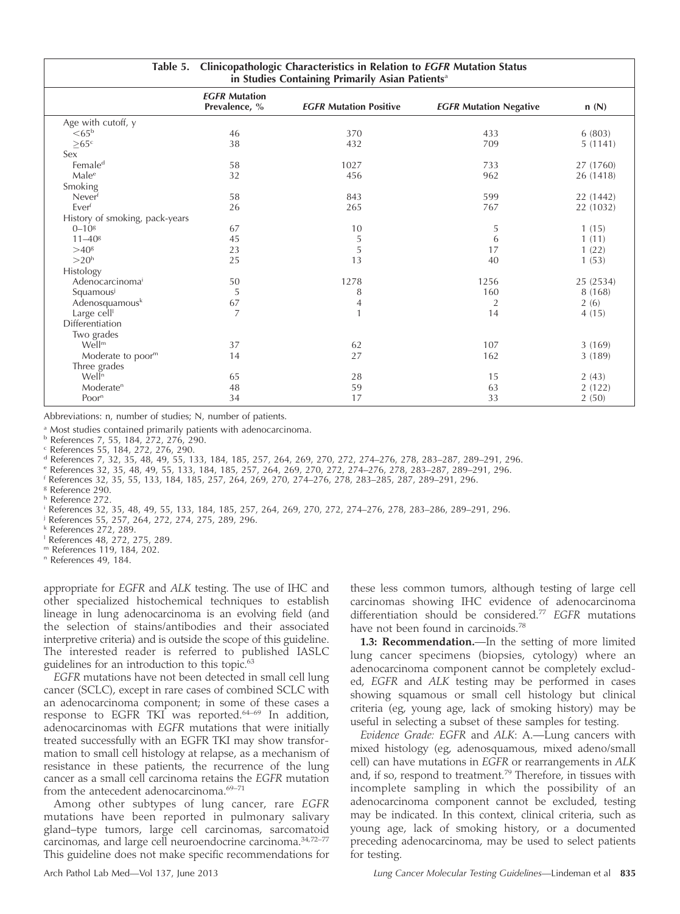| Table 5. Chincopathologic Characteristics in Relation to EGTA (Mutation Status<br>in Studies Containing Primarily Asian Patients <sup>a</sup> |                                       |                               |                               |           |  |  |
|-----------------------------------------------------------------------------------------------------------------------------------------------|---------------------------------------|-------------------------------|-------------------------------|-----------|--|--|
|                                                                                                                                               | <b>EGFR Mutation</b><br>Prevalence, % | <b>EGFR Mutation Positive</b> | <b>EGFR Mutation Negative</b> | n(N)      |  |  |
| Age with cutoff, y                                                                                                                            |                                       |                               |                               |           |  |  |
| $\leq 65^{\rm b}$                                                                                                                             | 46                                    | 370                           | 433                           | 6(803)    |  |  |
| $\geq$ 65 $\rm{c}$                                                                                                                            | 38                                    | 432                           | 709                           | 5(1141)   |  |  |
| Sex                                                                                                                                           |                                       |                               |                               |           |  |  |
| Female <sup>d</sup>                                                                                                                           | 58                                    | 1027                          | 733                           | 27 (1760) |  |  |
| Male <sup>e</sup>                                                                                                                             | 32                                    | 456                           | 962                           | 26 (1418) |  |  |
| Smoking                                                                                                                                       |                                       |                               |                               |           |  |  |
| Never                                                                                                                                         | 58                                    | 843                           | 599                           | 22 (1442) |  |  |
| Ever <sup>f</sup>                                                                                                                             | 26                                    | 265                           | 767                           | 22 (1032) |  |  |
| History of smoking, pack-years                                                                                                                |                                       |                               |                               |           |  |  |
| $0 - 108$                                                                                                                                     | 67                                    | 10                            | 5                             | 1(15)     |  |  |
| $11 - 40$ <sup>g</sup>                                                                                                                        | 45                                    | 5                             | 6                             | 1(11)     |  |  |
| $>40$ <sup>g</sup>                                                                                                                            | 23                                    | $\sqrt{5}$                    | 17                            | 1(22)     |  |  |
| >20 <sup>h</sup>                                                                                                                              | 25                                    | 13                            | 40                            | 1(53)     |  |  |
| Histology                                                                                                                                     |                                       |                               |                               |           |  |  |
| Adenocarcinomai                                                                                                                               | 50                                    | 1278                          | 1256                          | 25 (2534) |  |  |
| Squamousi                                                                                                                                     | 5                                     | 8                             | 160                           | 8 (168)   |  |  |
| Adenosquamous <sup>k</sup>                                                                                                                    | 67                                    | 4                             | $\overline{2}$                | 2(6)      |  |  |
| Large cell <sup>1</sup>                                                                                                                       | $\overline{7}$                        | $\mathbf{1}$                  | 14                            | 4(15)     |  |  |
| Differentiation                                                                                                                               |                                       |                               |                               |           |  |  |
| Two grades                                                                                                                                    |                                       |                               |                               |           |  |  |
| Well <sup>m</sup>                                                                                                                             | 37                                    | 62                            | 107                           | 3(169)    |  |  |
| Moderate to poor <sup>m</sup>                                                                                                                 | 14                                    | 27                            | 162                           | 3 (189)   |  |  |
| Three grades                                                                                                                                  |                                       |                               |                               |           |  |  |
| Well <sup>n</sup>                                                                                                                             | 65                                    | 28                            | 15                            | 2(43)     |  |  |
| Moderate <sup>n</sup>                                                                                                                         | 48                                    | 59                            | 63                            | 2(122)    |  |  |
| Poor <sup>n</sup>                                                                                                                             | 34                                    | 17                            | 33                            | 2(50)     |  |  |

# Table 5. Clinicopathologic Characteristics in Relation to EGFR Mutation Status

Abbreviations: n, number of studies; N, number of patients.

<sup>a</sup> Most studies contained primarily patients with adenocarcinoma.

<sup>b</sup> References 7, 55, 184, 272, 276, 290.

<sup>c</sup> References 55, 184, 272, 276, 290.

<sup>d</sup> References 7, 32, 35, 48, 49, 55, 133, 184, 185, 257, 264, 269, 270, 272, 274–276, 278, 283–287, 289–291, 296.

<sup>e</sup> References 32, 35, 48, 49, 55, 133, 184, 185, 257, 264, 269, 270, 272, 274–276, 278, 283–287, 289–291, 296.

<sup>f</sup> References 32, 35, 55, 133, 184, 185, 257, 264, 269, 270, 274–276, 278, 283–285, 287, 289–291, 296.

<sup>8</sup> Reference 290.

<sup>h</sup> Reference 272.

<sup>i</sup> References 32, 35, 48, 49, 55, 133, 184, 185, 257, 264, 269, 270, 272, 274–276, 278, 283–286, 289–291, 296.

<sup>j</sup> References 55, 257, 264, 272, 274, 275, 289, 296.

<sup>k</sup> References 272, 289.

<sup>l</sup> References 48, 272, 275, 289.

m References 119, 184, 202.<br>n References 49, 184.

appropriate for EGFR and ALK testing. The use of IHC and other specialized histochemical techniques to establish lineage in lung adenocarcinoma is an evolving field (and the selection of stains/antibodies and their associated interpretive criteria) and is outside the scope of this guideline. The interested reader is referred to published IASLC guidelines for an introduction to this topic.<sup>63</sup>

EGFR mutations have not been detected in small cell lung cancer (SCLC), except in rare cases of combined SCLC with an adenocarcinoma component; in some of these cases a response to EGFR TKI was reported. $64-69$  In addition, adenocarcinomas with EGFR mutations that were initially treated successfully with an EGFR TKI may show transformation to small cell histology at relapse, as a mechanism of resistance in these patients, the recurrence of the lung cancer as a small cell carcinoma retains the EGFR mutation from the antecedent adenocarcinoma. $69-71$ 

Among other subtypes of lung cancer, rare EGFR mutations have been reported in pulmonary salivary gland–type tumors, large cell carcinomas, sarcomatoid carcinomas, and large cell neuroendocrine carcinoma.34,72–77 This guideline does not make specific recommendations for

these less common tumors, although testing of large cell carcinomas showing IHC evidence of adenocarcinoma differentiation should be considered.<sup>77</sup> EGFR mutations have not been found in carcinoids.<sup>78</sup>

1.3: Recommendation.—In the setting of more limited lung cancer specimens (biopsies, cytology) where an adenocarcinoma component cannot be completely excluded, EGFR and ALK testing may be performed in cases showing squamous or small cell histology but clinical criteria (eg, young age, lack of smoking history) may be useful in selecting a subset of these samples for testing.

Evidence Grade: EGFR and ALK: A.—Lung cancers with mixed histology (eg, adenosquamous, mixed adeno/small cell) can have mutations in EGFR or rearrangements in ALK and, if so, respond to treatment.<sup>79</sup> Therefore, in tissues with incomplete sampling in which the possibility of an adenocarcinoma component cannot be excluded, testing may be indicated. In this context, clinical criteria, such as young age, lack of smoking history, or a documented preceding adenocarcinoma, may be used to select patients for testing.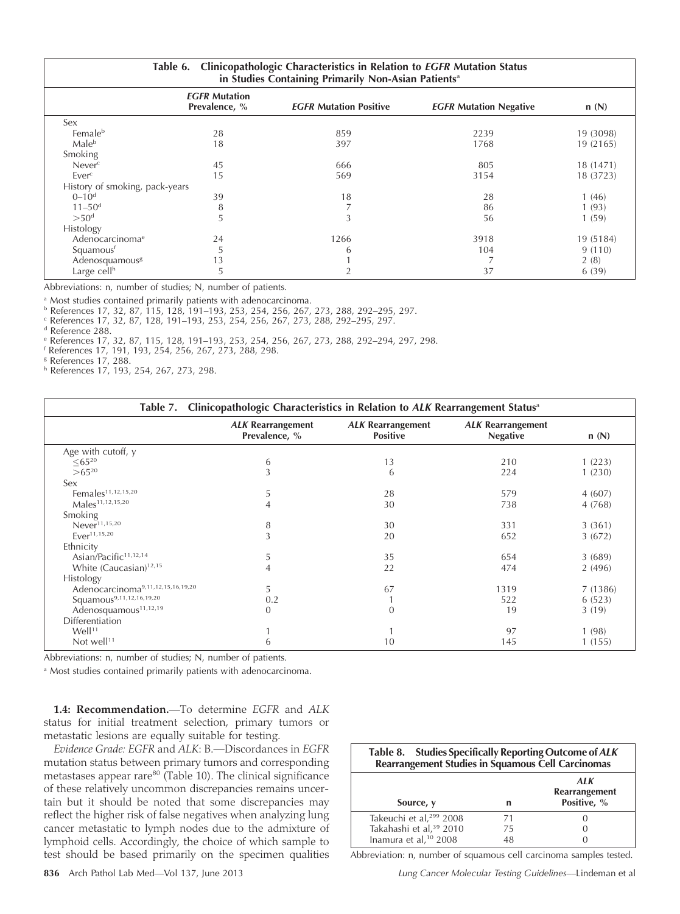| Table 6. Clinicopathologic Characteristics in Relation to <i>EGFR</i> Mutation Status<br>in Studies Containing Primarily Non-Asian Patients <sup>a</sup> |                                       |                               |                               |           |  |  |
|----------------------------------------------------------------------------------------------------------------------------------------------------------|---------------------------------------|-------------------------------|-------------------------------|-----------|--|--|
|                                                                                                                                                          | <b>EGFR Mutation</b><br>Prevalence, % | <b>EGFR Mutation Positive</b> | <b>EGFR Mutation Negative</b> | n(N)      |  |  |
| Sex                                                                                                                                                      |                                       |                               |                               |           |  |  |
| Female <sup>b</sup>                                                                                                                                      | 28                                    | 859                           | 2239                          | 19 (3098) |  |  |
| Male <sup>b</sup>                                                                                                                                        | 18                                    | 397                           | 1768                          | 19 (2165) |  |  |
| Smoking                                                                                                                                                  |                                       |                               |                               |           |  |  |
| Never <sup>c</sup>                                                                                                                                       | 45                                    | 666                           | 805                           | 18 (1471) |  |  |
| Ever <sup>c</sup>                                                                                                                                        | 15                                    | 569                           | 3154                          | 18 (3723) |  |  |
| History of smoking, pack-years                                                                                                                           |                                       |                               |                               |           |  |  |
| $0 - 10^d$                                                                                                                                               | 39                                    | 18                            | 28                            | 1(46)     |  |  |
| $11 - 50$ <sup>d</sup>                                                                                                                                   | 8                                     |                               | 86                            | 1(93)     |  |  |
| > 50 <sup>d</sup>                                                                                                                                        | 5                                     | 3                             | 56                            | 1(59)     |  |  |
| Histology                                                                                                                                                |                                       |                               |                               |           |  |  |
| Adenocarcinoma <sup>e</sup>                                                                                                                              | 24                                    | 1266                          | 3918                          | 19 (5184) |  |  |
| Squamousf                                                                                                                                                | 5                                     | 6                             | 104                           | 9(110)    |  |  |
| Adenosquamous <sup>8</sup>                                                                                                                               | 13                                    |                               |                               | 2(8)      |  |  |
| Large cellh                                                                                                                                              | 5                                     | $\overline{2}$                | 37                            | 6(39)     |  |  |

Abbreviations: n, number of studies; N, number of patients.

<sup>a</sup> Most studies contained primarily patients with adenocarcinoma.

<sup>b</sup> References 17, 32, 87, 115, 128, 191–193, 253, 254, 256, 267, 273, 288, 292–295, 297.

<sup>c</sup> References 17, 32, 87, 128, 191–193, 253, 254, 256, 267, 273, 288, 292–295, 297.

<sup>d</sup> Reference 288.

<sup>e</sup> References 17, 32, 87, 115, 128, 191–193, 253, 254, 256, 267, 273, 288, 292–294, 297, 298.

<sup>f</sup> References 17, 191, 193, 254, 256, 267, 273, 288, 298.

<sup>8</sup> References 17, 288.

<sup>h</sup> References 17, 193, 254, 267, 273, 298.

| Table 7. Clinicopathologic Characteristics in Relation to ALK Rearrangement Status <sup>a</sup> |                                           |                                             |                                             |         |  |  |  |
|-------------------------------------------------------------------------------------------------|-------------------------------------------|---------------------------------------------|---------------------------------------------|---------|--|--|--|
|                                                                                                 | <b>ALK Rearrangement</b><br>Prevalence, % | <b>ALK Rearrangement</b><br><b>Positive</b> | <b>ALK Rearrangement</b><br><b>Negative</b> | n(N)    |  |  |  |
| Age with cutoff, y                                                                              |                                           |                                             |                                             |         |  |  |  |
| $\leq$ 65 <sup>20</sup>                                                                         | 6                                         | 13                                          | 210                                         | 1(223)  |  |  |  |
| $>65^{20}$                                                                                      | 3                                         | 6                                           | 224                                         | 1(230)  |  |  |  |
| Sex                                                                                             |                                           |                                             |                                             |         |  |  |  |
| Females <sup>11,12,15,20</sup>                                                                  | 5                                         | 28                                          | 579                                         | 4(607)  |  |  |  |
| Males <sup>11,12,15,20</sup>                                                                    | 4                                         | 30                                          | 738                                         | 4(768)  |  |  |  |
| Smoking                                                                                         |                                           |                                             |                                             |         |  |  |  |
| Never <sup>11,15,20</sup>                                                                       | 8                                         | 30                                          | 331                                         | 3(361)  |  |  |  |
| Fver <sup>11,15,20</sup>                                                                        | 3                                         | 20                                          | 652                                         | 3(672)  |  |  |  |
| Ethnicity                                                                                       |                                           |                                             |                                             |         |  |  |  |
| Asian/Pacific <sup>11,12,14</sup>                                                               | 5                                         | 35                                          | 654                                         | 3(689)  |  |  |  |
| White $(Caucasian)^{12,15}$                                                                     | $\overline{4}$                            | 22                                          | 474                                         | 2(496)  |  |  |  |
| Histology                                                                                       |                                           |                                             |                                             |         |  |  |  |
| Adenocarcinoma9,11,12,15,16,19,20                                                               | 5                                         | 67                                          | 1319                                        | 7(1386) |  |  |  |
| Squamous <sup>9,11,12,16,19,20</sup>                                                            | 0.2                                       |                                             | 522                                         | 6(523)  |  |  |  |
| Adenosquamous <sup>11,12,19</sup>                                                               | $\overline{0}$                            | $\Omega$                                    | 19                                          | 3(19)   |  |  |  |
| <b>Differentiation</b>                                                                          |                                           |                                             |                                             |         |  |  |  |
| Well <sup>11</sup>                                                                              |                                           |                                             | 97                                          | 1(98)   |  |  |  |
| Not well <sup>11</sup>                                                                          | 6                                         | 10                                          | 145                                         | 1(155)  |  |  |  |

Abbreviations: n, number of studies; N, number of patients.

<sup>a</sup> Most studies contained primarily patients with adenocarcinoma.

1.4: Recommendation.-To determine EGFR and ALK status for initial treatment selection, primary tumors or metastatic lesions are equally suitable for testing.

Evidence Grade: EGFR and ALK: B.—Discordances in EGFR mutation status between primary tumors and corresponding metastases appear rare<sup>80</sup> (Table 10). The clinical significance of these relatively uncommon discrepancies remains uncertain but it should be noted that some discrepancies may reflect the higher risk of false negatives when analyzing lung cancer metastatic to lymph nodes due to the admixture of lymphoid cells. Accordingly, the choice of which sample to test should be based primarily on the specimen qualities

| Table 8. Studies Specifically Reporting Outcome of ALK<br>Rearrangement Studies in Squamous Cell Carcinomas     |                |                                            |  |  |
|-----------------------------------------------------------------------------------------------------------------|----------------|--------------------------------------------|--|--|
| Source, y                                                                                                       | n              | <b>ALK</b><br>Rearrangement<br>Positive, % |  |  |
| Takeuchi et al, <sup>299</sup> 2008<br>Takahashi et al, <sup>39</sup> 2010<br>Inamura et al, <sup>10</sup> 2008 | 71<br>75<br>48 |                                            |  |  |

Abbreviation: n, number of squamous cell carcinoma samples tested.

836 Arch Pathol Lab Med-Vol 137, June 2013 Lung Cancer Molecular Testing Guidelines-Lindeman et al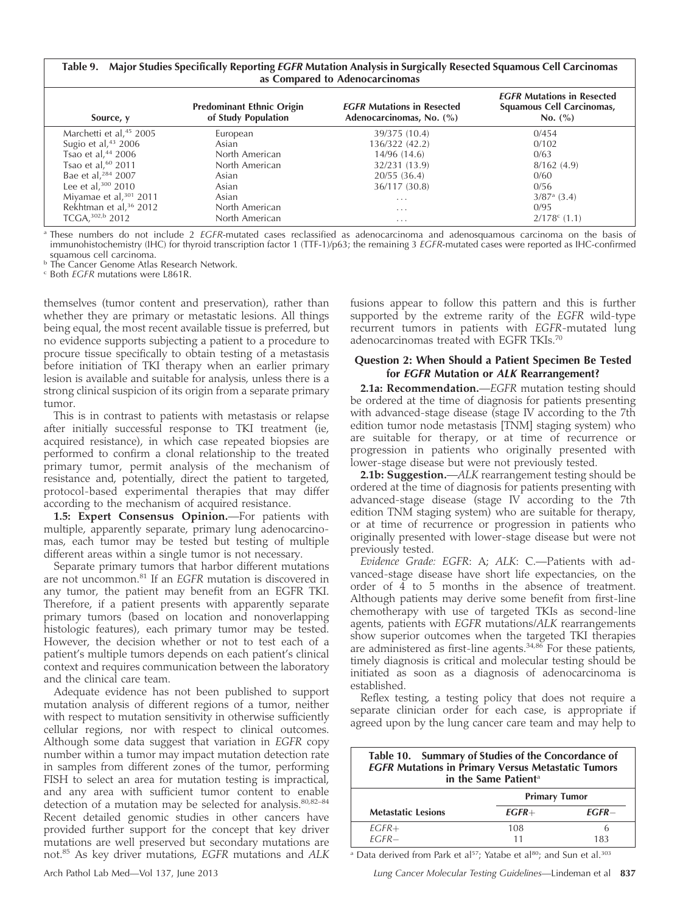#### Table 9. Major Studies Specifically Reporting EGFR Mutation Analysis in Surgically Resected Squamous Cell Carcinomas as Compared to Adenocarcinomas

| Source, y                           | <b>Predominant Ethnic Origin</b><br>of Study Population | <b>EGFR Mutations in Resected</b><br>Adenocarcinomas, No. (%) | <b>EGFR Mutations in Resected</b><br>Squamous Cell Carcinomas,<br>No. (%) |
|-------------------------------------|---------------------------------------------------------|---------------------------------------------------------------|---------------------------------------------------------------------------|
| Marchetti et al, <sup>45</sup> 2005 | European                                                | 39/375 (10.4)                                                 | 0/454                                                                     |
| Sugio et al, $43$ 2006              | Asian                                                   | 136/322 (42.2)                                                | 0/102                                                                     |
| Tsao et al, <sup>44</sup> 2006      | North American                                          | 14/96 (14.6)                                                  | 0/63                                                                      |
| Tsao et al, <sup>60</sup> 2011      | North American                                          | 32/231 (13.9)                                                 | 8/162(4.9)                                                                |
| Bae et al, <sup>284</sup> 2007      | Asian                                                   | 20/55(36.4)                                                   | 0/60                                                                      |
| Lee et al, $300$ 2010               | Asian                                                   | 36/117 (30.8)                                                 | 0/56                                                                      |
| Miyamae et al, <sup>301</sup> 2011  | Asian                                                   | $\cdot$ $\cdot$ $\cdot$                                       | $3/87$ <sup>a</sup> $(3.4)$                                               |
| Rekhtman et al, <sup>36</sup> 2012  | North American                                          | $\cdot$ $\cdot$ $\cdot$                                       | 0/95                                                                      |
| TCGA, 302, b 2012                   | North American                                          | $\cdots$                                                      | $2/178$ <sup>c</sup> $(1.1)$                                              |

<sup>a</sup> These numbers do not include 2 *EGFR*-mutated cases reclassified as adenocarcinoma and adenosquamous carcinoma on the basis of immunohistochemistry (IHC) for thyroid transcription factor 1 (TTF-1)/p63; the remaining 3 EGFR-mutated cases were reported as IHC-confirmed squamous cell carcinoma.

**b** The Cancer Genome Atlas Research Network.

<sup>c</sup> Both EGFR mutations were L861R.

themselves (tumor content and preservation), rather than whether they are primary or metastatic lesions. All things being equal, the most recent available tissue is preferred, but no evidence supports subjecting a patient to a procedure to procure tissue specifically to obtain testing of a metastasis before initiation of TKI therapy when an earlier primary lesion is available and suitable for analysis, unless there is a strong clinical suspicion of its origin from a separate primary tumor.

This is in contrast to patients with metastasis or relapse after initially successful response to TKI treatment (ie, acquired resistance), in which case repeated biopsies are performed to confirm a clonal relationship to the treated primary tumor, permit analysis of the mechanism of resistance and, potentially, direct the patient to targeted, protocol-based experimental therapies that may differ according to the mechanism of acquired resistance.

1.5: Expert Consensus Opinion.-For patients with multiple, apparently separate, primary lung adenocarcinomas, each tumor may be tested but testing of multiple different areas within a single tumor is not necessary.

Separate primary tumors that harbor different mutations are not uncommon.<sup>81</sup> If an EGFR mutation is discovered in any tumor, the patient may benefit from an EGFR TKI. Therefore, if a patient presents with apparently separate primary tumors (based on location and nonoverlapping histologic features), each primary tumor may be tested. However, the decision whether or not to test each of a patient's multiple tumors depends on each patient's clinical context and requires communication between the laboratory and the clinical care team.

Adequate evidence has not been published to support mutation analysis of different regions of a tumor, neither with respect to mutation sensitivity in otherwise sufficiently cellular regions, nor with respect to clinical outcomes. Although some data suggest that variation in EGFR copy number within a tumor may impact mutation detection rate in samples from different zones of the tumor, performing FISH to select an area for mutation testing is impractical, and any area with sufficient tumor content to enable detection of a mutation may be selected for analysis.<sup>80,82-84</sup> Recent detailed genomic studies in other cancers have provided further support for the concept that key driver mutations are well preserved but secondary mutations are not.<sup>85</sup> As key driver mutations, EGFR mutations and ALK fusions appear to follow this pattern and this is further supported by the extreme rarity of the EGFR wild-type recurrent tumors in patients with EGFR-mutated lung adenocarcinomas treated with EGFR TKIs.70

#### Question 2: When Should a Patient Specimen Be Tested for EGFR Mutation or ALK Rearrangement?

**2.1a: Recommendation.**—*EGFR* mutation testing should be ordered at the time of diagnosis for patients presenting with advanced-stage disease (stage IV according to the 7th edition tumor node metastasis [TNM] staging system) who are suitable for therapy, or at time of recurrence or progression in patients who originally presented with lower-stage disease but were not previously tested.

**2.1b: Suggestion.—**ALK rearrangement testing should be ordered at the time of diagnosis for patients presenting with advanced-stage disease (stage IV according to the 7th edition TNM staging system) who are suitable for therapy, or at time of recurrence or progression in patients who originally presented with lower-stage disease but were not previously tested.

Evidence Grade: EGFR: A; ALK: C.—Patients with advanced-stage disease have short life expectancies, on the order of 4 to 5 months in the absence of treatment. Although patients may derive some benefit from first-line chemotherapy with use of targeted TKIs as second-line agents, patients with EGFR mutations/ALK rearrangements show superior outcomes when the targeted TKI therapies are administered as first-line agents. $34,86$  For these patients, timely diagnosis is critical and molecular testing should be initiated as soon as a diagnosis of adenocarcinoma is established.

Reflex testing, a testing policy that does not require a separate clinician order for each case, is appropriate if agreed upon by the lung cancer care team and may help to

| Table 10. Summary of Studies of the Concordance of<br><b>EGFR Mutations in Primary Versus Metastatic Tumors</b> |
|-----------------------------------------------------------------------------------------------------------------|
|                                                                                                                 |
| in the Same Patient <sup>a</sup>                                                                                |

|                           | <b>Primary Tumor</b> |       |  |  |  |
|---------------------------|----------------------|-------|--|--|--|
| <b>Metastatic Lesions</b> | $EGFR+$              | EGFR- |  |  |  |
| $EGFR+$                   | 108                  |       |  |  |  |
| $FCFR-$                   |                      | 183   |  |  |  |

<sup>a</sup> Data derived from Park et al<sup>57</sup>; Yatabe et al<sup>80</sup>; and Sun et al.<sup>303</sup>

Arch Pathol Lab Med—Vol 137, June 2013 **Lung Cancer Molecular Testing Guidelines—Lindeman et al 837**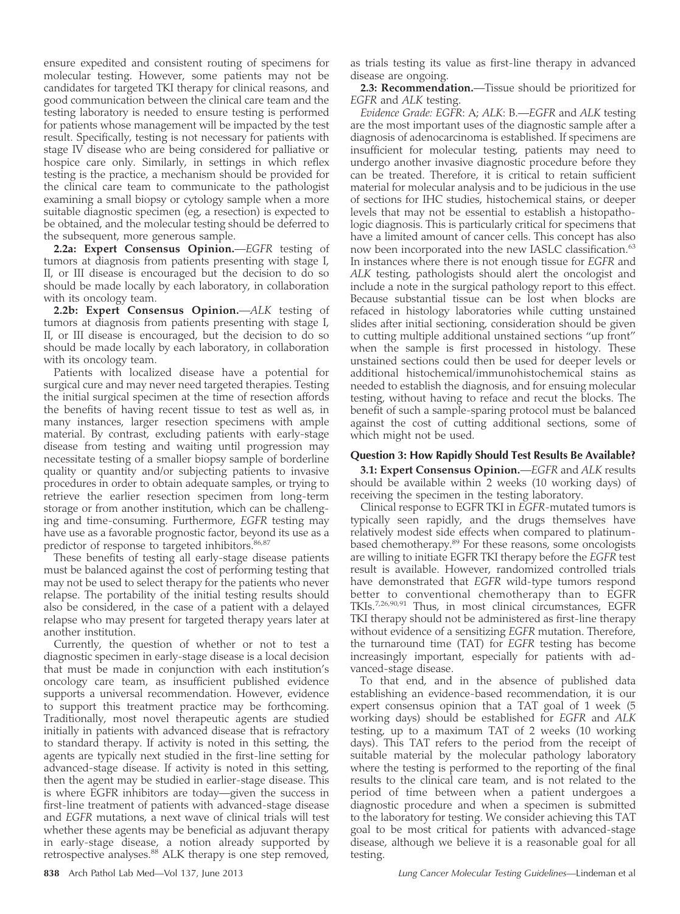ensure expedited and consistent routing of specimens for molecular testing. However, some patients may not be candidates for targeted TKI therapy for clinical reasons, and good communication between the clinical care team and the testing laboratory is needed to ensure testing is performed for patients whose management will be impacted by the test result. Specifically, testing is not necessary for patients with stage IV disease who are being considered for palliative or hospice care only. Similarly, in settings in which reflex testing is the practice, a mechanism should be provided for the clinical care team to communicate to the pathologist examining a small biopsy or cytology sample when a more suitable diagnostic specimen (eg, a resection) is expected to be obtained, and the molecular testing should be deferred to the subsequent, more generous sample.

2.2a: Expert Consensus Opinion.—EGFR testing of tumors at diagnosis from patients presenting with stage I, II, or III disease is encouraged but the decision to do so should be made locally by each laboratory, in collaboration with its oncology team.

2.2b: Expert Consensus Opinion. - ALK testing of tumors at diagnosis from patients presenting with stage I, II, or III disease is encouraged, but the decision to do so should be made locally by each laboratory, in collaboration with its oncology team.

Patients with localized disease have a potential for surgical cure and may never need targeted therapies. Testing the initial surgical specimen at the time of resection affords the benefits of having recent tissue to test as well as, in many instances, larger resection specimens with ample material. By contrast, excluding patients with early-stage disease from testing and waiting until progression may necessitate testing of a smaller biopsy sample of borderline quality or quantity and/or subjecting patients to invasive procedures in order to obtain adequate samples, or trying to retrieve the earlier resection specimen from long-term storage or from another institution, which can be challenging and time-consuming. Furthermore, EGFR testing may have use as a favorable prognostic factor, beyond its use as a predictor of response to targeted inhibitors.<sup>86,87</sup>

These benefits of testing all early-stage disease patients must be balanced against the cost of performing testing that may not be used to select therapy for the patients who never relapse. The portability of the initial testing results should also be considered, in the case of a patient with a delayed relapse who may present for targeted therapy years later at another institution.

Currently, the question of whether or not to test a diagnostic specimen in early-stage disease is a local decision that must be made in conjunction with each institution's oncology care team, as insufficient published evidence supports a universal recommendation. However, evidence to support this treatment practice may be forthcoming. Traditionally, most novel therapeutic agents are studied initially in patients with advanced disease that is refractory to standard therapy. If activity is noted in this setting, the agents are typically next studied in the first-line setting for advanced-stage disease. If activity is noted in this setting, then the agent may be studied in earlier-stage disease. This is where EGFR inhibitors are today—given the success in first-line treatment of patients with advanced-stage disease and EGFR mutations, a next wave of clinical trials will test whether these agents may be beneficial as adjuvant therapy in early-stage disease, a notion already supported by retrospective analyses.<sup>88</sup> ALK therapy is one step removed,

as trials testing its value as first-line therapy in advanced disease are ongoing.

2.3: Recommendation.-Tissue should be prioritized for EGFR and ALK testing.

Evidence Grade: EGFR: A; ALK: B.—EGFR and ALK testing are the most important uses of the diagnostic sample after a diagnosis of adenocarcinoma is established. If specimens are insufficient for molecular testing, patients may need to undergo another invasive diagnostic procedure before they can be treated. Therefore, it is critical to retain sufficient material for molecular analysis and to be judicious in the use of sections for IHC studies, histochemical stains, or deeper levels that may not be essential to establish a histopathologic diagnosis. This is particularly critical for specimens that have a limited amount of cancer cells. This concept has also now been incorporated into the new IASLC classification.<sup>63</sup> In instances where there is not enough tissue for EGFR and ALK testing, pathologists should alert the oncologist and include a note in the surgical pathology report to this effect. Because substantial tissue can be lost when blocks are refaced in histology laboratories while cutting unstained slides after initial sectioning, consideration should be given to cutting multiple additional unstained sections ''up front'' when the sample is first processed in histology. These unstained sections could then be used for deeper levels or additional histochemical/immunohistochemical stains as needed to establish the diagnosis, and for ensuing molecular testing, without having to reface and recut the blocks. The benefit of such a sample-sparing protocol must be balanced against the cost of cutting additional sections, some of which might not be used.

## Question 3: How Rapidly Should Test Results Be Available?

3.1: Expert Consensus Opinion.-EGFR and ALK results should be available within 2 weeks (10 working days) of receiving the specimen in the testing laboratory.

Clinical response to EGFR TKI in EGFR-mutated tumors is typically seen rapidly, and the drugs themselves have relatively modest side effects when compared to platinumbased chemotherapy.89 For these reasons, some oncologists are willing to initiate EGFR TKI therapy before the EGFR test result is available. However, randomized controlled trials have demonstrated that EGFR wild-type tumors respond better to conventional chemotherapy than to EGFR TKIs.7,26,90,91 Thus, in most clinical circumstances, EGFR TKI therapy should not be administered as first-line therapy without evidence of a sensitizing EGFR mutation. Therefore, the turnaround time (TAT) for EGFR testing has become increasingly important, especially for patients with advanced-stage disease.

To that end, and in the absence of published data establishing an evidence-based recommendation, it is our expert consensus opinion that a TAT goal of 1 week (5 working days) should be established for EGFR and ALK testing, up to a maximum TAT of 2 weeks (10 working days). This TAT refers to the period from the receipt of suitable material by the molecular pathology laboratory where the testing is performed to the reporting of the final results to the clinical care team, and is not related to the period of time between when a patient undergoes a diagnostic procedure and when a specimen is submitted to the laboratory for testing. We consider achieving this TAT goal to be most critical for patients with advanced-stage disease, although we believe it is a reasonable goal for all testing.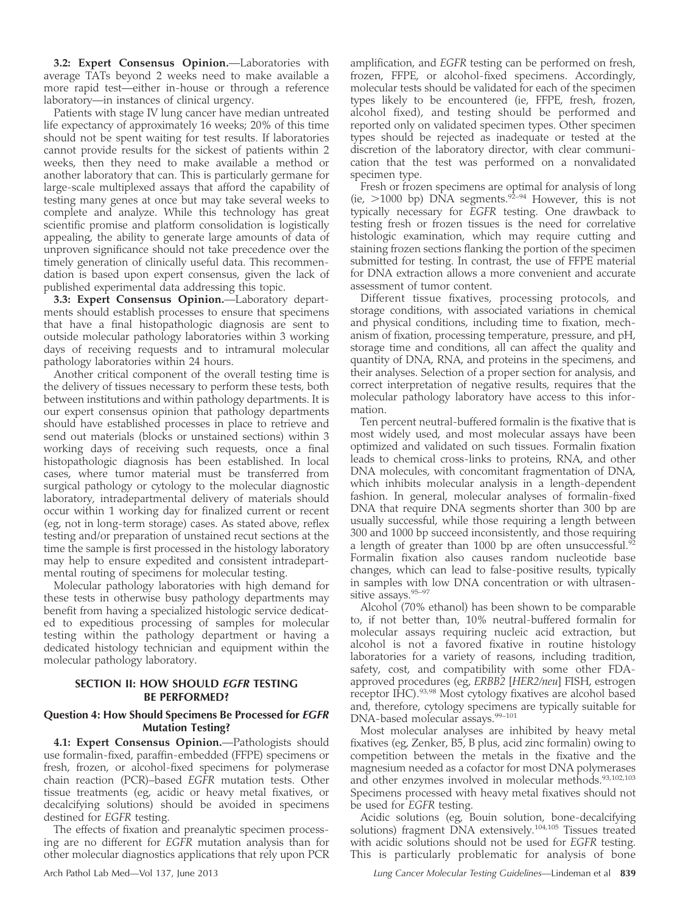3.2: Expert Consensus Opinion.—Laboratories with average TATs beyond 2 weeks need to make available a more rapid test—either in-house or through a reference laboratory—in instances of clinical urgency.

Patients with stage IV lung cancer have median untreated life expectancy of approximately 16 weeks; 20% of this time should not be spent waiting for test results. If laboratories cannot provide results for the sickest of patients within 2 weeks, then they need to make available a method or another laboratory that can. This is particularly germane for large-scale multiplexed assays that afford the capability of testing many genes at once but may take several weeks to complete and analyze. While this technology has great scientific promise and platform consolidation is logistically appealing, the ability to generate large amounts of data of unproven significance should not take precedence over the timely generation of clinically useful data. This recommendation is based upon expert consensus, given the lack of published experimental data addressing this topic.

3.3: Expert Consensus Opinion.—Laboratory departments should establish processes to ensure that specimens that have a final histopathologic diagnosis are sent to outside molecular pathology laboratories within 3 working days of receiving requests and to intramural molecular pathology laboratories within 24 hours.

Another critical component of the overall testing time is the delivery of tissues necessary to perform these tests, both between institutions and within pathology departments. It is our expert consensus opinion that pathology departments should have established processes in place to retrieve and send out materials (blocks or unstained sections) within 3 working days of receiving such requests, once a final histopathologic diagnosis has been established. In local cases, where tumor material must be transferred from surgical pathology or cytology to the molecular diagnostic laboratory, intradepartmental delivery of materials should occur within 1 working day for finalized current or recent (eg, not in long-term storage) cases. As stated above, reflex testing and/or preparation of unstained recut sections at the time the sample is first processed in the histology laboratory may help to ensure expedited and consistent intradepartmental routing of specimens for molecular testing.

Molecular pathology laboratories with high demand for these tests in otherwise busy pathology departments may benefit from having a specialized histologic service dedicated to expeditious processing of samples for molecular testing within the pathology department or having a dedicated histology technician and equipment within the molecular pathology laboratory.

## SECTION II: HOW SHOULD EGFR TESTING BE PERFORMED?

## Question 4: How Should Specimens Be Processed for EGFR Mutation Testing?

4.1: Expert Consensus Opinion.—Pathologists should use formalin-fixed, paraffin-embedded (FFPE) specimens or fresh, frozen, or alcohol-fixed specimens for polymerase chain reaction (PCR)–based EGFR mutation tests. Other tissue treatments (eg, acidic or heavy metal fixatives, or decalcifying solutions) should be avoided in specimens destined for EGFR testing.

The effects of fixation and preanalytic specimen processing are no different for EGFR mutation analysis than for other molecular diagnostics applications that rely upon PCR

amplification, and EGFR testing can be performed on fresh, frozen, FFPE, or alcohol-fixed specimens. Accordingly, molecular tests should be validated for each of the specimen types likely to be encountered (ie, FFPE, fresh, frozen, alcohol fixed), and testing should be performed and reported only on validated specimen types. Other specimen types should be rejected as inadequate or tested at the discretion of the laboratory director, with clear communication that the test was performed on a nonvalidated specimen type.

Fresh or frozen specimens are optimal for analysis of long (ie,  $>1000$  bp) DNA segments.<sup>92–94</sup> However, this is not typically necessary for EGFR testing. One drawback to testing fresh or frozen tissues is the need for correlative histologic examination, which may require cutting and staining frozen sections flanking the portion of the specimen submitted for testing. In contrast, the use of FFPE material for DNA extraction allows a more convenient and accurate assessment of tumor content.

Different tissue fixatives, processing protocols, and storage conditions, with associated variations in chemical and physical conditions, including time to fixation, mechanism of fixation, processing temperature, pressure, and pH, storage time and conditions, all can affect the quality and quantity of DNA, RNA, and proteins in the specimens, and their analyses. Selection of a proper section for analysis, and correct interpretation of negative results, requires that the molecular pathology laboratory have access to this information.

Ten percent neutral-buffered formalin is the fixative that is most widely used, and most molecular assays have been optimized and validated on such tissues. Formalin fixation leads to chemical cross-links to proteins, RNA, and other DNA molecules, with concomitant fragmentation of DNA, which inhibits molecular analysis in a length-dependent fashion. In general, molecular analyses of formalin-fixed DNA that require DNA segments shorter than 300 bp are usually successful, while those requiring a length between 300 and 1000 bp succeed inconsistently, and those requiring a length of greater than 1000 bp are often unsuccessful. $^{92}$ Formalin fixation also causes random nucleotide base changes, which can lead to false-positive results, typically in samples with low DNA concentration or with ultrasensitive assays.<sup>95-97</sup>

Alcohol (70% ethanol) has been shown to be comparable to, if not better than, 10% neutral-buffered formalin for molecular assays requiring nucleic acid extraction, but alcohol is not a favored fixative in routine histology laboratories for a variety of reasons, including tradition, safety, cost, and compatibility with some other FDAapproved procedures (eg, ERBB2 [HER2/neu] FISH, estrogen receptor IHC).<sup>93,98</sup> Most cytology fixatives are alcohol based and, therefore, cytology specimens are typically suitable for DNA-based molecular assays.99–101

Most molecular analyses are inhibited by heavy metal fixatives (eg, Zenker, B5, B plus, acid zinc formalin) owing to competition between the metals in the fixative and the magnesium needed as a cofactor for most DNA polymerases and other enzymes involved in molecular methods.93,102,103 Specimens processed with heavy metal fixatives should not be used for EGFR testing.

Acidic solutions (eg, Bouin solution, bone-decalcifying solutions) fragment DNA extensively.104,105 Tissues treated with acidic solutions should not be used for EGFR testing. This is particularly problematic for analysis of bone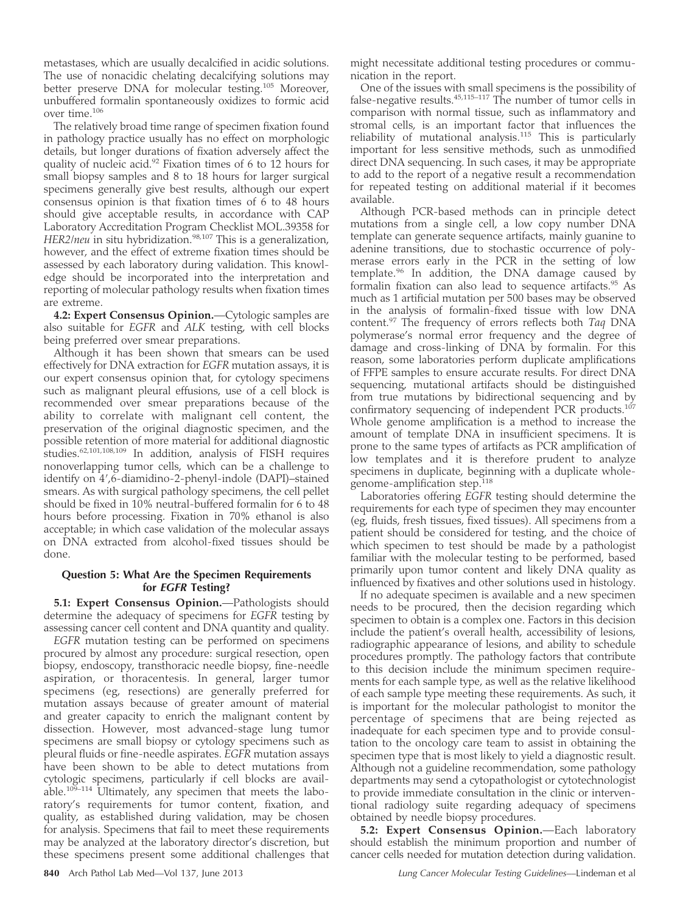metastases, which are usually decalcified in acidic solutions. The use of nonacidic chelating decalcifying solutions may better preserve DNA for molecular testing.<sup>105</sup> Moreover, unbuffered formalin spontaneously oxidizes to formic acid over time.<sup>106</sup>

The relatively broad time range of specimen fixation found in pathology practice usually has no effect on morphologic details, but longer durations of fixation adversely affect the quality of nucleic acid.<sup>92</sup> Fixation times of 6 to 12 hours for small biopsy samples and 8 to 18 hours for larger surgical specimens generally give best results, although our expert consensus opinion is that fixation times of 6 to 48 hours should give acceptable results, in accordance with CAP Laboratory Accreditation Program Checklist MOL.39358 for  $HER2/neu$  in situ hybridization.<sup>98,107</sup> This is a generalization, however, and the effect of extreme fixation times should be assessed by each laboratory during validation. This knowledge should be incorporated into the interpretation and reporting of molecular pathology results when fixation times are extreme.

4.2: Expert Consensus Opinion.-Cytologic samples are also suitable for EGFR and ALK testing, with cell blocks being preferred over smear preparations.

Although it has been shown that smears can be used effectively for DNA extraction for EGFR mutation assays, it is our expert consensus opinion that, for cytology specimens such as malignant pleural effusions, use of a cell block is recommended over smear preparations because of the ability to correlate with malignant cell content, the preservation of the original diagnostic specimen, and the possible retention of more material for additional diagnostic studies.<sup>62,101,108,109</sup> In addition, analysis of FISH requires nonoverlapping tumor cells, which can be a challenge to identify on 4',6-diamidino-2-phenyl-indole (DAPI)–stained smears. As with surgical pathology specimens, the cell pellet should be fixed in 10% neutral-buffered formalin for 6 to 48 hours before processing. Fixation in 70% ethanol is also acceptable; in which case validation of the molecular assays on DNA extracted from alcohol-fixed tissues should be done.

## Question 5: What Are the Specimen Requirements for EGFR Testing?

5.1: Expert Consensus Opinion.—Pathologists should determine the adequacy of specimens for EGFR testing by assessing cancer cell content and DNA quantity and quality.

EGFR mutation testing can be performed on specimens procured by almost any procedure: surgical resection, open biopsy, endoscopy, transthoracic needle biopsy, fine-needle aspiration, or thoracentesis. In general, larger tumor specimens (eg, resections) are generally preferred for mutation assays because of greater amount of material and greater capacity to enrich the malignant content by dissection. However, most advanced-stage lung tumor specimens are small biopsy or cytology specimens such as pleural fluids or fine-needle aspirates. EGFR mutation assays have been shown to be able to detect mutations from cytologic specimens, particularly if cell blocks are available.109–114 Ultimately, any specimen that meets the laboratory's requirements for tumor content, fixation, and quality, as established during validation, may be chosen for analysis. Specimens that fail to meet these requirements may be analyzed at the laboratory director's discretion, but these specimens present some additional challenges that

might necessitate additional testing procedures or communication in the report.

One of the issues with small specimens is the possibility of false-negative results. $45,115-117$  The number of tumor cells in comparison with normal tissue, such as inflammatory and stromal cells, is an important factor that influences the reliability of mutational analysis. $115$  This is particularly important for less sensitive methods, such as unmodified direct DNA sequencing. In such cases, it may be appropriate to add to the report of a negative result a recommendation for repeated testing on additional material if it becomes available.

Although PCR-based methods can in principle detect mutations from a single cell, a low copy number DNA template can generate sequence artifacts, mainly guanine to adenine transitions, due to stochastic occurrence of polymerase errors early in the PCR in the setting of low template.<sup>96</sup> In addition, the DNA damage caused by formalin fixation can also lead to sequence artifacts.<sup>95</sup> As much as 1 artificial mutation per 500 bases may be observed in the analysis of formalin-fixed tissue with low DNA content.<sup>97</sup> The frequency of errors reflects both Taq DNA polymerase's normal error frequency and the degree of damage and cross-linking of DNA by formalin. For this reason, some laboratories perform duplicate amplifications of FFPE samples to ensure accurate results. For direct DNA sequencing, mutational artifacts should be distinguished from true mutations by bidirectional sequencing and by confirmatory sequencing of independent PCR products.<sup>107</sup> Whole genome amplification is a method to increase the amount of template DNA in insufficient specimens. It is prone to the same types of artifacts as PCR amplification of low templates and it is therefore prudent to analyze specimens in duplicate, beginning with a duplicate wholegenome-amplification step.118

Laboratories offering EGFR testing should determine the requirements for each type of specimen they may encounter (eg, fluids, fresh tissues, fixed tissues). All specimens from a patient should be considered for testing, and the choice of which specimen to test should be made by a pathologist familiar with the molecular testing to be performed, based primarily upon tumor content and likely DNA quality as influenced by fixatives and other solutions used in histology.

If no adequate specimen is available and a new specimen needs to be procured, then the decision regarding which specimen to obtain is a complex one. Factors in this decision include the patient's overall health, accessibility of lesions, radiographic appearance of lesions, and ability to schedule procedures promptly. The pathology factors that contribute to this decision include the minimum specimen requirements for each sample type, as well as the relative likelihood of each sample type meeting these requirements. As such, it is important for the molecular pathologist to monitor the percentage of specimens that are being rejected as inadequate for each specimen type and to provide consultation to the oncology care team to assist in obtaining the specimen type that is most likely to yield a diagnostic result. Although not a guideline recommendation, some pathology departments may send a cytopathologist or cytotechnologist to provide immediate consultation in the clinic or interventional radiology suite regarding adequacy of specimens obtained by needle biopsy procedures.

5.2: Expert Consensus Opinion.-Each laboratory should establish the minimum proportion and number of cancer cells needed for mutation detection during validation.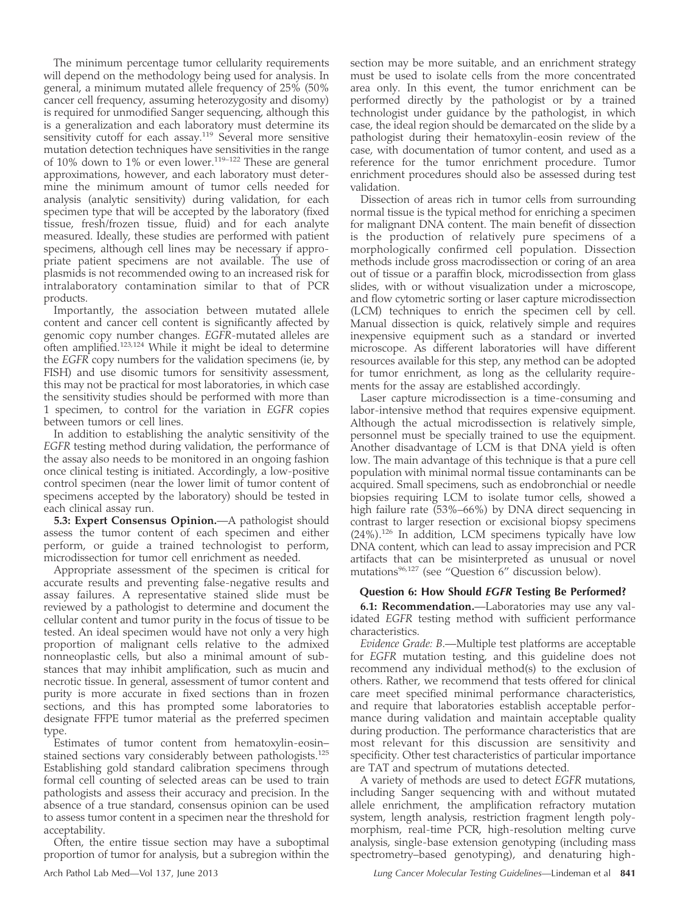The minimum percentage tumor cellularity requirements will depend on the methodology being used for analysis. In general, a minimum mutated allele frequency of 25% (50% cancer cell frequency, assuming heterozygosity and disomy) is required for unmodified Sanger sequencing, although this is a generalization and each laboratory must determine its sensitivity cutoff for each assay.<sup>119</sup> Several more sensitive mutation detection techniques have sensitivities in the range of 10% down to 1% or even lower.<sup>119–122</sup> These are general approximations, however, and each laboratory must determine the minimum amount of tumor cells needed for analysis (analytic sensitivity) during validation, for each specimen type that will be accepted by the laboratory (fixed tissue, fresh/frozen tissue, fluid) and for each analyte measured. Ideally, these studies are performed with patient specimens, although cell lines may be necessary if appropriate patient specimens are not available. The use of plasmids is not recommended owing to an increased risk for intralaboratory contamination similar to that of PCR products.

Importantly, the association between mutated allele content and cancer cell content is significantly affected by genomic copy number changes. EGFR-mutated alleles are often amplified.123,124 While it might be ideal to determine the EGFR copy numbers for the validation specimens (ie, by FISH) and use disomic tumors for sensitivity assessment, this may not be practical for most laboratories, in which case the sensitivity studies should be performed with more than 1 specimen, to control for the variation in EGFR copies between tumors or cell lines.

In addition to establishing the analytic sensitivity of the EGFR testing method during validation, the performance of the assay also needs to be monitored in an ongoing fashion once clinical testing is initiated. Accordingly, a low-positive control specimen (near the lower limit of tumor content of specimens accepted by the laboratory) should be tested in each clinical assay run.

5.3: Expert Consensus Opinion.—A pathologist should assess the tumor content of each specimen and either perform, or guide a trained technologist to perform, microdissection for tumor cell enrichment as needed.

Appropriate assessment of the specimen is critical for accurate results and preventing false-negative results and assay failures. A representative stained slide must be reviewed by a pathologist to determine and document the cellular content and tumor purity in the focus of tissue to be tested. An ideal specimen would have not only a very high proportion of malignant cells relative to the admixed nonneoplastic cells, but also a minimal amount of substances that may inhibit amplification, such as mucin and necrotic tissue. In general, assessment of tumor content and purity is more accurate in fixed sections than in frozen sections, and this has prompted some laboratories to designate FFPE tumor material as the preferred specimen type.

Estimates of tumor content from hematoxylin-eosin– stained sections vary considerably between pathologists.<sup>125</sup> Establishing gold standard calibration specimens through formal cell counting of selected areas can be used to train pathologists and assess their accuracy and precision. In the absence of a true standard, consensus opinion can be used to assess tumor content in a specimen near the threshold for acceptability.

Often, the entire tissue section may have a suboptimal proportion of tumor for analysis, but a subregion within the

section may be more suitable, and an enrichment strategy must be used to isolate cells from the more concentrated area only. In this event, the tumor enrichment can be performed directly by the pathologist or by a trained technologist under guidance by the pathologist, in which case, the ideal region should be demarcated on the slide by a pathologist during their hematoxylin-eosin review of the case, with documentation of tumor content, and used as a reference for the tumor enrichment procedure. Tumor enrichment procedures should also be assessed during test validation.

Dissection of areas rich in tumor cells from surrounding normal tissue is the typical method for enriching a specimen for malignant DNA content. The main benefit of dissection is the production of relatively pure specimens of a morphologically confirmed cell population. Dissection methods include gross macrodissection or coring of an area out of tissue or a paraffin block, microdissection from glass slides, with or without visualization under a microscope, and flow cytometric sorting or laser capture microdissection (LCM) techniques to enrich the specimen cell by cell. Manual dissection is quick, relatively simple and requires inexpensive equipment such as a standard or inverted microscope. As different laboratories will have different resources available for this step, any method can be adopted for tumor enrichment, as long as the cellularity requirements for the assay are established accordingly.

Laser capture microdissection is a time-consuming and labor-intensive method that requires expensive equipment. Although the actual microdissection is relatively simple, personnel must be specially trained to use the equipment. Another disadvantage of LCM is that DNA yield is often low. The main advantage of this technique is that a pure cell population with minimal normal tissue contaminants can be acquired. Small specimens, such as endobronchial or needle biopsies requiring LCM to isolate tumor cells, showed a high failure rate (53%–66%) by DNA direct sequencing in contrast to larger resection or excisional biopsy specimens  $(24%)$ .<sup>126</sup> In addition, LCM specimens typically have low DNA content, which can lead to assay imprecision and PCR artifacts that can be misinterpreted as unusual or novel mutations<sup>96,127</sup> (see "Question  $6$ " discussion below).

## Question 6: How Should EGFR Testing Be Performed?

6.1: Recommendation.—Laboratories may use any validated EGFR testing method with sufficient performance characteristics.

Evidence Grade: B.—Multiple test platforms are acceptable for EGFR mutation testing, and this guideline does not recommend any individual method(s) to the exclusion of others. Rather, we recommend that tests offered for clinical care meet specified minimal performance characteristics, and require that laboratories establish acceptable performance during validation and maintain acceptable quality during production. The performance characteristics that are most relevant for this discussion are sensitivity and specificity. Other test characteristics of particular importance are TAT and spectrum of mutations detected.

A variety of methods are used to detect EGFR mutations, including Sanger sequencing with and without mutated allele enrichment, the amplification refractory mutation system, length analysis, restriction fragment length polymorphism, real-time PCR, high-resolution melting curve analysis, single-base extension genotyping (including mass spectrometry–based genotyping), and denaturing high-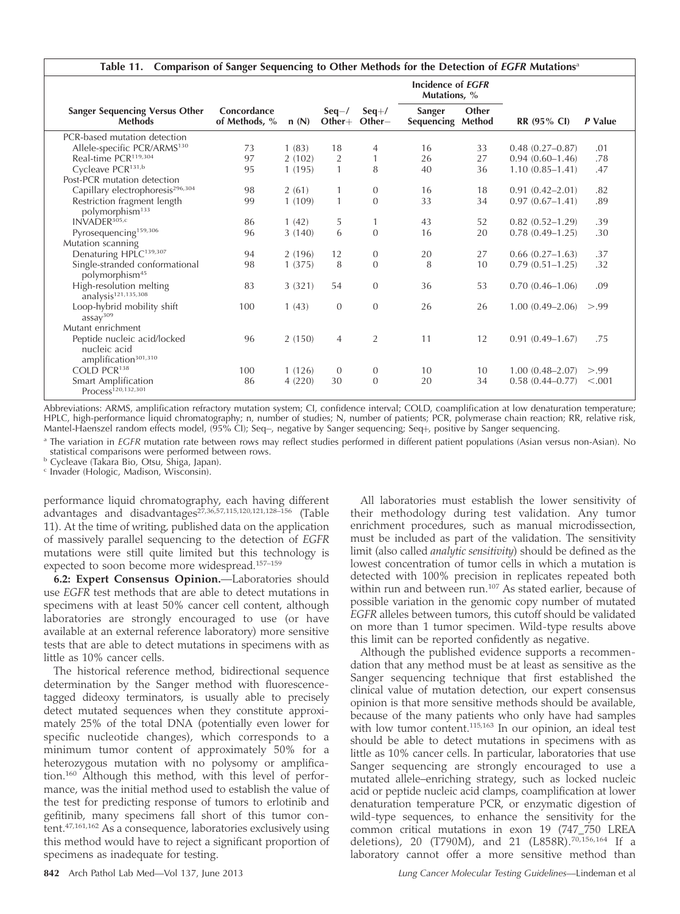| Comparison of Sanger Sequencing to Other Methods for the Detection of EGFR Mutations <sup>a</sup><br>Table 11. |                              |         |                      |                    |                                    |       |                     |         |
|----------------------------------------------------------------------------------------------------------------|------------------------------|---------|----------------------|--------------------|------------------------------------|-------|---------------------|---------|
|                                                                                                                |                              |         |                      |                    | Incidence of EGFR<br>Mutations, %  |       |                     |         |
| <b>Sanger Sequencing Versus Other</b><br><b>Methods</b>                                                        | Concordance<br>of Methods, % | n(N)    | $Seq-/-$<br>$Other+$ | $Seq+/-$<br>Other- | <b>Sanger</b><br>Sequencing Method | Other | RR (95% CI)         | P Value |
| PCR-based mutation detection                                                                                   |                              |         |                      |                    |                                    |       |                     |         |
| Allele-specific PCR/ARMS <sup>130</sup>                                                                        | 73                           | 1(83)   | 18                   | 4                  | 16                                 | 33    | $0.48(0.27 - 0.87)$ | .01     |
| Real-time PCR <sup>119,304</sup>                                                                               | 97                           | 2(102)  | $\overline{2}$       |                    | 26                                 | 27    | $0.94(0.60 - 1.46)$ | .78     |
| Cycleave PCR <sup>131,b</sup>                                                                                  | 95                           | 1(195)  | $\mathbf{1}$         | 8                  | 40                                 | 36    | $1.10(0.85 - 1.41)$ | .47     |
| Post-PCR mutation detection                                                                                    |                              |         |                      |                    |                                    |       |                     |         |
| Capillary electrophoresis <sup>296,304</sup>                                                                   | 98                           | 2(61)   | 1                    | $\overline{0}$     | 16                                 | 18    | $0.91(0.42 - 2.01)$ | .82     |
| Restriction fragment length<br>polymorphism <sup>133</sup>                                                     | 99                           | 1(109)  | $\mathbf{1}$         | $\Omega$           | 33                                 | 34    | $0.97(0.67 - 1.41)$ | .89     |
| INVADER <sup>305,c</sup>                                                                                       | 86                           | 1(42)   | 5                    |                    | 43                                 | 52    | $0.82(0.52 - 1.29)$ | .39     |
| Pyrosequencing <sup>159,306</sup>                                                                              | 96                           | 3(140)  | 6                    | $\Omega$           | 16                                 | 20    | $0.78(0.49 - 1.25)$ | .30     |
| Mutation scanning                                                                                              |                              |         |                      |                    |                                    |       |                     |         |
| Denaturing HPLC <sup>139,307</sup>                                                                             | 94                           | 2 (196) | 12                   | $\overline{0}$     | 20                                 | 27    | $0.66(0.27-1.63)$   | .37     |
| Single-stranded conformational<br>polymorphism <sup>45</sup>                                                   | 98                           | 1(375)  | 8                    | $\Omega$           | 8                                  | 10    | $0.79(0.51 - 1.25)$ | .32     |
| High-resolution melting<br>analysis <sup>121,135,308</sup>                                                     | 83                           | 3(321)  | 54                   | $\Omega$           | 36                                 | 53    | $0.70(0.46 - 1.06)$ | .09     |
| Loop-hybrid mobility shift<br>assay <sup>309</sup>                                                             | 100                          | 1(43)   | $\theta$             | $\Omega$           | 26                                 | 26    | $1.00(0.49 - 2.06)$ | > 0.99  |
| Mutant enrichment                                                                                              |                              |         |                      |                    |                                    |       |                     |         |
| Peptide nucleic acid/locked<br>nucleic acid<br>amplification <sup>301,310</sup>                                | 96                           | 2(150)  | $\overline{4}$       | 2                  | 11                                 | 12    | $0.91(0.49 - 1.67)$ | .75     |
| COLD PCR <sup>138</sup>                                                                                        | 100                          | 1(126)  | $\theta$             | $\overline{0}$     | 10                                 | 10    | $1.00(0.48 - 2.07)$ | > 0.99  |
| Smart Amplification<br>Process <sup>120,132,301</sup>                                                          | 86                           | 4(220)  | 30                   | $\Omega$           | 20                                 | 34    | $0.58(0.44 - 0.77)$ | < 0.001 |

Abbreviations: ARMS, amplification refractory mutation system; CI, confidence interval; COLD, coamplification at low denaturation temperature; HPLC, high-performance liquid chromatography; n, number of studies; N, number of patients; PCR, polymerase chain reaction; RR, relative risk, Mantel-Haenszel random effects model, (95% CI); Seq-, negative by Sanger sequencing; Seq+, positive by Sanger sequencing.

<sup>a</sup> The variation in *EGFR* mutation rate between rows may reflect studies performed in different patient populations (Asian versus non-Asian). No

statistical comparisons were performed between rows. <sup>b</sup> Cycleave (Takara Bio, Otsu, Shiga, Japan).

<sup>c</sup> Invader (Hologic, Madison, Wisconsin).

performance liquid chromatography, each having different  $advantages$  and disadvantages<sup>27,36,57,115,120,121,128–156</sup> (Table 11). At the time of writing, published data on the application of massively parallel sequencing to the detection of EGFR mutations were still quite limited but this technology is expected to soon become more widespread.157–159

6.2: Expert Consensus Opinion.—Laboratories should use EGFR test methods that are able to detect mutations in specimens with at least 50% cancer cell content, although laboratories are strongly encouraged to use (or have available at an external reference laboratory) more sensitive tests that are able to detect mutations in specimens with as little as 10% cancer cells.

The historical reference method, bidirectional sequence determination by the Sanger method with fluorescencetagged dideoxy terminators, is usually able to precisely detect mutated sequences when they constitute approximately 25% of the total DNA (potentially even lower for specific nucleotide changes), which corresponds to a minimum tumor content of approximately 50% for a heterozygous mutation with no polysomy or amplification.160 Although this method, with this level of performance, was the initial method used to establish the value of the test for predicting response of tumors to erlotinib and gefitinib, many specimens fall short of this tumor content.47,161,162 As a consequence, laboratories exclusively using this method would have to reject a significant proportion of specimens as inadequate for testing.

All laboratories must establish the lower sensitivity of their methodology during test validation. Any tumor enrichment procedures, such as manual microdissection, must be included as part of the validation. The sensitivity limit (also called analytic sensitivity) should be defined as the lowest concentration of tumor cells in which a mutation is detected with 100% precision in replicates repeated both within run and between run.<sup>107</sup> As stated earlier, because of possible variation in the genomic copy number of mutated EGFR alleles between tumors, this cutoff should be validated on more than 1 tumor specimen. Wild-type results above this limit can be reported confidently as negative.

Although the published evidence supports a recommendation that any method must be at least as sensitive as the Sanger sequencing technique that first established the clinical value of mutation detection, our expert consensus opinion is that more sensitive methods should be available, because of the many patients who only have had samples with low tumor content.<sup>115,163</sup> In our opinion, an ideal test should be able to detect mutations in specimens with as little as 10% cancer cells. In particular, laboratories that use Sanger sequencing are strongly encouraged to use a mutated allele–enriching strategy, such as locked nucleic acid or peptide nucleic acid clamps, coamplification at lower denaturation temperature PCR, or enzymatic digestion of wild-type sequences, to enhance the sensitivity for the common critical mutations in exon 19 (747\_750 LREA deletions), 20 (T790M), and 21 (L858R).<sup>70,156,164</sup> If a laboratory cannot offer a more sensitive method than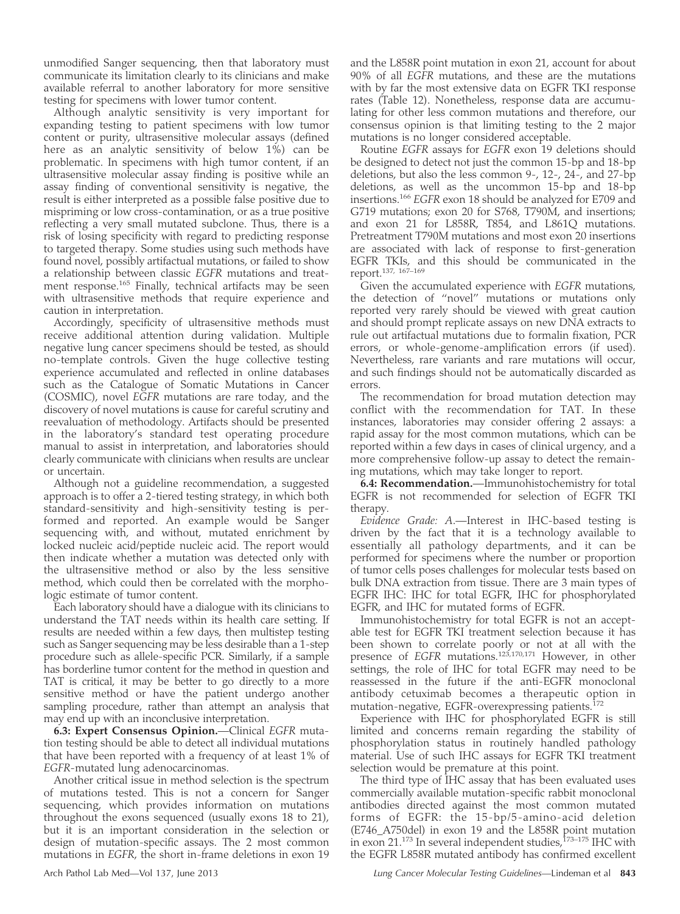unmodified Sanger sequencing, then that laboratory must communicate its limitation clearly to its clinicians and make available referral to another laboratory for more sensitive testing for specimens with lower tumor content.

Although analytic sensitivity is very important for expanding testing to patient specimens with low tumor content or purity, ultrasensitive molecular assays (defined here as an analytic sensitivity of below 1%) can be problematic. In specimens with high tumor content, if an ultrasensitive molecular assay finding is positive while an assay finding of conventional sensitivity is negative, the result is either interpreted as a possible false positive due to mispriming or low cross-contamination, or as a true positive reflecting a very small mutated subclone. Thus, there is a risk of losing specificity with regard to predicting response to targeted therapy. Some studies using such methods have found novel, possibly artifactual mutations, or failed to show a relationship between classic EGFR mutations and treatment response.<sup>165</sup> Finally, technical artifacts may be seen with ultrasensitive methods that require experience and caution in interpretation.

Accordingly, specificity of ultrasensitive methods must receive additional attention during validation. Multiple negative lung cancer specimens should be tested, as should no-template controls. Given the huge collective testing experience accumulated and reflected in online databases such as the Catalogue of Somatic Mutations in Cancer (COSMIC), novel EGFR mutations are rare today, and the discovery of novel mutations is cause for careful scrutiny and reevaluation of methodology. Artifacts should be presented in the laboratory's standard test operating procedure manual to assist in interpretation, and laboratories should clearly communicate with clinicians when results are unclear or uncertain.

Although not a guideline recommendation, a suggested approach is to offer a 2-tiered testing strategy, in which both standard-sensitivity and high-sensitivity testing is performed and reported. An example would be Sanger sequencing with, and without, mutated enrichment by locked nucleic acid/peptide nucleic acid. The report would then indicate whether a mutation was detected only with the ultrasensitive method or also by the less sensitive method, which could then be correlated with the morphologic estimate of tumor content.

Each laboratory should have a dialogue with its clinicians to understand the TAT needs within its health care setting. If results are needed within a few days, then multistep testing such as Sanger sequencing may be less desirable than a 1-step procedure such as allele-specific PCR. Similarly, if a sample has borderline tumor content for the method in question and TAT is critical, it may be better to go directly to a more sensitive method or have the patient undergo another sampling procedure, rather than attempt an analysis that may end up with an inconclusive interpretation.

6.3: Expert Consensus Opinion.—Clinical EGFR mutation testing should be able to detect all individual mutations that have been reported with a frequency of at least 1% of EGFR-mutated lung adenocarcinomas.

Another critical issue in method selection is the spectrum of mutations tested. This is not a concern for Sanger sequencing, which provides information on mutations throughout the exons sequenced (usually exons 18 to 21), but it is an important consideration in the selection or design of mutation-specific assays. The 2 most common mutations in EGFR, the short in-frame deletions in exon 19

and the L858R point mutation in exon 21, account for about 90% of all EGFR mutations, and these are the mutations with by far the most extensive data on EGFR TKI response rates (Table 12). Nonetheless, response data are accumulating for other less common mutations and therefore, our consensus opinion is that limiting testing to the 2 major mutations is no longer considered acceptable.

Routine EGFR assays for EGFR exon 19 deletions should be designed to detect not just the common 15-bp and 18-bp deletions, but also the less common 9-, 12-, 24-, and 27-bp deletions, as well as the uncommon 15-bp and 18-bp insertions.<sup>166</sup> EGFR exon 18 should be analyzed for E709 and G719 mutations; exon 20 for S768, T790M, and insertions; and exon 21 for L858R, T854, and L861Q mutations. Pretreatment T790M mutations and most exon 20 insertions are associated with lack of response to first-generation EGFR TKIs, and this should be communicated in the report.137, 167–169

Given the accumulated experience with EGFR mutations, the detection of ''novel'' mutations or mutations only reported very rarely should be viewed with great caution and should prompt replicate assays on new DNA extracts to rule out artifactual mutations due to formalin fixation, PCR errors, or whole-genome-amplification errors (if used). Nevertheless, rare variants and rare mutations will occur, and such findings should not be automatically discarded as errors.

The recommendation for broad mutation detection may conflict with the recommendation for TAT. In these instances, laboratories may consider offering 2 assays: a rapid assay for the most common mutations, which can be reported within a few days in cases of clinical urgency, and a more comprehensive follow-up assay to detect the remaining mutations, which may take longer to report.

6.4: Recommendation.—Immunohistochemistry for total EGFR is not recommended for selection of EGFR TKI therapy.

Evidence Grade: A.—Interest in IHC-based testing is driven by the fact that it is a technology available to essentially all pathology departments, and it can be performed for specimens where the number or proportion of tumor cells poses challenges for molecular tests based on bulk DNA extraction from tissue. There are 3 main types of EGFR IHC: IHC for total EGFR, IHC for phosphorylated EGFR, and IHC for mutated forms of EGFR.

Immunohistochemistry for total EGFR is not an acceptable test for EGFR TKI treatment selection because it has been shown to correlate poorly or not at all with the presence of EGFR mutations.<sup>123,170,171</sup> However, in other settings, the role of IHC for total EGFR may need to be reassessed in the future if the anti-EGFR monoclonal antibody cetuximab becomes a therapeutic option in mutation-negative, EGFR-overexpressing patients.<sup>172</sup>

Experience with IHC for phosphorylated EGFR is still limited and concerns remain regarding the stability of phosphorylation status in routinely handled pathology material. Use of such IHC assays for EGFR TKI treatment selection would be premature at this point.

The third type of IHC assay that has been evaluated uses commercially available mutation-specific rabbit monoclonal antibodies directed against the most common mutated forms of EGFR: the 15-bp/5-amino-acid deletion (E746\_A750del) in exon 19 and the L858R point mutation in exon  $21^{173}$  In several independent studies,  $173-175$  IHC with the EGFR L858R mutated antibody has confirmed excellent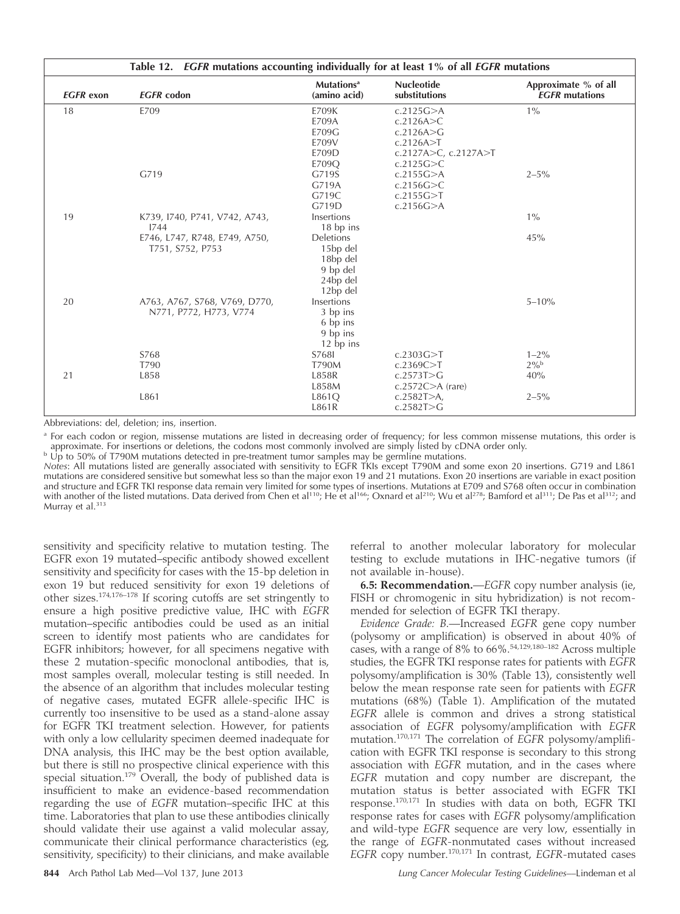| Table 12. <i>EGFR</i> mutations accounting individually for at least 1% of all <i>EGFR</i> mutations |                                                         |                                                                              |                                        |                                               |  |
|------------------------------------------------------------------------------------------------------|---------------------------------------------------------|------------------------------------------------------------------------------|----------------------------------------|-----------------------------------------------|--|
| <b>EGFR</b> exon                                                                                     | <b>EGFR</b> codon                                       | <b>Mutations</b> <sup>a</sup><br>(amino acid)                                | <b>Nucleotide</b><br>substitutions     | Approximate % of all<br><b>EGFR</b> mutations |  |
| 18                                                                                                   | E709                                                    | E709K<br>E709A                                                               | c.2125G > A<br>c.2126A > C             | $1\%$                                         |  |
|                                                                                                      |                                                         | E709G                                                                        | c.2126A > G                            |                                               |  |
|                                                                                                      |                                                         | E709V                                                                        | c.2126A > T                            |                                               |  |
|                                                                                                      |                                                         | E709D                                                                        | c.2127A>C, c.2127A>T                   |                                               |  |
|                                                                                                      |                                                         | E709O                                                                        | c.2125 $G>C$                           |                                               |  |
|                                                                                                      | G719                                                    | G719S                                                                        | c.2155G > A                            | $2 - 5\%$                                     |  |
|                                                                                                      |                                                         | G719A                                                                        | c.2156G > C                            |                                               |  |
|                                                                                                      |                                                         | G719C                                                                        | c.2155G > T                            |                                               |  |
|                                                                                                      |                                                         | G719D                                                                        | c.2156G > A                            |                                               |  |
| 19                                                                                                   | K739, I740, P741, V742, A743,<br>1744                   | Insertions<br>18 bp ins                                                      |                                        | $1\%$                                         |  |
|                                                                                                      | E746, L747, R748, E749, A750,<br>T751, S752, P753       | <b>Deletions</b><br>15bp del<br>18bp del<br>9 bp del<br>24bp del<br>12bp del |                                        | 45%                                           |  |
| 20                                                                                                   | A763, A767, S768, V769, D770,<br>N771, P772, H773, V774 | Insertions<br>3 bp ins<br>6 bp ins<br>9 bp ins<br>12 bp ins                  |                                        | $5 - 10%$                                     |  |
|                                                                                                      | S768                                                    | S768I                                                                        | c.2303G > T                            | $1 - 2\%$                                     |  |
|                                                                                                      | T790                                                    | <b>T790M</b>                                                                 | c.2369C > T                            | $2\%$ <sup>b</sup>                            |  |
| 21                                                                                                   | L858                                                    | L858R<br>L858M                                                               | c.2573T > G<br>c.2572 $C$ $>$ A (rare) | 40%                                           |  |
|                                                                                                      | L861                                                    | L861O<br>L861R                                                               | c.2582T > A<br>c.2582T > G             | $2 - 5\%$                                     |  |

Abbreviations: del, deletion; ins, insertion.

<sup>a</sup> For each codon or region, missense mutations are listed in decreasing order of frequency; for less common missense mutations, this order is approximate. For insertions or deletions, the codons most commonly involved ar

 $\frac{1}{2}$  Up to 50% of T790M mutations detected in pre-treatment tumor samples may be germline mutations.

Notes: All mutations listed are generally associated with sensitivity to EGFR TKIs except T790M and some exon 20 insertions. G719 and L861 mutations are considered sensitive but somewhat less so than the major exon 19 and 21 mutations. Exon 20 insertions are variable in exact position and structure and EGFR TKI response data remain very limited for some types of insertions. Mutations at E709 and S768 often occur in combination with another of the listed mutations. Data derived from Chen et al<sup>110</sup>; He et al<sup>166</sup>; Oxnard et al<sup>210</sup>; Wu et al<sup>278</sup>; Bamford et al<sup>311</sup>; De Pas et al<sup>312</sup>; and Murray et al.<sup>313</sup>

sensitivity and specificity relative to mutation testing. The EGFR exon 19 mutated–specific antibody showed excellent sensitivity and specificity for cases with the 15-bp deletion in exon 19 but reduced sensitivity for exon 19 deletions of other sizes.174,176–178 If scoring cutoffs are set stringently to ensure a high positive predictive value, IHC with EGFR mutation–specific antibodies could be used as an initial screen to identify most patients who are candidates for EGFR inhibitors; however, for all specimens negative with these 2 mutation-specific monoclonal antibodies, that is, most samples overall, molecular testing is still needed. In the absence of an algorithm that includes molecular testing of negative cases, mutated EGFR allele-specific IHC is currently too insensitive to be used as a stand-alone assay for EGFR TKI treatment selection. However, for patients with only a low cellularity specimen deemed inadequate for DNA analysis, this IHC may be the best option available, but there is still no prospective clinical experience with this special situation.<sup>179</sup> Overall, the body of published data is insufficient to make an evidence-based recommendation regarding the use of EGFR mutation–specific IHC at this time. Laboratories that plan to use these antibodies clinically should validate their use against a valid molecular assay, communicate their clinical performance characteristics (eg, sensitivity, specificity) to their clinicians, and make available

referral to another molecular laboratory for molecular testing to exclude mutations in IHC-negative tumors (if not available in-house).

6.5: Recommendation.—EGFR copy number analysis (ie, FISH or chromogenic in situ hybridization) is not recommended for selection of EGFR TKI therapy.

Evidence Grade: B.—Increased EGFR gene copy number (polysomy or amplification) is observed in about 40% of cases, with a range of 8% to 66%.54,129,180–182 Across multiple studies, the EGFR TKI response rates for patients with EGFR polysomy/amplification is 30% (Table 13), consistently well below the mean response rate seen for patients with EGFR mutations (68%) (Table 1). Amplification of the mutated EGFR allele is common and drives a strong statistical association of EGFR polysomy/amplification with EGFR mutation.170,171 The correlation of EGFR polysomy/amplification with EGFR TKI response is secondary to this strong association with EGFR mutation, and in the cases where EGFR mutation and copy number are discrepant, the mutation status is better associated with EGFR TKI response.170,171 In studies with data on both, EGFR TKI response rates for cases with EGFR polysomy/amplification and wild-type EGFR sequence are very low, essentially in the range of EGFR-nonmutated cases without increased EGFR copy number.170,171 In contrast, EGFR-mutated cases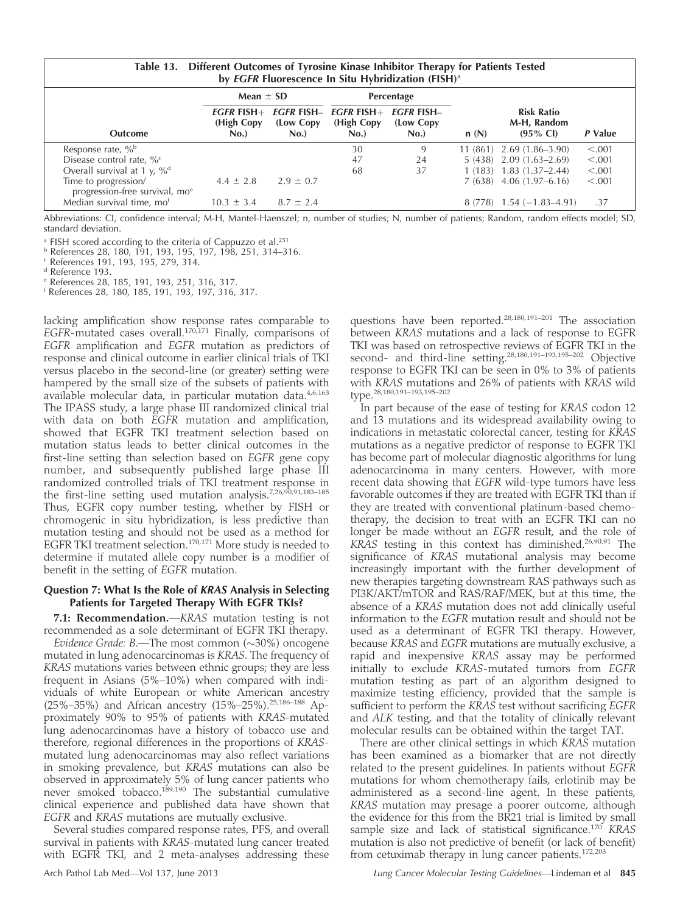| Table 13. Different Outcomes of Tyrosine Kinase Inhibitor Therapy for Patients Tested<br>by EGFR Fluorescence In Situ Hybridization (FISH) <sup>a</sup> |                                      |                   |                                             |                                        |      |                                                         |         |
|---------------------------------------------------------------------------------------------------------------------------------------------------------|--------------------------------------|-------------------|---------------------------------------------|----------------------------------------|------|---------------------------------------------------------|---------|
|                                                                                                                                                         | Mean $\pm$ SD                        |                   | Percentage                                  |                                        |      |                                                         |         |
| Outcome                                                                                                                                                 | $EGFR$ FISH $+$<br>(High Copy<br>No. | (Low Copy)<br>No. | EGFR FISH- EGFR FISH+<br>(High Copy<br>No.) | <b>EGFR FISH-</b><br>(Low Copy)<br>No. | n(N) | <b>Risk Ratio</b><br>M-H, Random<br>$(95\% \text{ Cl})$ | P Value |
| Response rate, $\%$ <sup>b</sup>                                                                                                                        |                                      |                   | 30                                          | 9                                      |      | $11(861)$ $2.69(1.86-3.90)$                             | < 0.001 |
| Disease control rate, $\%^c$                                                                                                                            |                                      |                   | 47                                          | 24                                     |      | $5(438)$ $2.09(1.63-2.69)$                              | < 0.001 |
| Overall survival at 1 y, $\%^d$                                                                                                                         |                                      |                   | 68                                          | 37                                     |      | $1(183)$ 1.83 $(1.37-2.44)$                             | < 0.001 |
| Time to progression/<br>progression-free survival, moe                                                                                                  | $4.4 \pm 2.8$                        | $2.9 \pm 0.7$     |                                             |                                        |      | $7(638)$ 4.06 $(1.97-6.16)$                             | < 0.001 |
| Median survival time, mo <sup>f</sup>                                                                                                                   | $10.3 \pm 3.4$                       | $8.7 \pm 2.4$     |                                             |                                        |      | $8(778)$ 1.54 (-1.83-4.91)                              | .37     |

Abbreviations: CI, confidence interval; M-H, Mantel-Haenszel; n, number of studies; N, number of patients; Random, random effects model; SD, standard deviation.

<sup>a</sup> FISH scored according to the criteria of Cappuzzo et al.<sup>251</sup>

<sup>b</sup> References 28, 180, 191, 193, 195, 197, 198, 251, 314–316.

<sup>c</sup> References 191, 193, 195, 279, 314.

<sup>d</sup> Reference 193.

<sup>e</sup> References 28, 185, 191, 193, 251, 316, 317.

<sup>f</sup> References 28, 180, 185, 191, 193, 197, 316, 317.

lacking amplification show response rates comparable to EGFR-mutated cases overall.<sup>170,171</sup> Finally, comparisons of EGFR amplification and EGFR mutation as predictors of response and clinical outcome in earlier clinical trials of TKI versus placebo in the second-line (or greater) setting were hampered by the small size of the subsets of patients with available molecular data, in particular mutation data.<sup>4,6,163</sup> The IPASS study, a large phase III randomized clinical trial with data on both EGFR mutation and amplification, showed that EGFR TKI treatment selection based on mutation status leads to better clinical outcomes in the first-line setting than selection based on EGFR gene copy number, and subsequently published large phase III randomized controlled trials of TKI treatment response in the first-line setting used mutation analysis.<sup>7,26,90,91,183-185</sup> Thus, EGFR copy number testing, whether by FISH or chromogenic in situ hybridization, is less predictive than mutation testing and should not be used as a method for EGFR TKI treatment selection.<sup>170,171</sup> More study is needed to determine if mutated allele copy number is a modifier of benefit in the setting of EGFR mutation.

## Question 7: What Is the Role of KRAS Analysis in Selecting Patients for Targeted Therapy With EGFR TKIs?

7.1: Recommendation.—KRAS mutation testing is not recommended as a sole determinant of EGFR TKI therapy.

*Evidence Grade: B.*—The most common  $(\sim]30\%)$  oncogene mutated in lung adenocarcinomas is KRAS. The frequency of KRAS mutations varies between ethnic groups; they are less frequent in Asians (5%–10%) when compared with individuals of white European or white American ancestry (25%–35%) and African ancestry (15%–25%).25,186–188 Approximately 90% to 95% of patients with KRAS-mutated lung adenocarcinomas have a history of tobacco use and therefore, regional differences in the proportions of KRASmutated lung adenocarcinomas may also reflect variations in smoking prevalence, but KRAS mutations can also be observed in approximately 5% of lung cancer patients who never smoked tobacco.<sup>189,190</sup> The substantial cumulative clinical experience and published data have shown that EGFR and KRAS mutations are mutually exclusive.

Several studies compared response rates, PFS, and overall survival in patients with KRAS-mutated lung cancer treated with EGFR TKI, and 2 meta-analyses addressing these

questions have been reported.<sup>28,180,191-201</sup> The association between KRAS mutations and a lack of response to EGFR TKI was based on retrospective reviews of EGFR TKI in the second- and third-line setting.<sup>28,180,191–193,195–202</sup> Objective response to EGFR TKI can be seen in 0% to 3% of patients with KRAS mutations and 26% of patients with KRAS wild type.28,180,191–193,195–202

In part because of the ease of testing for KRAS codon 12 and 13 mutations and its widespread availability owing to indications in metastatic colorectal cancer, testing for KRAS mutations as a negative predictor of response to EGFR TKI has become part of molecular diagnostic algorithms for lung adenocarcinoma in many centers. However, with more recent data showing that EGFR wild-type tumors have less favorable outcomes if they are treated with EGFR TKI than if they are treated with conventional platinum-based chemotherapy, the decision to treat with an EGFR TKI can no longer be made without an EGFR result, and the role of KRAS testing in this context has diminished.<sup>26,90,91</sup> The significance of KRAS mutational analysis may become increasingly important with the further development of new therapies targeting downstream RAS pathways such as PI3K/AKT/mTOR and RAS/RAF/MEK, but at this time, the absence of a KRAS mutation does not add clinically useful information to the EGFR mutation result and should not be used as a determinant of EGFR TKI therapy. However, because KRAS and EGFR mutations are mutually exclusive, a rapid and inexpensive KRAS assay may be performed initially to exclude KRAS-mutated tumors from EGFR mutation testing as part of an algorithm designed to maximize testing efficiency, provided that the sample is sufficient to perform the KRAS test without sacrificing EGFR and ALK testing, and that the totality of clinically relevant molecular results can be obtained within the target TAT.

There are other clinical settings in which KRAS mutation has been examined as a biomarker that are not directly related to the present guidelines. In patients without EGFR mutations for whom chemotherapy fails, erlotinib may be administered as a second-line agent. In these patients, KRAS mutation may presage a poorer outcome, although the evidence for this from the BR21 trial is limited by small sample size and lack of statistical significance.<sup>170</sup> KRAS mutation is also not predictive of benefit (or lack of benefit) from cetuximab therapy in lung cancer patients.<sup>172,203</sup>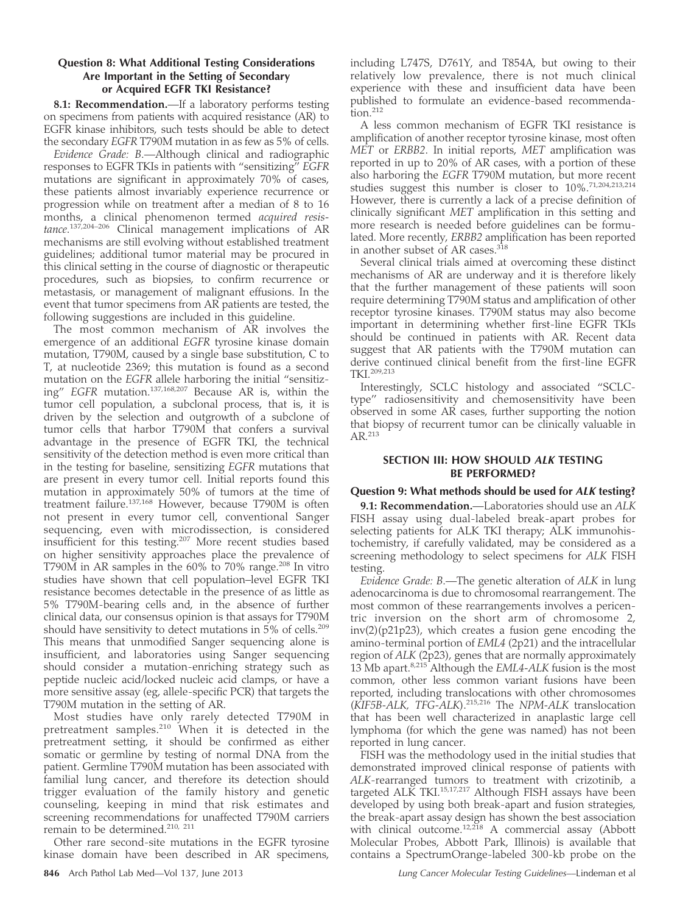#### Question 8: What Additional Testing Considerations Are Important in the Setting of Secondary or Acquired EGFR TKI Resistance?

8.1: Recommendation.-If a laboratory performs testing on specimens from patients with acquired resistance (AR) to EGFR kinase inhibitors, such tests should be able to detect the secondary EGFR T790M mutation in as few as 5% of cells.

Evidence Grade: B.—Although clinical and radiographic responses to EGFR TKIs in patients with ''sensitizing'' EGFR mutations are significant in approximately 70% of cases, these patients almost invariably experience recurrence or progression while on treatment after a median of 8 to 16 months, a clinical phenomenon termed acquired resistance.<sup>137,204-206</sup> Clinical management implications of AR mechanisms are still evolving without established treatment guidelines; additional tumor material may be procured in this clinical setting in the course of diagnostic or therapeutic procedures, such as biopsies, to confirm recurrence or metastasis, or management of malignant effusions. In the event that tumor specimens from AR patients are tested, the following suggestions are included in this guideline.

The most common mechanism of AR involves the emergence of an additional EGFR tyrosine kinase domain mutation, T790M, caused by a single base substitution, C to T, at nucleotide 2369; this mutation is found as a second mutation on the EGFR allele harboring the initial ''sensitizing'' EGFR mutation.137,168,207 Because AR is, within the tumor cell population, a subclonal process, that is, it is driven by the selection and outgrowth of a subclone of tumor cells that harbor T790M that confers a survival advantage in the presence of EGFR TKI, the technical sensitivity of the detection method is even more critical than in the testing for baseline, sensitizing EGFR mutations that are present in every tumor cell. Initial reports found this mutation in approximately 50% of tumors at the time of treatment failure.137,168 However, because T790M is often not present in every tumor cell, conventional Sanger sequencing, even with microdissection, is considered insufficient for this testing.<sup>207</sup> More recent studies based on higher sensitivity approaches place the prevalence of T790M in AR samples in the 60% to 70% range.<sup>208</sup> In vitro studies have shown that cell population–level EGFR TKI resistance becomes detectable in the presence of as little as 5% T790M-bearing cells and, in the absence of further clinical data, our consensus opinion is that assays for T790M should have sensitivity to detect mutations in 5% of cells.<sup>209</sup> This means that unmodified Sanger sequencing alone is insufficient, and laboratories using Sanger sequencing should consider a mutation-enriching strategy such as peptide nucleic acid/locked nucleic acid clamps, or have a more sensitive assay (eg, allele-specific PCR) that targets the T790M mutation in the setting of AR.

Most studies have only rarely detected T790M in pretreatment samples.<sup>210</sup> When it is detected in the pretreatment setting, it should be confirmed as either somatic or germline by testing of normal DNA from the patient. Germline T790M mutation has been associated with familial lung cancer, and therefore its detection should trigger evaluation of the family history and genetic counseling, keeping in mind that risk estimates and screening recommendations for unaffected T790M carriers remain to be determined.<sup>210, 211</sup>

Other rare second-site mutations in the EGFR tyrosine kinase domain have been described in AR specimens,

including L747S, D761Y, and T854A, but owing to their relatively low prevalence, there is not much clinical experience with these and insufficient data have been published to formulate an evidence-based recommendation.<sup>212</sup>

A less common mechanism of EGFR TKI resistance is amplification of another receptor tyrosine kinase, most often MET or ERBB2. In initial reports, MET amplification was reported in up to 20% of AR cases, with a portion of these also harboring the EGFR T790M mutation, but more recent studies suggest this number is closer to 10%.71,204,213,214 However, there is currently a lack of a precise definition of clinically significant MET amplification in this setting and more research is needed before guidelines can be formulated. More recently, ERBB2 amplification has been reported in another subset of AR cases.<sup>318</sup>

Several clinical trials aimed at overcoming these distinct mechanisms of AR are underway and it is therefore likely that the further management of these patients will soon require determining T790M status and amplification of other receptor tyrosine kinases. T790M status may also become important in determining whether first-line EGFR TKIs should be continued in patients with AR. Recent data suggest that AR patients with the T790M mutation can derive continued clinical benefit from the first-line EGFR TKI.209,213

Interestingly, SCLC histology and associated ''SCLCtype'' radiosensitivity and chemosensitivity have been observed in some AR cases, further supporting the notion that biopsy of recurrent tumor can be clinically valuable in  $AR.$ <sup>213</sup>

## SECTION III: HOW SHOULD ALK TESTING BE PERFORMED?

## Question 9: What methods should be used for ALK testing?

9.1: Recommendation.-Laboratories should use an ALK FISH assay using dual-labeled break-apart probes for selecting patients for ALK TKI therapy; ALK immunohistochemistry, if carefully validated, may be considered as a screening methodology to select specimens for ALK FISH testing.

Evidence Grade: B.—The genetic alteration of ALK in lung adenocarcinoma is due to chromosomal rearrangement. The most common of these rearrangements involves a pericentric inversion on the short arm of chromosome 2, inv(2)(p21p23), which creates a fusion gene encoding the amino-terminal portion of EML4 (2p21) and the intracellular region of ALK (2p23), genes that are normally approximately 13 Mb apart.<sup>8,215</sup> Although the EML4-ALK fusion is the most common, other less common variant fusions have been reported, including translocations with other chromosomes  $(\hat{KIF5B-ALK}, TFG-ALK).$ <sup>215,216</sup> The NPM-ALK translocation that has been well characterized in anaplastic large cell lymphoma (for which the gene was named) has not been reported in lung cancer.

FISH was the methodology used in the initial studies that demonstrated improved clinical response of patients with ALK-rearranged tumors to treatment with crizotinib, a targeted ALK TKI.<sup>15,17,217</sup> Although FISH assays have been developed by using both break-apart and fusion strategies, the break-apart assay design has shown the best association with clinical outcome.<sup>12,218</sup> A commercial assay (Abbott Molecular Probes, Abbott Park, Illinois) is available that contains a SpectrumOrange-labeled 300-kb probe on the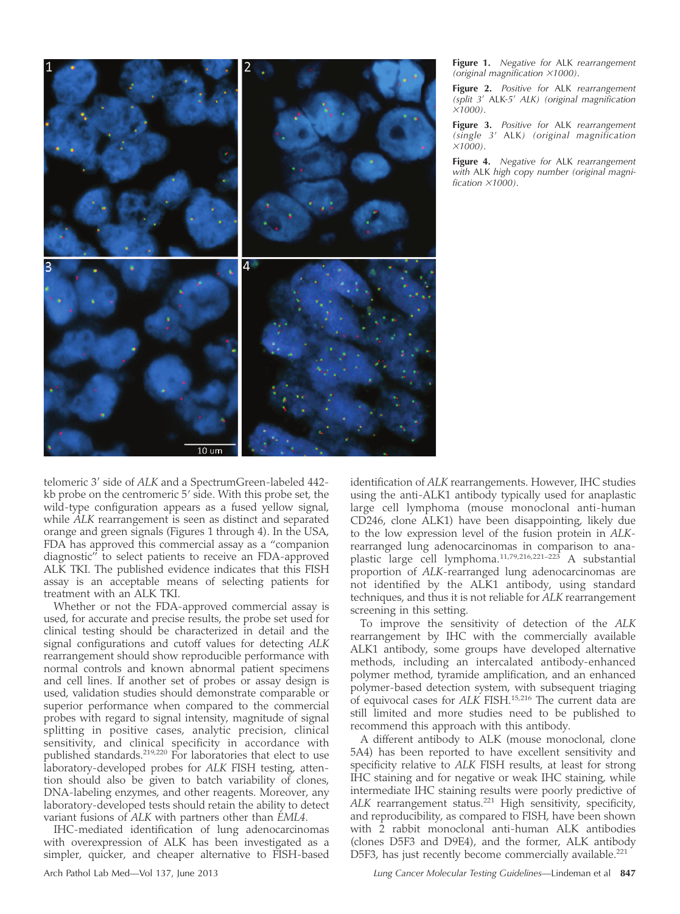

Figure 1. Negative for ALK rearrangement (original magnification  $\times 1000$ ).

Figure 2. Positive for ALK rearrangement (split  $3'$  ALK-5' ALK) (original magnification  $X1000$ ).

Figure 3. Positive for ALK rearrangement  $(single \ 3'$  ALK) (original magnification  $X1000$ ).

Figure 4. Negative for ALK rearrangement with ALK high copy number (original magnification  $\times 1000$ ).

telomeric 3' side of ALK and a SpectrumGreen-labeled 442kb probe on the centromeric  $5'$  side. With this probe set, the wild-type configuration appears as a fused yellow signal, while ALK rearrangement is seen as distinct and separated orange and green signals (Figures 1 through 4). In the USA, FDA has approved this commercial assay as a ''companion diagnostic'' to select patients to receive an FDA-approved ALK TKI. The published evidence indicates that this FISH assay is an acceptable means of selecting patients for treatment with an ALK TKI.

Whether or not the FDA-approved commercial assay is used, for accurate and precise results, the probe set used for clinical testing should be characterized in detail and the signal configurations and cutoff values for detecting ALK rearrangement should show reproducible performance with normal controls and known abnormal patient specimens and cell lines. If another set of probes or assay design is used, validation studies should demonstrate comparable or superior performance when compared to the commercial probes with regard to signal intensity, magnitude of signal splitting in positive cases, analytic precision, clinical sensitivity, and clinical specificity in accordance with published standards.219,220 For laboratories that elect to use laboratory-developed probes for ALK FISH testing, attention should also be given to batch variability of clones, DNA-labeling enzymes, and other reagents. Moreover, any laboratory-developed tests should retain the ability to detect variant fusions of ALK with partners other than EML4.

IHC-mediated identification of lung adenocarcinomas with overexpression of ALK has been investigated as a simpler, quicker, and cheaper alternative to FISH-based

identification of ALK rearrangements. However, IHC studies using the anti-ALK1 antibody typically used for anaplastic large cell lymphoma (mouse monoclonal anti-human CD246, clone ALK1) have been disappointing, likely due to the low expression level of the fusion protein in ALKrearranged lung adenocarcinomas in comparison to anaplastic large cell lymphoma.11,79,216,221–223 A substantial proportion of ALK-rearranged lung adenocarcinomas are not identified by the ALK1 antibody, using standard techniques, and thus it is not reliable for ALK rearrangement screening in this setting.

To improve the sensitivity of detection of the ALK rearrangement by IHC with the commercially available ALK1 antibody, some groups have developed alternative methods, including an intercalated antibody-enhanced polymer method, tyramide amplification, and an enhanced polymer-based detection system, with subsequent triaging of equivocal cases for ALK FISH.15,216 The current data are still limited and more studies need to be published to recommend this approach with this antibody.

A different antibody to ALK (mouse monoclonal, clone 5A4) has been reported to have excellent sensitivity and specificity relative to ALK FISH results, at least for strong IHC staining and for negative or weak IHC staining, while intermediate IHC staining results were poorly predictive of ALK rearrangement status.<sup>221</sup> High sensitivity, specificity, and reproducibility, as compared to FISH, have been shown with 2 rabbit monoclonal anti-human ALK antibodies (clones D5F3 and D9E4), and the former, ALK antibody D5F3, has just recently become commercially available.<sup>221</sup>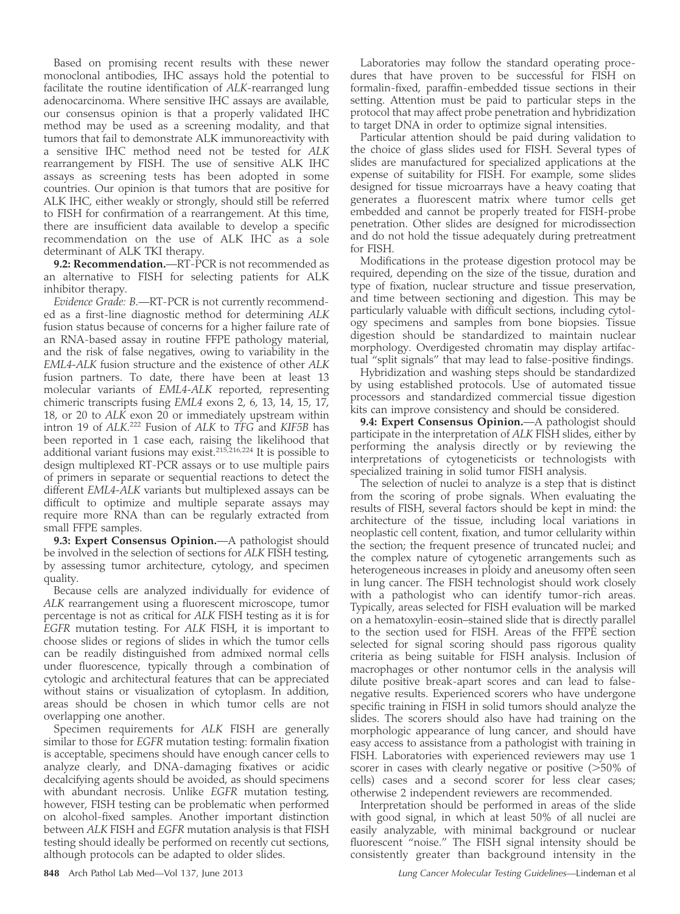Based on promising recent results with these newer monoclonal antibodies, IHC assays hold the potential to facilitate the routine identification of ALK-rearranged lung adenocarcinoma. Where sensitive IHC assays are available, our consensus opinion is that a properly validated IHC method may be used as a screening modality, and that tumors that fail to demonstrate ALK immunoreactivity with a sensitive IHC method need not be tested for ALK rearrangement by FISH. The use of sensitive ALK IHC assays as screening tests has been adopted in some countries. Our opinion is that tumors that are positive for ALK IHC, either weakly or strongly, should still be referred to FISH for confirmation of a rearrangement. At this time, there are insufficient data available to develop a specific recommendation on the use of ALK IHC as a sole determinant of ALK TKI therapy.

9.2: Recommendation.--RT-PCR is not recommended as an alternative to FISH for selecting patients for ALK inhibitor therapy.

Evidence Grade: B.—RT-PCR is not currently recommended as a first-line diagnostic method for determining ALK fusion status because of concerns for a higher failure rate of an RNA-based assay in routine FFPE pathology material, and the risk of false negatives, owing to variability in the EML4-ALK fusion structure and the existence of other ALK fusion partners. To date, there have been at least 13 molecular variants of EML4-ALK reported, representing chimeric transcripts fusing EML4 exons 2, 6, 13, 14, 15, 17, 18, or 20 to ALK exon 20 or immediately upstream within intron 19 of ALK.<sup>222</sup> Fusion of ALK to TFG and KIF5B has been reported in 1 case each, raising the likelihood that additional variant fusions may exist.215,216,224 It is possible to design multiplexed RT-PCR assays or to use multiple pairs of primers in separate or sequential reactions to detect the different EML4-ALK variants but multiplexed assays can be difficult to optimize and multiple separate assays may require more RNA than can be regularly extracted from small FFPE samples.

9.3: Expert Consensus Opinion.—A pathologist should be involved in the selection of sections for ALK FISH testing, by assessing tumor architecture, cytology, and specimen quality.

Because cells are analyzed individually for evidence of ALK rearrangement using a fluorescent microscope, tumor percentage is not as critical for ALK FISH testing as it is for EGFR mutation testing. For ALK FISH, it is important to choose slides or regions of slides in which the tumor cells can be readily distinguished from admixed normal cells under fluorescence, typically through a combination of cytologic and architectural features that can be appreciated without stains or visualization of cytoplasm. In addition, areas should be chosen in which tumor cells are not overlapping one another.

Specimen requirements for ALK FISH are generally similar to those for EGFR mutation testing: formalin fixation is acceptable, specimens should have enough cancer cells to analyze clearly, and DNA-damaging fixatives or acidic decalcifying agents should be avoided, as should specimens with abundant necrosis. Unlike EGFR mutation testing, however, FISH testing can be problematic when performed on alcohol-fixed samples. Another important distinction between ALK FISH and EGFR mutation analysis is that FISH testing should ideally be performed on recently cut sections, although protocols can be adapted to older slides.

Laboratories may follow the standard operating procedures that have proven to be successful for FISH on formalin-fixed, paraffin-embedded tissue sections in their setting. Attention must be paid to particular steps in the protocol that may affect probe penetration and hybridization to target DNA in order to optimize signal intensities.

Particular attention should be paid during validation to the choice of glass slides used for FISH. Several types of slides are manufactured for specialized applications at the expense of suitability for FISH. For example, some slides designed for tissue microarrays have a heavy coating that generates a fluorescent matrix where tumor cells get embedded and cannot be properly treated for FISH-probe penetration. Other slides are designed for microdissection and do not hold the tissue adequately during pretreatment for FISH.

Modifications in the protease digestion protocol may be required, depending on the size of the tissue, duration and type of fixation, nuclear structure and tissue preservation, and time between sectioning and digestion. This may be particularly valuable with difficult sections, including cytology specimens and samples from bone biopsies. Tissue digestion should be standardized to maintain nuclear morphology. Overdigested chromatin may display artifactual ''split signals'' that may lead to false-positive findings.

Hybridization and washing steps should be standardized by using established protocols. Use of automated tissue processors and standardized commercial tissue digestion kits can improve consistency and should be considered.

9.4: Expert Consensus Opinion.—A pathologist should participate in the interpretation of ALK FISH slides, either by performing the analysis directly or by reviewing the interpretations of cytogeneticists or technologists with specialized training in solid tumor FISH analysis.

The selection of nuclei to analyze is a step that is distinct from the scoring of probe signals. When evaluating the results of FISH, several factors should be kept in mind: the architecture of the tissue, including local variations in neoplastic cell content, fixation, and tumor cellularity within the section; the frequent presence of truncated nuclei; and the complex nature of cytogenetic arrangements such as heterogeneous increases in ploidy and aneusomy often seen in lung cancer. The FISH technologist should work closely with a pathologist who can identify tumor-rich areas. Typically, areas selected for FISH evaluation will be marked on a hematoxylin-eosin–stained slide that is directly parallel to the section used for FISH. Areas of the FFPE section selected for signal scoring should pass rigorous quality criteria as being suitable for FISH analysis. Inclusion of macrophages or other nontumor cells in the analysis will dilute positive break-apart scores and can lead to falsenegative results. Experienced scorers who have undergone specific training in FISH in solid tumors should analyze the slides. The scorers should also have had training on the morphologic appearance of lung cancer, and should have easy access to assistance from a pathologist with training in FISH. Laboratories with experienced reviewers may use 1 scorer in cases with clearly negative or positive  $($ >50% of cells) cases and a second scorer for less clear cases; otherwise 2 independent reviewers are recommended.

Interpretation should be performed in areas of the slide with good signal, in which at least 50% of all nuclei are easily analyzable, with minimal background or nuclear fluorescent ''noise.'' The FISH signal intensity should be consistently greater than background intensity in the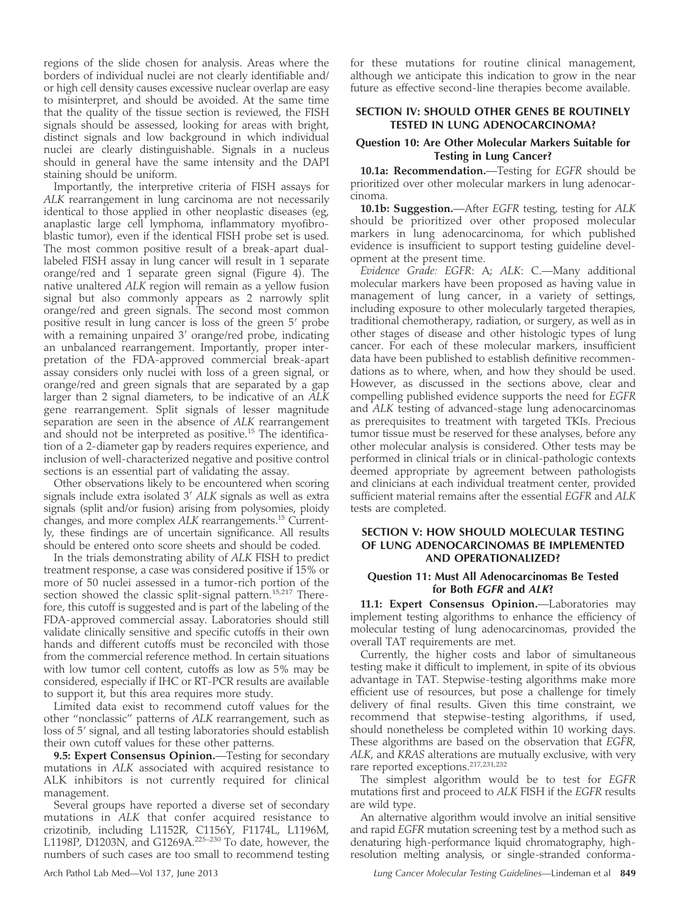regions of the slide chosen for analysis. Areas where the borders of individual nuclei are not clearly identifiable and/ or high cell density causes excessive nuclear overlap are easy to misinterpret, and should be avoided. At the same time that the quality of the tissue section is reviewed, the FISH signals should be assessed, looking for areas with bright, distinct signals and low background in which individual nuclei are clearly distinguishable. Signals in a nucleus should in general have the same intensity and the DAPI staining should be uniform.

Importantly, the interpretive criteria of FISH assays for ALK rearrangement in lung carcinoma are not necessarily identical to those applied in other neoplastic diseases (eg, anaplastic large cell lymphoma, inflammatory myofibroblastic tumor), even if the identical FISH probe set is used. The most common positive result of a break-apart duallabeled FISH assay in lung cancer will result in 1 separate orange/red and 1 separate green signal (Figure 4). The native unaltered ALK region will remain as a yellow fusion signal but also commonly appears as 2 narrowly split orange/red and green signals. The second most common positive result in lung cancer is loss of the green 5' probe with a remaining unpaired  $3'$  orange/red probe, indicating an unbalanced rearrangement. Importantly, proper interpretation of the FDA-approved commercial break-apart assay considers only nuclei with loss of a green signal, or orange/red and green signals that are separated by a gap larger than 2 signal diameters, to be indicative of an ALK gene rearrangement. Split signals of lesser magnitude separation are seen in the absence of ALK rearrangement and should not be interpreted as positive.<sup>15</sup> The identification of a 2-diameter gap by readers requires experience, and inclusion of well-characterized negative and positive control sections is an essential part of validating the assay.

Other observations likely to be encountered when scoring signals include extra isolated 3' ALK signals as well as extra signals (split and/or fusion) arising from polysomies, ploidy changes, and more complex ALK rearrangements.15 Currently, these findings are of uncertain significance. All results should be entered onto score sheets and should be coded.

In the trials demonstrating ability of ALK FISH to predict treatment response, a case was considered positive if 15% or more of 50 nuclei assessed in a tumor-rich portion of the section showed the classic split-signal pattern.15,217 Therefore, this cutoff is suggested and is part of the labeling of the FDA-approved commercial assay. Laboratories should still validate clinically sensitive and specific cutoffs in their own hands and different cutoffs must be reconciled with those from the commercial reference method. In certain situations with low tumor cell content, cutoffs as low as 5% may be considered, especially if IHC or RT-PCR results are available to support it, but this area requires more study.

Limited data exist to recommend cutoff values for the other ''nonclassic'' patterns of ALK rearrangement, such as loss of 5' signal, and all testing laboratories should establish their own cutoff values for these other patterns.

9.5: Expert Consensus Opinion.—Testing for secondary mutations in ALK associated with acquired resistance to ALK inhibitors is not currently required for clinical management.

Several groups have reported a diverse set of secondary mutations in ALK that confer acquired resistance to crizotinib, including L1152R, C1156Y, F1174L, L1196M, L1198P, D1203N, and G1269A.<sup>225-230</sup> To date, however, the numbers of such cases are too small to recommend testing

for these mutations for routine clinical management, although we anticipate this indication to grow in the near future as effective second-line therapies become available.

#### SECTION IV: SHOULD OTHER GENES BE ROUTINELY TESTED IN LUNG ADENOCARCINOMA?

## Question 10: Are Other Molecular Markers Suitable for Testing in Lung Cancer?

10.1a: Recommendation.-Testing for EGFR should be prioritized over other molecular markers in lung adenocarcinoma.

10.1b: Suggestion.—After EGFR testing, testing for ALK should be prioritized over other proposed molecular markers in lung adenocarcinoma, for which published evidence is insufficient to support testing guideline development at the present time.

Evidence Grade: EGFR: A; ALK: C.—Many additional molecular markers have been proposed as having value in management of lung cancer, in a variety of settings, including exposure to other molecularly targeted therapies, traditional chemotherapy, radiation, or surgery, as well as in other stages of disease and other histologic types of lung cancer. For each of these molecular markers, insufficient data have been published to establish definitive recommendations as to where, when, and how they should be used. However, as discussed in the sections above, clear and compelling published evidence supports the need for EGFR and ALK testing of advanced-stage lung adenocarcinomas as prerequisites to treatment with targeted TKIs. Precious tumor tissue must be reserved for these analyses, before any other molecular analysis is considered. Other tests may be performed in clinical trials or in clinical-pathologic contexts deemed appropriate by agreement between pathologists and clinicians at each individual treatment center, provided sufficient material remains after the essential EGFR and ALK tests are completed.

## SECTION V: HOW SHOULD MOLECULAR TESTING OF LUNG ADENOCARCINOMAS BE IMPLEMENTED AND OPERATIONALIZED?

## Question 11: Must All Adenocarcinomas Be Tested for Both EGFR and ALK?

11.1: Expert Consensus Opinion.—Laboratories may implement testing algorithms to enhance the efficiency of molecular testing of lung adenocarcinomas, provided the overall TAT requirements are met.

Currently, the higher costs and labor of simultaneous testing make it difficult to implement, in spite of its obvious advantage in TAT. Stepwise-testing algorithms make more efficient use of resources, but pose a challenge for timely delivery of final results. Given this time constraint, we recommend that stepwise-testing algorithms, if used, should nonetheless be completed within 10 working days. These algorithms are based on the observation that EGFR, ALK, and KRAS alterations are mutually exclusive, with very rare reported exceptions.217,231,232

The simplest algorithm would be to test for EGFR mutations first and proceed to ALK FISH if the EGFR results are wild type.

An alternative algorithm would involve an initial sensitive and rapid EGFR mutation screening test by a method such as denaturing high-performance liquid chromatography, highresolution melting analysis, or single-stranded conforma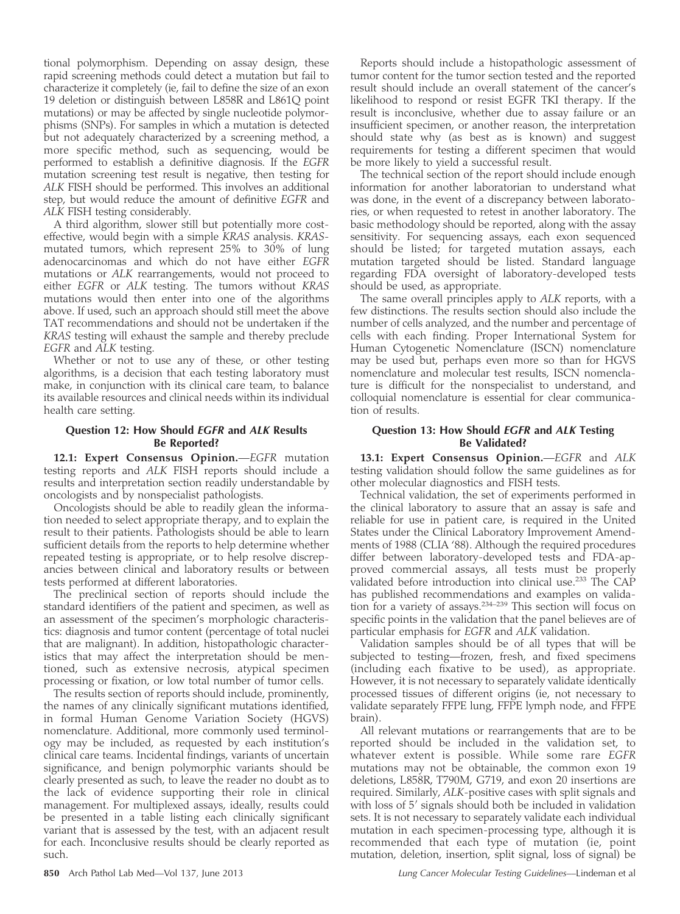tional polymorphism. Depending on assay design, these rapid screening methods could detect a mutation but fail to characterize it completely (ie, fail to define the size of an exon 19 deletion or distinguish between L858R and L861Q point mutations) or may be affected by single nucleotide polymorphisms (SNPs). For samples in which a mutation is detected but not adequately characterized by a screening method, a more specific method, such as sequencing, would be performed to establish a definitive diagnosis. If the EGFR mutation screening test result is negative, then testing for ALK FISH should be performed. This involves an additional step, but would reduce the amount of definitive EGFR and ALK FISH testing considerably.

A third algorithm, slower still but potentially more costeffective, would begin with a simple KRAS analysis. KRASmutated tumors, which represent 25% to 30% of lung adenocarcinomas and which do not have either EGFR mutations or ALK rearrangements, would not proceed to either EGFR or ALK testing. The tumors without KRAS mutations would then enter into one of the algorithms above. If used, such an approach should still meet the above TAT recommendations and should not be undertaken if the KRAS testing will exhaust the sample and thereby preclude EGFR and ALK testing.

Whether or not to use any of these, or other testing algorithms, is a decision that each testing laboratory must make, in conjunction with its clinical care team, to balance its available resources and clinical needs within its individual health care setting.

## Question 12: How Should EGFR and ALK Results Be Reported?

12.1: Expert Consensus Opinion.—EGFR mutation testing reports and ALK FISH reports should include a results and interpretation section readily understandable by oncologists and by nonspecialist pathologists.

Oncologists should be able to readily glean the information needed to select appropriate therapy, and to explain the result to their patients. Pathologists should be able to learn sufficient details from the reports to help determine whether repeated testing is appropriate, or to help resolve discrepancies between clinical and laboratory results or between tests performed at different laboratories.

The preclinical section of reports should include the standard identifiers of the patient and specimen, as well as an assessment of the specimen's morphologic characteristics: diagnosis and tumor content (percentage of total nuclei that are malignant). In addition, histopathologic characteristics that may affect the interpretation should be mentioned, such as extensive necrosis, atypical specimen processing or fixation, or low total number of tumor cells.

The results section of reports should include, prominently, the names of any clinically significant mutations identified, in formal Human Genome Variation Society (HGVS) nomenclature. Additional, more commonly used terminology may be included, as requested by each institution's clinical care teams. Incidental findings, variants of uncertain significance, and benign polymorphic variants should be clearly presented as such, to leave the reader no doubt as to the lack of evidence supporting their role in clinical management. For multiplexed assays, ideally, results could be presented in a table listing each clinically significant variant that is assessed by the test, with an adjacent result for each. Inconclusive results should be clearly reported as such.

Reports should include a histopathologic assessment of tumor content for the tumor section tested and the reported result should include an overall statement of the cancer's likelihood to respond or resist EGFR TKI therapy. If the result is inconclusive, whether due to assay failure or an insufficient specimen, or another reason, the interpretation should state why (as best as is known) and suggest requirements for testing a different specimen that would be more likely to yield a successful result.

The technical section of the report should include enough information for another laboratorian to understand what was done, in the event of a discrepancy between laboratories, or when requested to retest in another laboratory. The basic methodology should be reported, along with the assay sensitivity. For sequencing assays, each exon sequenced should be listed; for targeted mutation assays, each mutation targeted should be listed. Standard language regarding FDA oversight of laboratory-developed tests should be used, as appropriate.

The same overall principles apply to ALK reports, with a few distinctions. The results section should also include the number of cells analyzed, and the number and percentage of cells with each finding. Proper International System for Human Cytogenetic Nomenclature (ISCN) nomenclature may be used but, perhaps even more so than for HGVS nomenclature and molecular test results, ISCN nomenclature is difficult for the nonspecialist to understand, and colloquial nomenclature is essential for clear communication of results.

## Question 13: How Should EGFR and ALK Testing Be Validated?

13.1: Expert Consensus Opinion.-EGFR and ALK testing validation should follow the same guidelines as for other molecular diagnostics and FISH tests.

Technical validation, the set of experiments performed in the clinical laboratory to assure that an assay is safe and reliable for use in patient care, is required in the United States under the Clinical Laboratory Improvement Amendments of 1988 (CLIA '88). Although the required procedures differ between laboratory-developed tests and FDA-approved commercial assays, all tests must be properly validated before introduction into clinical use.<sup>233</sup> The CAP has published recommendations and examples on validation for a variety of assays.<sup>234–239</sup> This section will focus on specific points in the validation that the panel believes are of particular emphasis for EGFR and ALK validation.

Validation samples should be of all types that will be subjected to testing—frozen, fresh, and fixed specimens (including each fixative to be used), as appropriate. However, it is not necessary to separately validate identically processed tissues of different origins (ie, not necessary to validate separately FFPE lung, FFPE lymph node, and FFPE brain).

All relevant mutations or rearrangements that are to be reported should be included in the validation set, to whatever extent is possible. While some rare EGFR mutations may not be obtainable, the common exon 19 deletions, L858R, T790M, G719, and exon 20 insertions are required. Similarly, ALK-positive cases with split signals and with loss of 5' signals should both be included in validation sets. It is not necessary to separately validate each individual mutation in each specimen-processing type, although it is recommended that each type of mutation (ie, point mutation, deletion, insertion, split signal, loss of signal) be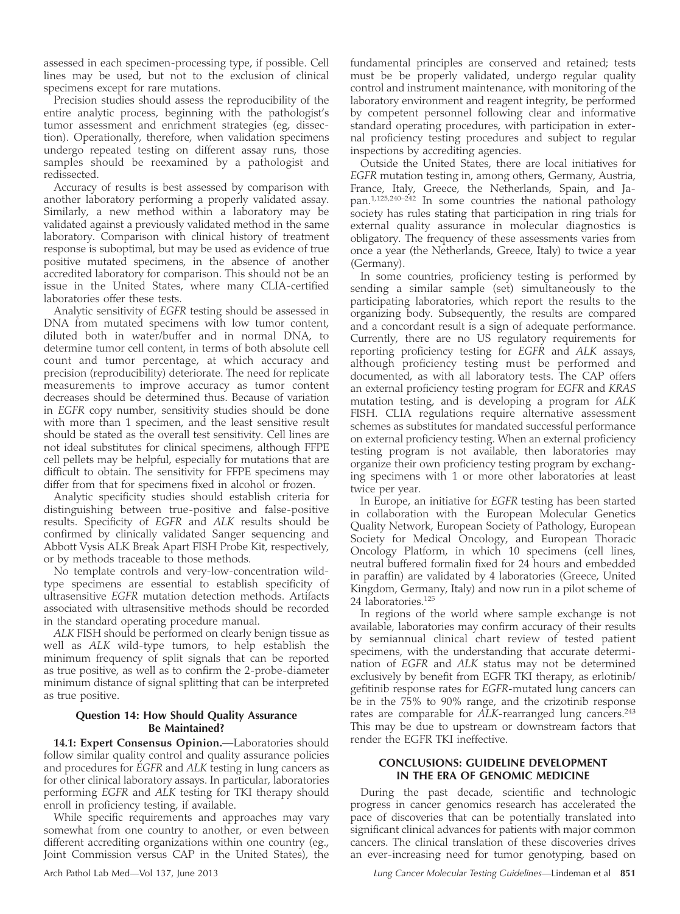assessed in each specimen-processing type, if possible. Cell lines may be used, but not to the exclusion of clinical specimens except for rare mutations.

Precision studies should assess the reproducibility of the entire analytic process, beginning with the pathologist's tumor assessment and enrichment strategies (eg, dissection). Operationally, therefore, when validation specimens undergo repeated testing on different assay runs, those samples should be reexamined by a pathologist and redissected.

Accuracy of results is best assessed by comparison with another laboratory performing a properly validated assay. Similarly, a new method within a laboratory may be validated against a previously validated method in the same laboratory. Comparison with clinical history of treatment response is suboptimal, but may be used as evidence of true positive mutated specimens, in the absence of another accredited laboratory for comparison. This should not be an issue in the United States, where many CLIA-certified laboratories offer these tests.

Analytic sensitivity of EGFR testing should be assessed in DNA from mutated specimens with low tumor content, diluted both in water/buffer and in normal DNA, to determine tumor cell content, in terms of both absolute cell count and tumor percentage, at which accuracy and precision (reproducibility) deteriorate. The need for replicate measurements to improve accuracy as tumor content decreases should be determined thus. Because of variation in EGFR copy number, sensitivity studies should be done with more than 1 specimen, and the least sensitive result should be stated as the overall test sensitivity. Cell lines are not ideal substitutes for clinical specimens, although FFPE cell pellets may be helpful, especially for mutations that are difficult to obtain. The sensitivity for FFPE specimens may differ from that for specimens fixed in alcohol or frozen.

Analytic specificity studies should establish criteria for distinguishing between true-positive and false-positive results. Specificity of EGFR and ALK results should be confirmed by clinically validated Sanger sequencing and Abbott Vysis ALK Break Apart FISH Probe Kit, respectively, or by methods traceable to those methods.

No template controls and very-low-concentration wildtype specimens are essential to establish specificity of ultrasensitive EGFR mutation detection methods. Artifacts associated with ultrasensitive methods should be recorded in the standard operating procedure manual.

ALK FISH should be performed on clearly benign tissue as well as ALK wild-type tumors, to help establish the minimum frequency of split signals that can be reported as true positive, as well as to confirm the 2-probe-diameter minimum distance of signal splitting that can be interpreted as true positive.

## Question 14: How Should Quality Assurance Be Maintained?

14.1: Expert Consensus Opinion.—Laboratories should follow similar quality control and quality assurance policies and procedures for EGFR and ALK testing in lung cancers as for other clinical laboratory assays. In particular, laboratories performing EGFR and ALK testing for TKI therapy should enroll in proficiency testing, if available.

While specific requirements and approaches may vary somewhat from one country to another, or even between different accrediting organizations within one country (eg., Joint Commission versus CAP in the United States), the

fundamental principles are conserved and retained; tests must be be properly validated, undergo regular quality control and instrument maintenance, with monitoring of the laboratory environment and reagent integrity, be performed by competent personnel following clear and informative standard operating procedures, with participation in external proficiency testing procedures and subject to regular inspections by accrediting agencies.

Outside the United States, there are local initiatives for EGFR mutation testing in, among others, Germany, Austria, France, Italy, Greece, the Netherlands, Spain, and Japan.1,125,240–242 In some countries the national pathology society has rules stating that participation in ring trials for external quality assurance in molecular diagnostics is obligatory. The frequency of these assessments varies from once a year (the Netherlands, Greece, Italy) to twice a year (Germany).

In some countries, proficiency testing is performed by sending a similar sample (set) simultaneously to the participating laboratories, which report the results to the organizing body. Subsequently, the results are compared and a concordant result is a sign of adequate performance. Currently, there are no US regulatory requirements for reporting proficiency testing for EGFR and ALK assays, although proficiency testing must be performed and documented, as with all laboratory tests. The CAP offers an external proficiency testing program for EGFR and KRAS mutation testing, and is developing a program for ALK FISH. CLIA regulations require alternative assessment schemes as substitutes for mandated successful performance on external proficiency testing. When an external proficiency testing program is not available, then laboratories may organize their own proficiency testing program by exchanging specimens with 1 or more other laboratories at least twice per year.

In Europe, an initiative for EGFR testing has been started in collaboration with the European Molecular Genetics Quality Network, European Society of Pathology, European Society for Medical Oncology, and European Thoracic Oncology Platform, in which 10 specimens (cell lines, neutral buffered formalin fixed for 24 hours and embedded in paraffin) are validated by 4 laboratories (Greece, United Kingdom, Germany, Italy) and now run in a pilot scheme of 24 laboratories.<sup>125</sup>

In regions of the world where sample exchange is not available, laboratories may confirm accuracy of their results by semiannual clinical chart review of tested patient specimens, with the understanding that accurate determination of EGFR and ALK status may not be determined exclusively by benefit from EGFR TKI therapy, as erlotinib/ gefitinib response rates for EGFR-mutated lung cancers can be in the 75% to 90% range, and the crizotinib response rates are comparable for ALK-rearranged lung cancers.<sup>243</sup> This may be due to upstream or downstream factors that render the EGFR TKI ineffective.

#### CONCLUSIONS: GUIDELINE DEVELOPMENT IN THE ERA OF GENOMIC MEDICINE

During the past decade, scientific and technologic progress in cancer genomics research has accelerated the pace of discoveries that can be potentially translated into significant clinical advances for patients with major common cancers. The clinical translation of these discoveries drives an ever-increasing need for tumor genotyping, based on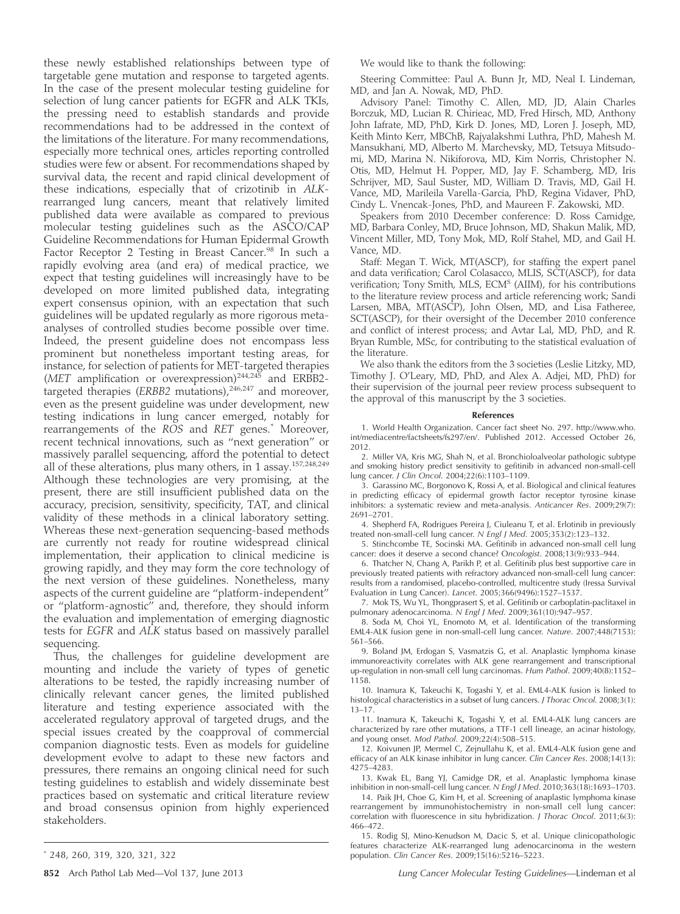these newly established relationships between type of targetable gene mutation and response to targeted agents. In the case of the present molecular testing guideline for selection of lung cancer patients for EGFR and ALK TKIs, the pressing need to establish standards and provide recommendations had to be addressed in the context of the limitations of the literature. For many recommendations, especially more technical ones, articles reporting controlled studies were few or absent. For recommendations shaped by survival data, the recent and rapid clinical development of these indications, especially that of crizotinib in ALKrearranged lung cancers, meant that relatively limited published data were available as compared to previous molecular testing guidelines such as the ASCO/CAP Guideline Recommendations for Human Epidermal Growth Factor Receptor 2 Testing in Breast Cancer.<sup>98</sup> In such a rapidly evolving area (and era) of medical practice, we expect that testing guidelines will increasingly have to be developed on more limited published data, integrating expert consensus opinion, with an expectation that such guidelines will be updated regularly as more rigorous metaanalyses of controlled studies become possible over time. Indeed, the present guideline does not encompass less prominent but nonetheless important testing areas, for instance, for selection of patients for MET-targeted therapies (MET amplification or overexpression)<sup>244,245</sup> and ERBB2targeted therapies (ERBB2 mutations),<sup>246,247</sup> and moreover, even as the present guideline was under development, new testing indications in lung cancer emerged, notably for rearrangements of the ROS and RET genes.\* Moreover, recent technical innovations, such as ''next generation'' or massively parallel sequencing, afford the potential to detect all of these alterations, plus many others, in 1 assay.157,248,249 Although these technologies are very promising, at the present, there are still insufficient published data on the accuracy, precision, sensitivity, specificity, TAT, and clinical validity of these methods in a clinical laboratory setting. Whereas these next-generation sequencing-based methods are currently not ready for routine widespread clinical implementation, their application to clinical medicine is growing rapidly, and they may form the core technology of the next version of these guidelines. Nonetheless, many aspects of the current guideline are ''platform-independent'' or ''platform-agnostic'' and, therefore, they should inform the evaluation and implementation of emerging diagnostic tests for EGFR and ALK status based on massively parallel sequencing.

Thus, the challenges for guideline development are mounting and include the variety of types of genetic alterations to be tested, the rapidly increasing number of clinically relevant cancer genes, the limited published literature and testing experience associated with the accelerated regulatory approval of targeted drugs, and the special issues created by the coapproval of commercial companion diagnostic tests. Even as models for guideline development evolve to adapt to these new factors and pressures, there remains an ongoing clinical need for such testing guidelines to establish and widely disseminate best practices based on systematic and critical literature review and broad consensus opinion from highly experienced stakeholders.

We would like to thank the following:

Steering Committee: Paul A. Bunn Jr, MD, Neal I. Lindeman, MD, and Jan A. Nowak, MD, PhD.

Advisory Panel: Timothy C. Allen, MD, JD, Alain Charles Borczuk, MD, Lucian R. Chirieac, MD, Fred Hirsch, MD, Anthony John Iafrate, MD, PhD, Kirk D. Jones, MD, Loren J. Joseph, MD, Keith Minto Kerr, MBChB, Rajyalakshmi Luthra, PhD, Mahesh M. Mansukhani, MD, Alberto M. Marchevsky, MD, Tetsuya Mitsudomi, MD, Marina N. Nikiforova, MD, Kim Norris, Christopher N. Otis, MD, Helmut H. Popper, MD, Jay F. Schamberg, MD, Iris Schrijver, MD, Saul Suster, MD, William D. Travis, MD, Gail H. Vance, MD, Marileila Varella-Garcia, PhD, Regina Vidaver, PhD, Cindy L. Vnencak-Jones, PhD, and Maureen F. Zakowski, MD.

Speakers from 2010 December conference: D. Ross Camidge, MD, Barbara Conley, MD, Bruce Johnson, MD, Shakun Malik, MD, Vincent Miller, MD, Tony Mok, MD, Rolf Stahel, MD, and Gail H. Vance, MD.

Staff: Megan T. Wick, MT(ASCP), for staffing the expert panel and data verification; Carol Colasacco, MLIS, SCT(ASCP), for data verification; Tony Smith, MLS, ECM<sup>S</sup> (AIIM), for his contributions to the literature review process and article referencing work; Sandi Larsen, MBA, MT(ASCP), John Olsen, MD, and Lisa Fatheree, SCT(ASCP), for their oversight of the December 2010 conference and conflict of interest process; and Avtar Lal, MD, PhD, and R. Bryan Rumble, MSc, for contributing to the statistical evaluation of the literature.

We also thank the editors from the 3 societies (Leslie Litzky, MD, Timothy J. O'Leary, MD, PhD, and Alex A. Adjei, MD, PhD) for their supervision of the journal peer review process subsequent to the approval of this manuscript by the 3 societies.

#### References

1. World Health Organization. Cancer fact sheet No. 297. http://www.who. int/mediacentre/factsheets/fs297/en/. Published 2012. Accessed October 26, 2012.

2. Miller VA, Kris MG, Shah N, et al. Bronchioloalveolar pathologic subtype and smoking history predict sensitivity to gefitinib in advanced non-small-cell lung cancer. J Clin Oncol. 2004;22(6):1103–1109.

3. Garassino MC, Borgonovo K, Rossi A, et al. Biological and clinical features in predicting efficacy of epidermal growth factor receptor tyrosine kinase inhibitors: a systematic review and meta-analysis. Anticancer Res. 2009;29(7): 2691–2701.

4. Shepherd FA, Rodrigues Pereira J, Ciuleanu T, et al. Erlotinib in previously treated non-small-cell lung cancer. N Engl J Med. 2005;353(2):123–132.

5. Stinchcombe TE, Socinski MA. Gefitinib in advanced non-small cell lung cancer: does it deserve a second chance? Oncologist. 2008;13(9):933–944.

6. Thatcher N, Chang A, Parikh P, et al. Gefitinib plus best supportive care in previously treated patients with refractory advanced non-small-cell lung cancer: results from a randomised, placebo-controlled, multicentre study (Iressa Survival Evaluation in Lung Cancer). Lancet. 2005;366(9496):1527–1537.

7. Mok TS, Wu YL, Thongprasert S, et al. Gefitinib or carboplatin-paclitaxel in pulmonary adenocarcinoma. N Engl J Med. 2009;361(10):947-957.

8. Soda M, Choi YL, Enomoto M, et al. Identification of the transforming EML4-ALK fusion gene in non-small-cell lung cancer. Nature. 2007;448(7153): 561–566.

9. Boland JM, Erdogan S, Vasmatzis G, et al. Anaplastic lymphoma kinase immunoreactivity correlates with ALK gene rearrangement and transcriptional up-regulation in non-small cell lung carcinomas. Hum Pathol. 2009;40(8):1152– 1158.

10. Inamura K, Takeuchi K, Togashi Y, et al. EML4-ALK fusion is linked to histological characteristics in a subset of lung cancers. J Thorac Oncol. 2008;3(1): 13–17.

11. Inamura K, Takeuchi K, Togashi Y, et al. EML4-ALK lung cancers are characterized by rare other mutations, a TTF-1 cell lineage, an acinar histology, and young onset. Mod Pathol. 2009;22(4):508–515.

12. Koivunen JP, Mermel C, Zejnullahu K, et al. EML4-ALK fusion gene and efficacy of an ALK kinase inhibitor in lung cancer. Clin Cancer Res. 2008;14(13): 4275–4283.

13. Kwak EL, Bang YJ, Camidge DR, et al. Anaplastic lymphoma kinase inhibition in non-small-cell lung cancer. N Engl J Med. 2010;363(18):1693–1703.

14. Paik JH, Choe G, Kim H, et al. Screening of anaplastic lymphoma kinase rearrangement by immunohistochemistry in non-small cell lung cancer: correlation with fluorescence in situ hybridization. *J Thorac Oncol*. 2011;6(3): 466–472.

15. Rodig SJ, Mino-Kenudson M, Dacic S, et al. Unique clinicopathologic features characterize ALK-rearranged lung adenocarcinoma in the western population. Clin Cancer Res. 2009;15(16):5216–5223. \* 248, 260, 319, 320, 321, 322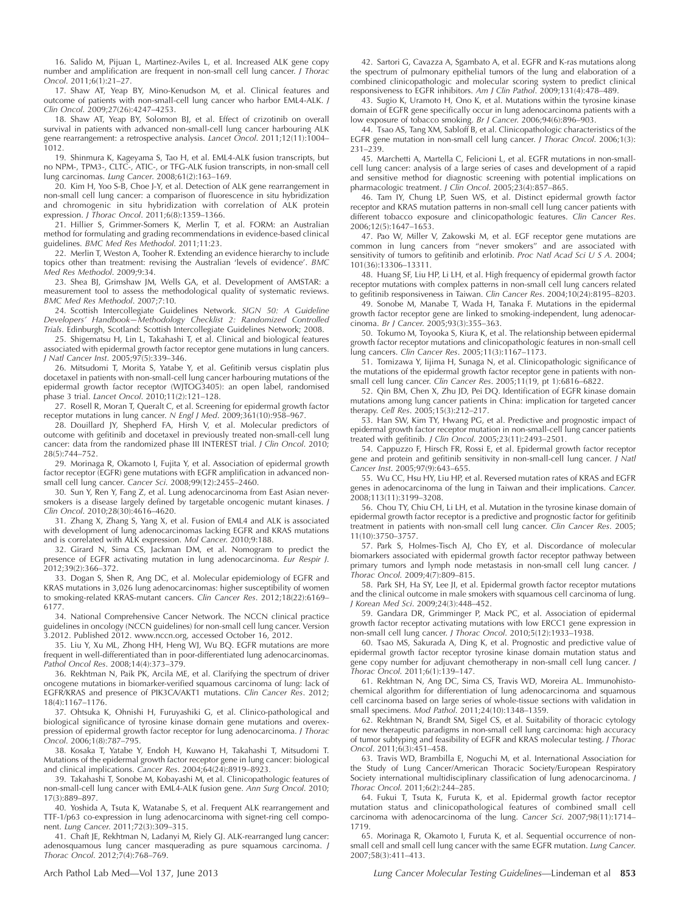16. Salido M, Pijuan L, Martinez-Aviles L, et al. Increased ALK gene copy number and amplification are frequent in non-small cell lung cancer. J Thorac Oncol. 2011;6(1):21–27.

17. Shaw AT, Yeap BY, Mino-Kenudson M, et al. Clinical features and outcome of patients with non-small-cell lung cancer who harbor EML4-ALK. J Clin Oncol. 2009;27(26):4247–4253.

18. Shaw AT, Yeap BY, Solomon BJ, et al. Effect of crizotinib on overall survival in patients with advanced non-small-cell lung cancer harbouring ALK gene rearrangement: a retrospective analysis. Lancet Oncol. 2011;12(11):1004– 1012.

19. Shinmura K, Kageyama S, Tao H, et al. EML4-ALK fusion transcripts, but no NPM-, TPM3-, CLTC-, ATIC-, or TFG-ALK fusion transcripts, in non-small cell lung carcinomas. Lung Cancer. 2008;61(2):163–169.

20. Kim H, Yoo S-B, Choe J-Y, et al. Detection of ALK gene rearrangement in non-small cell lung cancer: a comparison of fluorescence in situ hybridization and chromogenic in situ hybridization with correlation of ALK protein expression. J Thorac Oncol. 2011;6(8):1359–1366.

21. Hillier S, Grimmer-Somers K, Merlin T, et al. FORM: an Australian method for formulating and grading recommendations in evidence-based clinical guidelines. BMC Med Res Methodol. 2011;11:23.

22. Merlin T, Weston A, Tooher R. Extending an evidence hierarchy to include topics other than treatment: revising the Australian 'levels of evidence'. BMC Med Res Methodol. 2009;9:34.

23. Shea BJ, Grimshaw JM, Wells GA, et al. Development of AMSTAR: a measurement tool to assess the methodological quality of systematic reviews. BMC Med Res Methodol. 2007;7:10.

24. Scottish Intercollegiate Guidelines Network. SIGN 50: A Guideline Developers' Handbook—Methodology Checklist 2: Randomized Controlled Trials. Edinburgh, Scotland: Scottish Intercollegiate Guidelines Network; 2008.

25. Shigematsu H, Lin L, Takahashi T, et al. Clinical and biological features associated with epidermal growth factor receptor gene mutations in lung cancers. J Natl Cancer Inst. 2005;97(5):339–346.

26. Mitsudomi T, Morita S, Yatabe Y, et al. Gefitinib versus cisplatin plus docetaxel in patients with non-small-cell lung cancer harbouring mutations of the epidermal growth factor receptor (WJTOG3405): an open label, randomised phase 3 trial. Lancet Oncol. 2010;11(2):121–128.

27. Rosell R, Moran T, Queralt C, et al. Screening for epidermal growth factor receptor mutations in lung cancer. N Engl J Med. 2009;361(10):958–967.

28. Douillard JY, Shepherd FA, Hirsh V, et al. Molecular predictors of outcome with gefitinib and docetaxel in previously treated non-small-cell lung cancer: data from the randomized phase III INTEREST trial. J Clin Oncol. 2010; 28(5):744–752.

29. Morinaga R, Okamoto I, Fujita Y, et al. Association of epidermal growth factor receptor (EGFR) gene mutations with EGFR amplification in advanced nonsmall cell lung cancer. Cancer Sci. 2008;99(12):2455–2460.

30. Sun Y, Ren Y, Fang Z, et al. Lung adenocarcinoma from East Asian neversmokers is a disease largely defined by targetable oncogenic mutant kinases. J Clin Oncol. 2010;28(30):4616–4620.

31. Zhang X, Zhang S, Yang X, et al. Fusion of EML4 and ALK is associated with development of lung adenocarcinomas lacking EGFR and KRAS mutations and is correlated with ALK expression. Mol Cancer. 2010;9:188.

32. Girard N, Sima CS, Jackman DM, et al. Nomogram to predict the presence of EGFR activating mutation in lung adenocarcinoma. Eur Respir J. 2012;39(2):366–372.

33. Dogan S, Shen R, Ang DC, et al. Molecular epidemiology of EGFR and KRAS mutations in 3,026 lung adenocarcinomas: higher susceptibility of women to smoking-related KRAS-mutant cancers. Clin Cancer Res. 2012;18(22):6169– 6177.

34. National Comprehensive Cancer Network. The NCCN clinical practice guidelines in oncology (NCCN guidelines) for non-small cell lung cancer. Version 3.2012. Published 2012. www.nccn.org, accessed October 16, 2012.

35. Liu Y, Xu ML, Zhong HH, Heng WJ, Wu BQ. EGFR mutations are more frequent in well-differentiated than in poor-differentiated lung adenocarcinomas. Pathol Oncol Res. 2008;14(4):373–379.

36. Rekhtman N, Paik PK, Arcila ME, et al. Clarifying the spectrum of driver oncogene mutations in biomarker-verified squamous carcinoma of lung: lack of EGFR/KRAS and presence of PIK3CA/AKT1 mutations. Clin Cancer Res. 2012; 18(4):1167–1176.

37. Ohtsuka K, Ohnishi H, Furuyashiki G, et al. Clinico-pathological and biological significance of tyrosine kinase domain gene mutations and overexpression of epidermal growth factor receptor for lung adenocarcinoma. J Thorac Oncol. 2006;1(8):787–795.

38. Kosaka T, Yatabe Y, Endoh H, Kuwano H, Takahashi T, Mitsudomi T. Mutations of the epidermal growth factor receptor gene in lung cancer: biological and clinical implications. Cancer Res. 2004;64(24):8919–8923.

39. Takahashi T, Sonobe M, Kobayashi M, et al. Clinicopathologic features of non-small-cell lung cancer with EML4-ALK fusion gene. Ann Surg Oncol. 2010; 17(3):889–897.

40. Yoshida A, Tsuta K, Watanabe S, et al. Frequent ALK rearrangement and TTF-1/p63 co-expression in lung adenocarcinoma with signet-ring cell component. Lung Cancer. 2011;72(3):309–315.

41. Chaft JE, Rekhtman N, Ladanyi M, Riely GJ. ALK-rearranged lung cancer: adenosquamous lung cancer masquerading as pure squamous carcinoma. J Thorac Oncol. 2012;7(4):768–769.

42. Sartori G, Cavazza A, Sgambato A, et al. EGFR and K-ras mutations along the spectrum of pulmonary epithelial tumors of the lung and elaboration of a combined clinicopathologic and molecular scoring system to predict clinical responsiveness to EGFR inhibitors. Am J Clin Pathol. 2009;131(4):478–489.

43. Sugio K, Uramoto H, Ono K, et al. Mutations within the tyrosine kinase domain of EGFR gene specifically occur in lung adenocarcinoma patients with a low exposure of tobacco smoking. Br J Cancer. 2006;94(6):896–903.

44. Tsao AS, Tang XM, Sabloff B, et al. Clinicopathologic characteristics of the EGFR gene mutation in non-small cell lung cancer. J Thorac Oncol. 2006;1(3): 231–239.

45. Marchetti A, Martella C, Felicioni L, et al. EGFR mutations in non-smallcell lung cancer: analysis of a large series of cases and development of a rapid and sensitive method for diagnostic screening with potential implications on pharmacologic treatment. J Clin Oncol. 2005;23(4):857–865.

46. Tam IY, Chung LP, Suen WS, et al. Distinct epidermal growth factor receptor and KRAS mutation patterns in non-small cell lung cancer patients with different tobacco exposure and clinicopathologic features. Clin Cancer Res. 2006;12(5):1647–1653.

47. Pao W, Miller V, Zakowski M, et al. EGF receptor gene mutations are common in lung cancers from ''never smokers'' and are associated with sensitivity of tumors to gefitinib and erlotinib. Proc Natl Acad Sci U S A. 2004; 101(36):13306–13311.

48. Huang SF, Liu HP, Li LH, et al. High frequency of epidermal growth factor receptor mutations with complex patterns in non-small cell lung cancers related to gefitinib responsiveness in Taiwan. Clin Cancer Res. 2004;10(24):8195–8203.

49. Sonobe M, Manabe T, Wada H, Tanaka F. Mutations in the epidermal growth factor receptor gene are linked to smoking-independent, lung adenocarcinoma. Br J Cancer. 2005;93(3):355–363.

50. Tokumo M, Toyooka S, Kiura K, et al. The relationship between epidermal growth factor receptor mutations and clinicopathologic features in non-small cell lung cancers. Clin Cancer Res. 2005;11(3):1167–1173.

51. Tomizawa Y, Iijima H, Sunaga N, et al. Clinicopathologic significance of the mutations of the epidermal growth factor receptor gene in patients with nonsmall cell lung cancer. Clin Cancer Res. 2005;11(19, pt 1):6816–6822.

52. Qin BM, Chen X, Zhu JD, Pei DQ. Identification of EGFR kinase domain mutations among lung cancer patients in China: implication for targeted cancer therapy. Cell Res. 2005;15(3):212–217.

53. Han SW, Kim TY, Hwang PG, et al. Predictive and prognostic impact of epidermal growth factor receptor mutation in non-small-cell lung cancer patients treated with gefitinib. J Clin Oncol. 2005;23(11):2493–2501.

54. Cappuzzo F, Hirsch FR, Rossi E, et al. Epidermal growth factor receptor gene and protein and gefitinib sensitivity in non-small-cell lung cancer. J Natl Cancer Inst. 2005;97(9):643–655.

55. Wu CC, Hsu HY, Liu HP, et al. Reversed mutation rates of KRAS and EGFR genes in adenocarcinoma of the lung in Taiwan and their implications. Cancer. 2008;113(11):3199–3208.

56. Chou TY, Chiu CH, Li LH, et al. Mutation in the tyrosine kinase domain of epidermal growth factor receptor is a predictive and prognostic factor for gefitinib treatment in patients with non-small cell lung cancer. Clin Cancer Res. 2005; 11(10):3750–3757.

57. Park S, Holmes-Tisch AJ, Cho EY, et al. Discordance of molecular biomarkers associated with epidermal growth factor receptor pathway between primary tumors and lymph node metastasis in non-small cell lung cancer. J Thorac Oncol. 2009;4(7):809–815.

58. Park SH, Ha SY, Lee JI, et al. Epidermal growth factor receptor mutations and the clinical outcome in male smokers with squamous cell carcinoma of lung. J Korean Med Sci. 2009;24(3):448–452.

59. Gandara DR, Grimminger P, Mack PC, et al. Association of epidermal growth factor receptor activating mutations with low ERCC1 gene expression in non-small cell lung cancer. J Thorac Oncol. 2010;5(12):1933–1938.

60. Tsao MS, Sakurada A, Ding K, et al. Prognostic and predictive value of epidermal growth factor receptor tyrosine kinase domain mutation status and gene copy number for adjuvant chemotherapy in non-small cell lung cancer. J Thorac Oncol. 2011;6(1):139–147.

61. Rekhtman N, Ang DC, Sima CS, Travis WD, Moreira AL. Immunohistochemical algorithm for differentiation of lung adenocarcinoma and squamous cell carcinoma based on large series of whole-tissue sections with validation in small specimens. Mod Pathol. 2011;24(10):1348–1359.

62. Rekhtman N, Brandt SM, Sigel CS, et al. Suitability of thoracic cytology for new therapeutic paradigms in non-small cell lung carcinoma: high accuracy of tumor subtyping and feasibility of EGFR and KRAS molecular testing. J Thorac Oncol. 2011;6(3):451–458.

63. Travis WD, Brambilla E, Noguchi M, et al. International Association for the Study of Lung Cancer/American Thoracic Society/European Respiratory Society international multidisciplinary classification of lung adenocarcinoma. J Thorac Oncol. 2011;6(2):244–285.

64. Fukui T, Tsuta K, Furuta K, et al. Epidermal growth factor receptor mutation status and clinicopathological features of combined small cell carcinoma with adenocarcinoma of the lung. Cancer Sci. 2007;98(11):1714– 1719.

65. Morinaga R, Okamoto I, Furuta K, et al. Sequential occurrence of nonsmall cell and small cell lung cancer with the same EGFR mutation. Lung Cancer. 2007;58(3):411–413.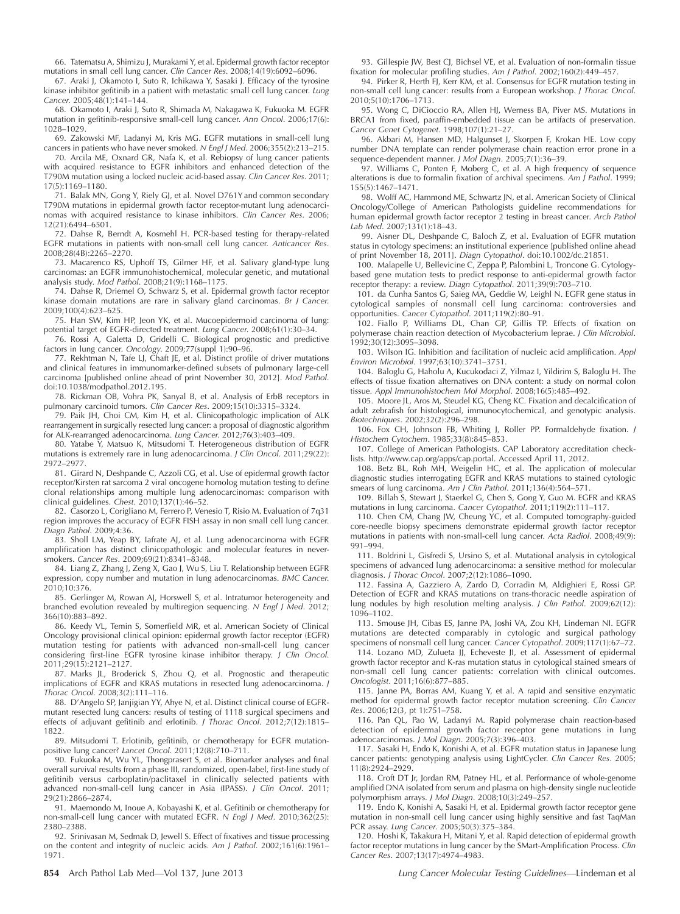66. Tatematsu A, Shimizu J, Murakami Y, et al. Epidermal growth factor receptor mutations in small cell lung cancer. Clin Cancer Res. 2008;14(19):6092–6096.

67. Araki J, Okamoto I, Suto R, Ichikawa Y, Sasaki J. Efficacy of the tyrosine kinase inhibitor gefitinib in a patient with metastatic small cell lung cancer. Lung Cancer. 2005;48(1):141–144.

68. Okamoto I, Araki J, Suto R, Shimada M, Nakagawa K, Fukuoka M. EGFR mutation in gefitinib-responsive small-cell lung cancer. Ann Oncol. 2006;17(6): 1028–1029.

69. Zakowski MF, Ladanyi M, Kris MG. EGFR mutations in small-cell lung cancers in patients who have never smoked. N Engl J Med. 2006;355(2):213–215. 70. Arcila ME, Oxnard GR, Nafa K, et al. Rebiopsy of lung cancer patients

with acquired resistance to EGFR inhibitors and enhanced detection of the T790M mutation using a locked nucleic acid-based assay. Clin Cancer Res. 2011; 17(5):1169–1180.

71. Balak MN, Gong Y, Riely GJ, et al. Novel D761Y and common secondary T790M mutations in epidermal growth factor receptor-mutant lung adenocarcinomas with acquired resistance to kinase inhibitors. Clin Cancer Res. 2006; 12(21):6494–6501.

72. Dahse R, Berndt A, Kosmehl H. PCR-based testing for therapy-related EGFR mutations in patients with non-small cell lung cancer. Anticancer Res. 2008;28(4B):2265–2270.

73. Macarenco RS, Uphoff TS, Gilmer HF, et al. Salivary gland-type lung carcinomas: an EGFR immunohistochemical, molecular genetic, and mutational analysis study. Mod Pathol. 2008;21(9):1168–1175.

74. Dahse R, Driemel O, Schwarz S, et al. Epidermal growth factor receptor kinase domain mutations are rare in salivary gland carcinomas. Br J Cancer. 2009;100(4):623–625.

75. Han SW, Kim HP, Jeon YK, et al. Mucoepidermoid carcinoma of lung: potential target of EGFR-directed treatment. Lung Cancer. 2008;61(1):30–34.

76. Rossi A, Galetta D, Gridelli C. Biological prognostic and predictive factors in lung cancer. Oncology. 2009;77(suppl 1):90–96.

77. Rekhtman N, Tafe LJ, Chaft JE, et al. Distinct profile of driver mutations and clinical features in immunomarker-defined subsets of pulmonary large-cell carcinoma [published online ahead of print November 30, 2012]. Mod Pathol. doi:10.1038/modpathol.2012.195.

78. Rickman OB, Vohra PK, Sanyal B, et al. Analysis of ErbB receptors in pulmonary carcinoid tumors. Clin Cancer Res. 2009;15(10):3315–3324.

79. Paik JH, Choi CM, Kim H, et al. Clinicopathologic implication of ALK rearrangement in surgically resected lung cancer: a proposal of diagnostic algorithm for ALK-rearranged adenocarcinoma. Lung Cancer. 2012;76(3):403–409.

80. Yatabe Y, Matsuo K, Mitsudomi T. Heterogeneous distribution of EGFR mutations is extremely rare in lung adenocarcinoma. J Clin Oncol. 2011;29(22): 2972–2977.

81. Girard N, Deshpande C, Azzoli CG, et al. Use of epidermal growth factor receptor/Kirsten rat sarcoma 2 viral oncogene homolog mutation testing to define clonal relationships among multiple lung adenocarcinomas: comparison with clinical guidelines. Chest. 2010;137(1):46–52.

82. Casorzo L, Corigliano M, Ferrero P, Venesio T, Risio M. Evaluation of 7q31 region improves the accuracy of EGFR FISH assay in non small cell lung cancer. Diagn Pathol. 2009;4:36.

83. Sholl LM, Yeap BY, Iafrate AJ, et al. Lung adenocarcinoma with EGFR amplification has distinct clinicopathologic and molecular features in neversmokers. Cancer Res. 2009;69(21):8341–8348.

84. Liang Z, Zhang J, Zeng X, Gao J, Wu S, Liu T. Relationship between EGFR expression, copy number and mutation in lung adenocarcinomas. BMC Cancer. 2010;10:376.

85. Gerlinger M, Rowan AJ, Horswell S, et al. Intratumor heterogeneity and branched evolution revealed by multiregion sequencing. N Engl J Med. 2012; 366(10):883–892.

86. Keedy VL, Temin S, Somerfield MR, et al. American Society of Clinical Oncology provisional clinical opinion: epidermal growth factor receptor (EGFR) mutation testing for patients with advanced non-small-cell lung cancer considering first-line EGFR tyrosine kinase inhibitor therapy. J Clin Oncol. 2011;29(15):2121–2127.

87. Marks JL, Broderick S, Zhou Q, et al. Prognostic and therapeutic implications of EGFR and KRAS mutations in resected lung adenocarcinoma. J Thorac Oncol. 2008;3(2):111–116.

88. D'Angelo SP, Janjigian YY, Ahye N, et al. Distinct clinical course of EGFRmutant resected lung cancers: results of testing of 1118 surgical specimens and effects of adjuvant gefitinib and erlotinib. J Thorac Oncol. 2012;7(12):1815-1822.

89. Mitsudomi T. Erlotinib, gefitinib, or chemotherapy for EGFR mutationpositive lung cancer? Lancet Oncol. 2011;12(8):710–711.

90. Fukuoka M, Wu YL, Thongprasert S, et al. Biomarker analyses and final overall survival results from a phase III, randomized, open-label, first-line study of gefitinib versus carboplatin/paclitaxel in clinically selected patients with advanced non-small-cell lung cancer in Asia (IPASS). J Clin Oncol. 2011; 29(21):2866–2874.

91. Maemondo M, Inoue A, Kobayashi K, et al. Gefitinib or chemotherapy for non-small-cell lung cancer with mutated EGFR. N Engl J Med. 2010;362(25): 2380–2388.

92. Srinivasan M, Sedmak D, Jewell S. Effect of fixatives and tissue processing on the content and integrity of nucleic acids. Am J Pathol. 2002;161(6):1961– 1971.

93. Gillespie JW, Best CJ, Bichsel VE, et al. Evaluation of non-formalin tissue fixation for molecular profiling studies. Am J Pathol. 2002;160(2):449–457.

94. Pirker R, Herth FJ, Kerr KM, et al. Consensus for EGFR mutation testing in non-small cell lung cancer: results from a European workshop. J Thorac Oncol. 2010;5(10):1706–1713.

95. Wong C, DiCioccio RA, Allen HJ, Werness BA, Piver MS. Mutations in BRCA1 from fixed, paraffin-embedded tissue can be artifacts of preservation. Cancer Genet Cytogenet. 1998;107(1):21–27.

96. Akbari M, Hansen MD, Halgunset J, Skorpen F, Krokan HE. Low copy number DNA template can render polymerase chain reaction error prone in a sequence-dependent manner. J Mol Diagn. 2005;7(1):36–39.

97. Williams C, Ponten F, Moberg C, et al. A high frequency of sequence alterations is due to formalin fixation of archival specimens. Am J Pathol. 1999; 155(5):1467–1471.

98. Wolff AC, Hammond ME, Schwartz JN, et al. American Society of Clinical Oncology/College of American Pathologists guideline recommendations for human epidermal growth factor receptor 2 testing in breast cancer. Arch Pathol Lab Med. 2007;131(1):18–43.

99. Aisner DL, Deshpande C, Baloch Z, et al. Evaluation of EGFR mutation status in cytology specimens: an institutional experience [published online ahead of print November 18, 2011]. Diagn Cytopathol. doi:10.1002/dc.21851.

100. Malapelle U, Bellevicine C, Zeppa P, Palombini L, Troncone G. Cytologybased gene mutation tests to predict response to anti-epidermal growth factor receptor therapy: a review. Diagn Cytopathol. 2011;39(9):703–710.

101. da Cunha Santos G, Saieg MA, Geddie W, Leighl N. EGFR gene status in cytological samples of nonsmall cell lung carcinoma: controversies and opportunities. Cancer Cytopathol. 2011;119(2):80–91.

102. Fiallo P, Williams DL, Chan GP, Gillis TP. Effects of fixation on polymerase chain reaction detection of Mycobacterium leprae. J Clin Microbiol. 1992;30(12):3095–3098.

103. Wilson IG. Inhibition and facilitation of nucleic acid amplification. Appl Environ Microbiol. 1997;63(10):3741–3751.

104. Baloglu G, Haholu A, Kucukodaci Z, Yilmaz I, Yildirim S, Baloglu H. The effects of tissue fixation alternatives on DNA content: a study on normal colon tissue. Appl Immunohistochem Mol Morphol. 2008;16(5):485–492.

105. Moore JL, Aros M, Steudel KG, Cheng KC. Fixation and decalcification of adult zebrafish for histological, immunocytochemical, and genotypic analysis. Biotechniques. 2002;32(2):296–298.

106. Fox CH, Johnson FB, Whiting J, Roller PP. Formaldehyde fixation. J Histochem Cytochem. 1985;33(8):845–853.

107. College of American Pathologists. CAP Laboratory accreditation checklists. http://www.cap.org/apps/cap.portal. Accessed April 11, 2012.

108. Betz BL, Roh MH, Weigelin HC, et al. The application of molecular diagnostic studies interrogating EGFR and KRAS mutations to stained cytologic smears of lung carcinoma. Am J Clin Pathol. 2011;136(4):564–571.

109. Billah S, Stewart J, Staerkel G, Chen S, Gong Y, Guo M. EGFR and KRAS mutations in lung carcinoma. Cancer Cytopathol. 2011;119(2):111–117.

110. Chen CM, Chang JW, Cheung YC, et al. Computed tomography-guided core-needle biopsy specimens demonstrate epidermal growth factor receptor mutations in patients with non-small-cell lung cancer. Acta Radiol. 2008;49(9): 991–994.

111. Boldrini L, Gisfredi S, Ursino S, et al. Mutational analysis in cytological specimens of advanced lung adenocarcinoma: a sensitive method for molecular diagnosis. J Thorac Oncol. 2007;2(12):1086–1090.

112. Fassina A, Gazziero A, Zardo D, Corradin M, Aldighieri E, Rossi GP. Detection of EGFR and KRAS mutations on trans-thoracic needle aspiration of lung nodules by high resolution melting analysis. J Clin Pathol. 2009;62(12): 1096–1102.

113. Smouse JH, Cibas ES, Janne PA, Joshi VA, Zou KH, Lindeman NI. EGFR mutations are detected comparably in cytologic and surgical pathology specimens of nonsmall cell lung cancer. Cancer Cytopathol. 2009;117(1):67–72.

114. Lozano MD, Zulueta JJ, Echeveste JI, et al. Assessment of epidermal growth factor receptor and K-ras mutation status in cytological stained smears of non-small cell lung cancer patients: correlation with clinical outcomes. Oncologist. 2011;16(6):877–885.

115. Janne PA, Borras AM, Kuang Y, et al. A rapid and sensitive enzymatic method for epidermal growth factor receptor mutation screening. Clin Cancer Res. 2006;12(3, pt 1):751–758.

116. Pan QL, Pao W, Ladanyi M. Rapid polymerase chain reaction-based detection of epidermal growth factor receptor gene mutations in lung adenocarcinomas. J Mol Diagn. 2005;7(3):396–403.

117. Sasaki H, Endo K, Konishi A, et al. EGFR mutation status in Japanese lung cancer patients: genotyping analysis using LightCycler. Clin Cancer Res. 2005; 11(8):2924–2929.

118. Croft DT Jr, Jordan RM, Patney HL, et al. Performance of whole-genome amplified DNA isolated from serum and plasma on high-density single nucleotide polymorphism arrays. J Mol Diagn. 2008;10(3):249–257.

119. Endo K, Konishi A, Sasaki H, et al. Epidermal growth factor receptor gene mutation in non-small cell lung cancer using highly sensitive and fast TaqMan PCR assay. Lung Cancer. 2005;50(3):375–384.

120. Hoshi K, Takakura H, Mitani Y, et al. Rapid detection of epidermal growth factor receptor mutations in lung cancer by the SMart-Amplification Process. Clin Cancer Res. 2007;13(17):4974–4983.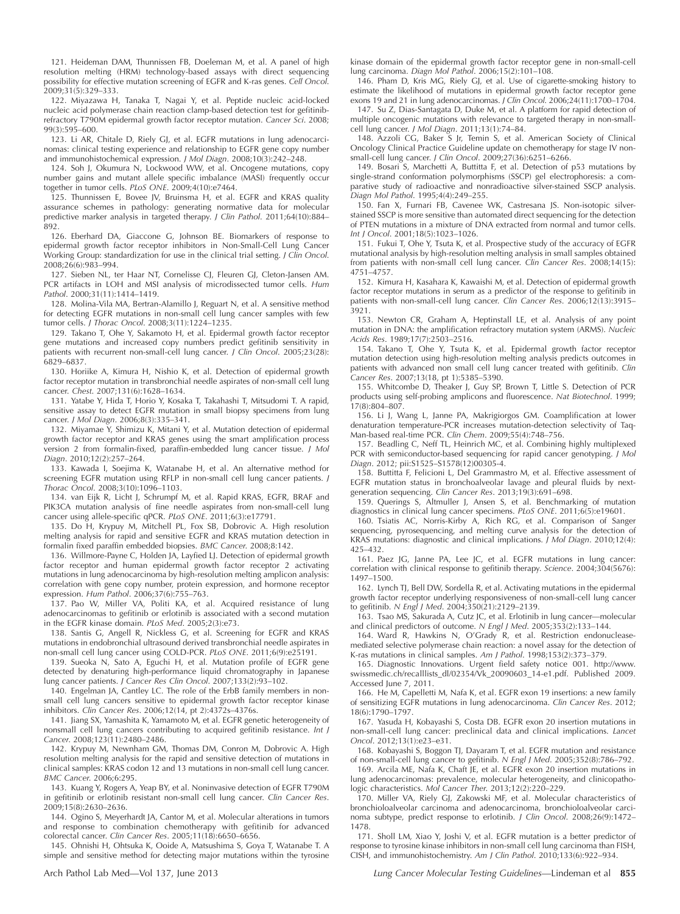121. Heideman DAM, Thunnissen FB, Doeleman M, et al. A panel of high resolution melting (HRM) technology-based assays with direct sequencing possibility for effective mutation screening of EGFR and K-ras genes. Cell Oncol. 2009;31(5):329–333.

122. Miyazawa H, Tanaka T, Nagai Y, et al. Peptide nucleic acid-locked nucleic acid polymerase chain reaction clamp-based detection test for gefitinibrefractory T790M epidermal growth factor receptor mutation. Cancer Sci. 2008; 99(3):595–600.

123. Li AR, Chitale D, Riely GJ, et al. EGFR mutations in lung adenocarcinomas: clinical testing experience and relationship to EGFR gene copy number and immunohistochemical expression. J Mol Diagn. 2008;10(3):242–248.

124. Soh J, Okumura N, Lockwood WW, et al. Oncogene mutations, copy number gains and mutant allele specific imbalance (MASI) frequently occur together in tumor cells. PLoS ONE. 2009;4(10):e7464.

125. Thunnissen E, Bovee JV, Bruinsma H, et al. EGFR and KRAS quality assurance schemes in pathology: generating normative data for molecular predictive marker analysis in targeted therapy. J Clin Pathol. 2011;64(10):884-892.

126. Eberhard DA, Giaccone G, Johnson BE. Biomarkers of response to epidermal growth factor receptor inhibitors in Non-Small-Cell Lung Cancer Working Group: standardization for use in the clinical trial setting. J Clin Oncol. 2008;26(6):983–994.

127. Sieben NL, ter Haar NT, Cornelisse CJ, Fleuren GJ, Cleton-Jansen AM. PCR artifacts in LOH and MSI analysis of microdissected tumor cells. Hum Pathol. 2000;31(11):1414–1419.

128. Molina-Vila MA, Bertran-Alamillo J, Reguart N, et al. A sensitive method for detecting EGFR mutations in non-small cell lung cancer samples with few tumor cells. J Thorac Oncol. 2008;3(11):1224–1235.

129. Takano T, Ohe Y, Sakamoto H, et al. Epidermal growth factor receptor gene mutations and increased copy numbers predict gefitinib sensitivity in patients with recurrent non-small-cell lung cancer. J Clin Oncol. 2005;23(28): 6829–6837.

130. Horiike A, Kimura H, Nishio K, et al. Detection of epidermal growth factor receptor mutation in transbronchial needle aspirates of non-small cell lung cancer. Chest. 2007;131(6):1628–1634.

131. Yatabe Y, Hida T, Horio Y, Kosaka T, Takahashi T, Mitsudomi T. A rapid, sensitive assay to detect EGFR mutation in small biopsy specimens from lung cancer. J Mol Diagn. 2006;8(3):335–341.

132. Miyamae Y, Shimizu K, Mitani Y, et al. Mutation detection of epidermal growth factor receptor and KRAS genes using the smart amplification process version 2 from formalin-fixed, paraffin-embedded lung cancer tissue. J Mol Diagn. 2010;12(2):257–264.

133. Kawada I, Soejima K, Watanabe H, et al. An alternative method for screening EGFR mutation using RFLP in non-small cell lung cancer patients. J Thorac Oncol. 2008;3(10):1096–1103.

134. van Eijk R, Licht J, Schrumpf M, et al. Rapid KRAS, EGFR, BRAF and PIK3CA mutation analysis of fine needle aspirates from non-small-cell lung cancer using allele-specific qPCR. PLoS ONE. 2011;6(3):e17791.

135. Do H, Krypuy M, Mitchell PL, Fox SB, Dobrovic A. High resolution melting analysis for rapid and sensitive EGFR and KRAS mutation detection in formalin fixed paraffin embedded biopsies. BMC Cancer. 2008;8:142.

136. Willmore-Payne C, Holden JA, Layfied LJ. Detection of epidermal growth factor receptor and human epidermal growth factor receptor 2 activating mutations in lung adenocarcinoma by high-resolution melting amplicon analysis: correlation with gene copy number, protein expression, and hormone receptor expression. Hum Pathol. 2006;37(6):755–763.

137. Pao W, Miller VA, Politi KA, et al. Acquired resistance of lung adenocarcinomas to gefitinib or erlotinib is associated with a second mutation in the EGFR kinase domain. PLoS Med. 2005;2(3):e73.

138. Santis G, Angell R, Nickless G, et al. Screening for EGFR and KRAS mutations in endobronchial ultrasound derived transbronchial needle aspirates in non-small cell lung cancer using COLD-PCR. PLoS ONE. 2011;6(9):e25191.

139. Sueoka N, Sato A, Eguchi H, et al. Mutation profile of EGFR gene detected by denaturing high-performance liquid chromatography in Japanese lung cancer patients. J Cancer Res Clin Oncol. 2007;133(2):93–102.

140. Engelman JA, Cantley LC. The role of the ErbB family members in nonsmall cell lung cancers sensitive to epidermal growth factor receptor kinase inhibitors. Clin Cancer Res. 2006;12(14, pt 2):4372s–4376s.

141. Jiang SX, Yamashita K, Yamamoto M, et al. EGFR genetic heterogeneity of nonsmall cell lung cancers contributing to acquired gefitinib resistance. Int J Cancer. 2008;123(11):2480–2486.

142. Krypuy M, Newnham GM, Thomas DM, Conron M, Dobrovic A. High resolution melting analysis for the rapid and sensitive detection of mutations in clinical samples: KRAS codon 12 and 13 mutations in non-small cell lung cancer. BMC Cancer. 2006;6:295.

143. Kuang Y, Rogers A, Yeap BY, et al. Noninvasive detection of EGFR T790M in gefitinib or erlotinib resistant non-small cell lung cancer. Clin Cancer Res. 2009;15(8):2630–2636.

144. Ogino S, Meyerhardt JA, Cantor M, et al. Molecular alterations in tumors and response to combination chemotherapy with gefitinib for advanced colorectal cancer. Clin Cancer Res. 2005;11(18):6650–6656.

145. Ohnishi H, Ohtsuka K, Ooide A, Matsushima S, Goya T, Watanabe T. A simple and sensitive method for detecting major mutations within the tyrosine kinase domain of the epidermal growth factor receptor gene in non-small-cell lung carcinoma. Diagn Mol Pathol. 2006;15(2):101–108.

146. Pham D, Kris MG, Riely GJ, et al. Use of cigarette-smoking history to estimate the likelihood of mutations in epidermal growth factor receptor gene exons 19 and 21 in lung adenocarcinomas. J Clin Oncol. 2006;24(11):1700–1704.

147. Su Z, Dias-Santagata D, Duke M, et al. A platform for rapid detection of multiple oncogenic mutations with relevance to targeted therapy in non-smallcell lung cancer. J Mol Diagn. 2011;13(1):74–84.

148. Azzoli CG, Baker S Jr, Temin S, et al. American Society of Clinical Oncology Clinical Practice Guideline update on chemotherapy for stage IV nonsmall-cell lung cancer. J Clin Oncol. 2009;27(36):6251–6266.

149. Bosari S, Marchetti A, Buttitta F, et al. Detection of p53 mutations by single-strand conformation polymorphisms (SSCP) gel electrophoresis: a comparative study of radioactive and nonradioactive silver-stained SSCP analysis. Diagn Mol Pathol. 1995;4(4):249–255.

150. Fan X, Furnari FB, Cavenee WK, Castresana JS. Non-isotopic silverstained SSCP is more sensitive than automated direct sequencing for the detection of PTEN mutations in a mixture of DNA extracted from normal and tumor cells. Int J Oncol. 2001;18(5):1023–1026.

151. Fukui T, Ohe Y, Tsuta K, et al. Prospective study of the accuracy of EGFR mutational analysis by high-resolution melting analysis in small samples obtained from patients with non-small cell lung cancer. Clin Cancer Res. 2008;14(15): 4751–4757.

152. Kimura H, Kasahara K, Kawaishi M, et al. Detection of epidermal growth factor receptor mutations in serum as a predictor of the response to gefitinib in patients with non-small-cell lung cancer. Clin Cancer Res. 2006;12(13):3915-3921.

153. Newton CR, Graham A, Heptinstall LE, et al. Analysis of any point mutation in DNA: the amplification refractory mutation system (ARMS). Nucleic Acids Res. 1989;17(7):2503–2516.

154. Takano T, Ohe Y, Tsuta K, et al. Epidermal growth factor receptor mutation detection using high-resolution melting analysis predicts outcomes in patients with advanced non small cell lung cancer treated with gefitinib. Clin Cancer Res. 2007;13(18, pt 1):5385–5390.

155. Whitcombe D, Theaker J, Guy SP, Brown T, Little S. Detection of PCR products using self-probing amplicons and fluorescence. Nat Biotechnol. 1999;  $17(8)$  $\cdot$ 804–807

156. Li J, Wang L, Janne PA, Makrigiorgos GM. Coamplification at lower denaturation temperature-PCR increases mutation-detection selectivity of Taq-Man-based real-time PCR. Clin Chem. 2009;55(4):748–756.

157. Beadling C, Neff TL, Heinrich MC, et al. Combining highly multiplexed PCR with semiconductor-based sequencing for rapid cancer genotyping. J Mol Diagn. 2012; pii:S1525–S1578(12)00305-4.

158. Buttitta F, Felicioni L, Del Grammastro M, et al. Effective assessment of EGFR mutation status in bronchoalveolar lavage and pleural fluids by nextgeneration sequencing. Clin Cancer Res. 2013;19(3):691–698.

159. Querings S, Altmuller J, Ansen S, et al. Benchmarking of mutation diagnostics in clinical lung cancer specimens. PLoS ONE. 2011;6(5):e19601.

160. Tsiatis AC, Norris-Kirby A, Rich RG, et al. Comparison of Sanger sequencing, pyrosequencing, and melting curve analysis for the detection of KRAS mutations: diagnostic and clinical implications. J Mol Diagn. 2010;12(4): 425–432.

161. Paez JG, Janne PA, Lee JC, et al. EGFR mutations in lung cancer: correlation with clinical response to gefitinib therapy. Science. 2004;304(5676): 1497–1500.

162. Lynch TJ, Bell DW, Sordella R, et al. Activating mutations in the epidermal growth factor receptor underlying responsiveness of non-small-cell lung cancer to gefitinib. N Engl J Med. 2004;350(21):2129–2139.

163. Tsao MS, Sakurada A, Cutz JC, et al. Erlotinib in lung cancer—molecular and clinical predictors of outcome. N Engl J Med. 2005;353(2):133–144.

164. Ward R, Hawkins N, O'Grady R, et al. Restriction endonucleasemediated selective polymerase chain reaction: a novel assay for the detection of K-ras mutations in clinical samples. Am J Pathol. 1998;153(2):373–379.

165. Diagnostic Innovations. Urgent field safety notice 001. http://www. swissmedic.ch/recalllists\_dl/02354/Vk\_20090603\_14-e1.pdf. Published 2009. Accessed June 7, 2011.

166. He M, Capelletti M, Nafa K, et al. EGFR exon 19 insertions: a new family of sensitizing EGFR mutations in lung adenocarcinoma. Clin Cancer Res. 2012; 18(6):1790–1797.

167. Yasuda H, Kobayashi S, Costa DB. EGFR exon 20 insertion mutations in non-small-cell lung cancer: preclinical data and clinical implications. Lancet Oncol. 2012;13(1):e23–e31.

168. Kobayashi S, Boggon TJ, Dayaram T, et al. EGFR mutation and resistance of non-small-cell lung cancer to gefitinib. N Engl J Med. 2005;352(8):786–792.

169. Arcila ME, Nafa K, Chaft JE, et al. EGFR exon 20 insertion mutations in lung adenocarcinomas: prevalence, molecular heterogeneity, and clinicopathologic characteristics. Mol Cancer Ther. 2013;12(2):220–229.

170. Miller VA, Riely GJ, Zakowski MF, et al. Molecular characteristics of bronchioloalveolar carcinoma and adenocarcinoma, bronchioloalveolar carcinoma subtype, predict response to erlotinib. J Clin Oncol. 2008;26(9):1472– 1478.

171. Sholl LM, Xiao Y, Joshi V, et al. EGFR mutation is a better predictor of response to tyrosine kinase inhibitors in non-small cell lung carcinoma than FISH, CISH, and immunohistochemistry. Am J Clin Pathol. 2010;133(6):922–934.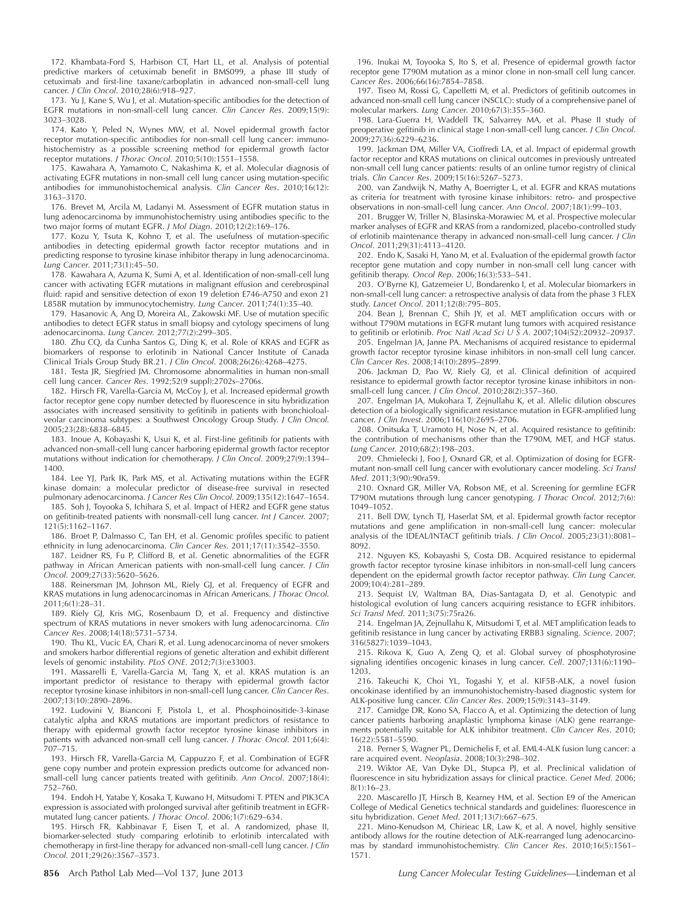172. Khambata-Ford S, Harbison CT, Hart LL, et al. Analysis of potential predictive markers of cetuximab benefit in BMS099, a phase III study of cetuximab and first-line taxane/carboplatin in advanced non-small-cell lung cancer. J Clin Oncol. 2010;28(6):918–927.

173. Yu J, Kane S, Wu J, et al. Mutation-specific antibodies for the detection of EGFR mutations in non-small-cell lung cancer. Clin Cancer Res. 2009;15(9): 3023–3028.

174. Kato Y, Peled N, Wynes MW, et al. Novel epidermal growth factor receptor mutation-specific antibodies for non-small cell lung cancer: immunohistochemistry as a possible screening method for epidermal growth factor receptor mutations. J Thorac Oncol. 2010;5(10):1551–1558.

175. Kawahara A, Yamamoto C, Nakashima K, et al. Molecular diagnosis of activating EGFR mutations in non-small cell lung cancer using mutation-specific antibodies for immunohistochemical analysis. Clin Cancer Res. 2010;16(12): 3163–3170.

176. Brevet M, Arcila M, Ladanyi M. Assessment of EGFR mutation status in lung adenocarcinoma by immunohistochemistry using antibodies specific to the two major forms of mutant EGFR. J Mol Diagn. 2010;12(2):169–176.

177. Kozu Y, Tsuta K, Kohno T, et al. The usefulness of mutation-specific antibodies in detecting epidermal growth factor receptor mutations and in predicting response to tyrosine kinase inhibitor therapy in lung adenocarcinoma. Lung Cancer. 2011;73(1):45–50.

178. Kawahara A, Azuma K, Sumi A, et al. Identification of non-small-cell lung cancer with activating EGFR mutations in malignant effusion and cerebrospinal fluid: rapid and sensitive detection of exon 19 deletion E746-A750 and exon 21 L858R mutation by immunocytochemistry. Lung Cancer. 2011;74(1):35–40.

179. Hasanovic A, Ang D, Moreira AL, Zakowski MF. Use of mutation specific antibodies to detect EGFR status in small biopsy and cytology specimens of lung adenocarcinoma. Lung Cancer. 2012;77(2):299–305.

180. Zhu CQ, da Cunha Santos G, Ding K, et al. Role of KRAS and EGFR as biomarkers of response to erlotinib in National Cancer Institute of Canada Clinical Trials Group Study BR.21. J Clin Oncol. 2008;26(26):4268–4275.

181. Testa JR, Siegfried JM. Chromosome abnormalities in human non-small cell lung cancer. Cancer Res. 1992;52(9 suppl):2702s–2706s.

182. Hirsch FR, Varella-Garcia M, McCoy J, et al. Increased epidermal growth factor receptor gene copy number detected by fluorescence in situ hybridization associates with increased sensitivity to gefitinib in patients with bronchioloalveolar carcinoma subtypes: a Southwest Oncology Group Study. J Clin Oncol. 2005;23(28):6838–6845.

183. Inoue A, Kobayashi K, Usui K, et al. First-line gefitinib for patients with advanced non-small-cell lung cancer harboring epidermal growth factor receptor mutations without indication for chemotherapy. J Clin Oncol. 2009;27(9):1394– 1400.

184. Lee YJ, Park IK, Park MS, et al. Activating mutations within the EGFR kinase domain: a molecular predictor of disease-free survival in resected pulmonary adenocarcinoma. J Cancer Res Clin Oncol. 2009;135(12):1647–1654.

185. Soh J, Toyooka S, Ichihara S, et al. Impact of HER2 and EGFR gene status on gefitinib-treated patients with nonsmall-cell lung cancer. Int J Cancer. 2007; 121(5):1162–1167.

186. Broet P, Dalmasso C, Tan EH, et al. Genomic profiles specific to patient ethnicity in lung adenocarcinoma. Clin Cancer Res. 2011;17(11):3542–3550.

187. Leidner RS, Fu P, Clifford B, et al. Genetic abnormalities of the EGFR pathway in African American patients with non-small-cell lung cancer. J Clin Oncol. 2009;27(33):5620–5626.

188. Reinersman JM, Johnson ML, Riely GJ, et al. Frequency of EGFR and KRAS mutations in lung adenocarcinomas in African Americans. J Thorac Oncol. 2011;6(1):28–31.

189. Riely GJ, Kris MG, Rosenbaum D, et al. Frequency and distinctive spectrum of KRAS mutations in never smokers with lung adenocarcinoma. Clin Cancer Res. 2008;14(18):5731–5734.

190. Thu KL, Vucic EA, Chari R, et al. Lung adenocarcinoma of never smokers and smokers harbor differential regions of genetic alteration and exhibit different levels of genomic instability. PLoS ONE. 2012;7(3):e33003.

191. Massarelli E, Varella-Garcia M, Tang X, et al. KRAS mutation is an important predictor of resistance to therapy with epidermal growth factor receptor tyrosine kinase inhibitors in non-small-cell lung cancer. Clin Cancer Res. 2007;13(10):2890–2896.

192. Ludovini V, Bianconi F, Pistola L, et al. Phosphoinositide-3-kinase catalytic alpha and KRAS mutations are important predictors of resistance to therapy with epidermal growth factor receptor tyrosine kinase inhibitors in patients with advanced non-small cell lung cancer. J Thorac Oncol. 2011;6(4): 707–715.

193. Hirsch FR, Varella-Garcia M, Cappuzzo F, et al. Combination of EGFR gene copy number and protein expression predicts outcome for advanced nonsmall-cell lung cancer patients treated with gefitinib. Ann Oncol. 2007;18(4): 752–760.

194. Endoh H, Yatabe Y, Kosaka T, Kuwano H, Mitsudomi T. PTEN and PIK3CA expression is associated with prolonged survival after gefitinib treatment in EGFRmutated lung cancer patients. J Thorac Oncol. 2006;1(7):629–634.

195. Hirsch FR, Kabbinavar F, Eisen T, et al. A randomized, phase II, biomarker-selected study comparing erlotinib to erlotinib intercalated with chemotherapy in first-line therapy for advanced non-small-cell lung cancer. J Clin Oncol. 2011;29(26):3567–3573.

196. Inukai M, Toyooka S, Ito S, et al. Presence of epidermal growth factor receptor gene T790M mutation as a minor clone in non-small cell lung cancer. Cancer Res. 2006;66(16):7854–7858.

197. Tiseo M, Rossi G, Capelletti M, et al. Predictors of gefitinib outcomes in advanced non-small cell lung cancer (NSCLC): study of a comprehensive panel of molecular markers. Lung Cancer. 2010;67(3):355–360.

198. Lara-Guerra H, Waddell TK, Salvarrey MA, et al. Phase II study of preoperative gefitinib in clinical stage I non-small-cell lung cancer. J Clin Oncol. 2009;27(36):6229–6236.

199. Jackman DM, Miller VA, Cioffredi LA, et al. Impact of epidermal growth factor receptor and KRAS mutations on clinical outcomes in previously untreated non-small cell lung cancer patients: results of an online tumor registry of clinical trials. Clin Cancer Res. 2009;15(16):5267–5273.

200. van Zandwijk N, Mathy A, Boerrigter L, et al. EGFR and KRAS mutations as criteria for treatment with tyrosine kinase inhibitors: retro- and prospective observations in non-small-cell lung cancer. Ann Oncol. 2007;18(1):99–103.

201. Brugger W, Triller N, Blasinska-Morawiec M, et al. Prospective molecular marker analyses of EGFR and KRAS from a randomized, placebo-controlled study of erlotinib maintenance therapy in advanced non-small-cell lung cancer. J Clin Oncol. 2011;29(31):4113–4120.

202. Endo K, Sasaki H, Yano M, et al. Evaluation of the epidermal growth factor receptor gene mutation and copy number in non-small cell lung cancer with gefitinib therapy. Oncol Rep. 2006;16(3):533–541.

203. O'Byrne KJ, Gatzemeier U, Bondarenko I, et al. Molecular biomarkers in non-small-cell lung cancer: a retrospective analysis of data from the phase 3 FLEX study. Lancet Oncol. 2011;12(8):795–805.

204. Bean J, Brennan C, Shih JY, et al. MET amplification occurs with or without T790M mutations in EGFR mutant lung tumors with acquired resistance to gefitinib or erlotinib. Proc Natl Acad Sci U  $\overline{S}$  A. 2007;104(52):20932–20937.

205. Engelman JA, Janne PA. Mechanisms of acquired resistance to epidermal growth factor receptor tyrosine kinase inhibitors in non-small cell lung cancer. Clin Cancer Res. 2008;14(10):2895–2899.

206. Jackman D, Pao W, Riely GJ, et al. Clinical definition of acquired resistance to epidermal growth factor receptor tyrosine kinase inhibitors in nonsmall-cell lung cancer. J Clin Oncol. 2010;28(2):357–360.

207. Engelman JA, Mukohara T, Zejnullahu K, et al. Allelic dilution obscures detection of a biologically significant resistance mutation in EGFR-amplified lung cancer. J Clin Invest. 2006;116(10):2695–2706.

208. Onitsuka T, Uramoto H, Nose N, et al. Acquired resistance to gefitinib: the contribution of mechanisms other than the T790M, MET, and HGF status. Lung Cancer. 2010;68(2):198–203.

209. Chmielecki J, Foo J, Oxnard GR, et al. Optimization of dosing for EGFRmutant non-small cell lung cancer with evolutionary cancer modeling. Sci Transl Med. 2011;3(90):90ra59.

210. Oxnard GR, Miller VA, Robson ME, et al. Screening for germline EGFR T790M mutations through lung cancer genotyping. J Thorac Oncol. 2012;7(6): 1049–1052.

211. Bell DW, Lynch TJ, Haserlat SM, et al. Epidermal growth factor receptor mutations and gene amplification in non-small-cell lung cancer: molecular analysis of the IDEAL/INTACT gefitinib trials. J Clin Oncol. 2005;23(31):8081– 8092.

212. Nguyen KS, Kobayashi S, Costa DB. Acquired resistance to epidermal growth factor receptor tyrosine kinase inhibitors in non-small-cell lung cancers dependent on the epidermal growth factor receptor pathway. Clin Lung Cancer. 2009;10(4):281–289.

213. Sequist LV, Waltman BA, Dias-Santagata D, et al. Genotypic and histological evolution of lung cancers acquiring resistance to EGFR inhibitors. Sci Transl Med. 2011;3(75):75ra26.

214. Engelman JA, Zejnullahu K, Mitsudomi T, et al. MET amplification leads to gefitinib resistance in lung cancer by activating ERBB3 signaling. Science. 2007; 316(5827):1039–1043.

215. Rikova K, Guo A, Zeng Q, et al. Global survey of phosphotyrosine signaling identifies oncogenic kinases in lung cancer. Cell. 2007;131(6):1190– 1203.

216. Takeuchi K, Choi YL, Togashi Y, et al. KIF5B-ALK, a novel fusion oncokinase identified by an immunohistochemistry-based diagnostic system for ALK-positive lung cancer. Clin Cancer Res. 2009;15(9):3143–3149.

217. Camidge DR, Kono SA, Flacco A, et al. Optimizing the detection of lung cancer patients harboring anaplastic lymphoma kinase (ALK) gene rearrangements potentially suitable for ALK inhibitor treatment. Clin Cancer Res. 2010; 16(22):5581–5590.

218. Perner S, Wagner PL, Demichelis F, et al. EML4-ALK fusion lung cancer: a rare acquired event. Neoplasia. 2008;10(3):298–302.

219. Wiktor AE, Van Dyke DL, Stupca PJ, et al. Preclinical validation of fluorescence in situ hybridization assays for clinical practice. Genet Med. 2006; 8(1):16–23.

220. Mascarello JT, Hirsch B, Kearney HM, et al. Section E9 of the American College of Medical Genetics technical standards and guidelines: fluorescence in situ hybridization. Genet Med. 2011;13(7):667–675.

221. Mino-Kenudson M, Chirieac LR, Law K, et al. A novel, highly sensitive antibody allows for the routine detection of ALK-rearranged lung adenocarcinomas by standard immunohistochemistry. Clin Cancer Res. 2010;16(5):1561– 1571.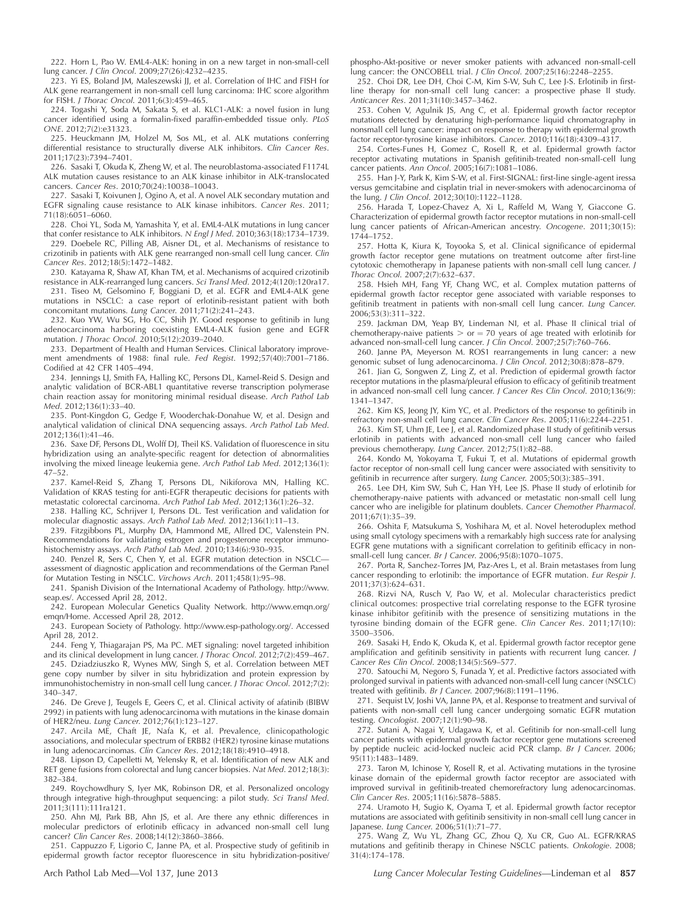222. Horn L, Pao W. EML4-ALK: honing in on a new target in non-small-cell lung cancer. J Clin Oncol. 2009;27(26):4232–4235.

223. Yi ES, Boland JM, Maleszewski JJ, et al. Correlation of IHC and FISH for ALK gene rearrangement in non-small cell lung carcinoma: IHC score algorithm for FISH. J Thorac Oncol. 2011;6(3):459–465.

224. Togashi Y, Soda M, Sakata S, et al. KLC1-ALK: a novel fusion in lung cancer identified using a formalin-fixed paraffin-embedded tissue only. PLoS ONE. 2012;7(2):e31323.

225. Heuckmann JM, Holzel M, Sos ML, et al. ALK mutations conferring differential resistance to structurally diverse ALK inhibitors. Clin Cancer Res. 2011;17(23):7394–7401.

226. Sasaki T, Okuda K, Zheng W, et al. The neuroblastoma-associated F1174L ALK mutation causes resistance to an ALK kinase inhibitor in ALK-translocated cancers. Cancer Res. 2010;70(24):10038–10043.

227. Sasaki T, Koivunen J, Ogino A, et al. A novel ALK secondary mutation and EGFR signaling cause resistance to ALK kinase inhibitors. Cancer Res. 2011; 71(18):6051–6060.

228. Choi YL, Soda M, Yamashita Y, et al. EML4-ALK mutations in lung cancer that confer resistance to ALK inhibitors. N Engl J Med. 2010;363(18):1734–1739.

229. Doebele RC, Pilling AB, Aisner DL, et al. Mechanisms of resistance to crizotinib in patients with ALK gene rearranged non-small cell lung cancer. Clin Cancer Res. 2012;18(5):1472–1482.

230. Katayama R, Shaw AT, Khan TM, et al. Mechanisms of acquired crizotinib resistance in ALK-rearranged lung cancers. Sci Transl Med. 2012;4(120):120ra17.

231. Tiseo M, Gelsomino F, Boggiani D, et al. EGFR and EML4-ALK gene mutations in NSCLC: a case report of erlotinib-resistant patient with both concomitant mutations. Lung Cancer. 2011;71(2):241–243.

232. Kuo YW, Wu SG, Ho CC, Shih JY. Good response to gefitinib in lung adenocarcinoma harboring coexisting EML4-ALK fusion gene and EGFR mutation. J Thorac Oncol. 2010;5(12):2039–2040.

233. Department of Health and Human Services. Clinical laboratory improvement amendments of 1988: final rule. Fed Regist. 1992;57(40):7001–7186. Codified at 42 CFR 1405–494.

234. Jennings LJ, Smith FA, Halling KC, Persons DL, Kamel-Reid S. Design and analytic validation of BCR-ABL1 quantitative reverse transcription polymerase chain reaction assay for monitoring minimal residual disease. Arch Pathol Lab Med. 2012;136(1):33–40.

235. Pont-Kingdon G, Gedge F, Wooderchak-Donahue W, et al. Design and analytical validation of clinical DNA sequencing assays. Arch Pathol Lab Med. 2012;136(1):41–46.

236. Saxe DF, Persons DL, Wolff DJ, Theil KS. Validation of fluorescence in situ hybridization using an analyte-specific reagent for detection of abnormalities involving the mixed lineage leukemia gene. Arch Pathol Lab Med. 2012;136(1): 47–52.

237. Kamel-Reid S, Zhang T, Persons DL, Nikiforova MN, Halling KC. Validation of KRAS testing for anti-EGFR therapeutic decisions for patients with metastatic colorectal carcinoma. Arch Pathol Lab Med. 2012;136(1):26–32.

238. Halling KC, Schrijver I, Persons DL. Test verification and validation for molecular diagnostic assays. Arch Pathol Lab Med. 2012;136(1):11–13.

239. Fitzgibbons PL, Murphy DA, Hammond ME, Allred DC, Valenstein PN. Recommendations for validating estrogen and progesterone receptor immunohistochemistry assays. Arch Pathol Lab Med. 2010;134(6):930-935.

240. Penzel R, Sers C, Chen Y, et al. EGFR mutation detection in NSCLC assessment of diagnostic application and recommendations of the German Panel for Mutation Testing in NSCLC. Virchows Arch. 2011;458(1):95–98.

241. Spanish Division of the International Academy of Pathology. http://www. seap.es/. Accessed April 28, 2012.

242. European Molecular Genetics Quality Network. http://www.emqn.org/ emqn/Home. Accessed April 28, 2012.

243. European Society of Pathology. http://www.esp-pathology.org/. Accessed April 28, 2012.

244. Feng Y, Thiagarajan PS, Ma PC. MET signaling: novel targeted inhibition and its clinical development in lung cancer. J Thorac Oncol. 2012;7(2):459-467.

245. Dziadziuszko R, Wynes MW, Singh S, et al. Correlation between MET gene copy number by silver in situ hybridization and protein expression by immunohistochemistry in non-small cell lung cancer. J Thorac Oncol. 2012;7(2): 340–347.

246. De Greve J, Teugels E, Geers C, et al. Clinical activity of afatinib (BIBW 2992) in patients with lung adenocarcinoma with mutations in the kinase domain of HER2/neu. Lung Cancer. 2012;76(1):123–127.

247. Arcila ME, Chaft JE, Nafa K, et al. Prevalence, clinicopathologic associations, and molecular spectrum of ERBB2 (HER2) tyrosine kinase mutations in lung adenocarcinomas. Clin Cancer Res. 2012;18(18):4910–4918.

248. Lipson D, Capelletti M, Yelensky R, et al. Identification of new ALK and RET gene fusions from colorectal and lung cancer biopsies. Nat Med. 2012;18(3): 382–384.

249. Roychowdhury S, Iyer MK, Robinson DR, et al. Personalized oncology through integrative high-throughput sequencing: a pilot study. Sci Transl Med. 2011;3(111):111ra121.

250. Ahn MJ, Park BB, Ahn JS, et al. Are there any ethnic differences in molecular predictors of erlotinib efficacy in advanced non-small cell lung cancer? Clin Cancer Res. 2008;14(12):3860–3866.

251. Cappuzzo F, Ligorio C, Janne PA, et al. Prospective study of gefitinib in epidermal growth factor receptor fluorescence in situ hybridization-positive/ phospho-Akt-positive or never smoker patients with advanced non-small-cell lung cancer: the ONCOBELL trial. J Clin Oncol. 2007;25(16):2248–2255.

252. Choi DR, Lee DH, Choi C-M, Kim S-W, Suh C, Lee J-S. Erlotinib in firstline therapy for non-small cell lung cancer: a prospective phase II study. Anticancer Res. 2011;31(10):3457–3462.

253. Cohen V, Agulnik JS, Ang C, et al. Epidermal growth factor receptor mutations detected by denaturing high-performance liquid chromatography in nonsmall cell lung cancer: impact on response to therapy with epidermal growth factor receptor-tyrosine kinase inhibitors. Cancer. 2010;116(18):4309–4317.

254. Cortes-Funes H, Gomez C, Rosell R, et al. Epidermal growth factor receptor activating mutations in Spanish gefitinib-treated non-small-cell lung cancer patients. Ann Oncol. 2005;16(7):1081–1086.

255. Han J-Y, Park K, Kim S-W, et al. First-SIGNAL: first-line single-agent iressa versus gemcitabine and cisplatin trial in never-smokers with adenocarcinoma of the lung. J Clin Oncol. 2012;30(10):1122–1128.

256. Harada T, Lopez-Chavez A, Xi L, Raffeld M, Wang Y, Giaccone G. Characterization of epidermal growth factor receptor mutations in non-small-cell lung cancer patients of African-American ancestry. Oncogene. 2011;30(15): 1744–1752.

257. Hotta K, Kiura K, Toyooka S, et al. Clinical significance of epidermal growth factor receptor gene mutations on treatment outcome after first-line cytotoxic chemotherapy in Japanese patients with non-small cell lung cancer. J Thorac Oncol. 2007;2(7):632–637.

258. Hsieh MH, Fang YF, Chang WC, et al. Complex mutation patterns of epidermal growth factor receptor gene associated with variable responses to gefitinib treatment in patients with non-small cell lung cancer. Lung Cancer. 2006;53(3):311–322.

259. Jackman DM, Yeap BY, Lindeman NI, et al. Phase II clinical trial of chemotherapy-naive patients  $>$  or  $=$  70 years of age treated with erlotinib for advanced non-small-cell lung cancer. J Clin Oncol. 2007;25(7):760–766.

260. Janne PA, Meyerson M. ROS1 rearrangements in lung cancer: a new genomic subset of lung adenocarcinoma. J Clin Oncol. 2012;30(8):878–879.

261. Jian G, Songwen Z, Ling Z, et al. Prediction of epidermal growth factor receptor mutations in the plasma/pleural effusion to efficacy of gefitinib treatment in advanced non-small cell lung cancer. J Cancer Res Clin Oncol. 2010;136(9): 1341–1347.

262. Kim KS, Jeong JY, Kim YC, et al. Predictors of the response to gefitinib in refractory non-small cell lung cancer. Clin Cancer Res. 2005;11(6):2244–2251.

263. Kim ST, Uhm JE, Lee J, et al. Randomized phase II study of gefitinib versus erlotinib in patients with advanced non-small cell lung cancer who failed previous chemotherapy. Lung Cancer. 2012;75(1):82–88.

264. Kondo M, Yokoyama T, Fukui T, et al. Mutations of epidermal growth factor receptor of non-small cell lung cancer were associated with sensitivity to gefitinib in recurrence after surgery. Lung Cancer. 2005;50(3):385–391.

265. Lee DH, Kim SW, Suh C, Han YH, Lee JS. Phase II study of erlotinib for chemotherapy-naive patients with advanced or metastatic non-small cell lung cancer who are ineligible for platinum doublets. Cancer Chemother Pharmacol. 2011;67(1):35–39.

266. Oshita F, Matsukuma S, Yoshihara M, et al. Novel heteroduplex method using small cytology specimens with a remarkably high success rate for analysing EGFR gene mutations with a significant correlation to gefitinib efficacy in nonsmall-cell lung cancer. Br J Cancer. 2006;95(8):1070–1075.

267. Porta R, Sanchez-Torres JM, Paz-Ares L, et al. Brain metastases from lung cancer responding to erlotinib: the importance of EGFR mutation. Eur Respir J. 2011;37(3):624–631.

268. Rizvi NA, Rusch V, Pao W, et al. Molecular characteristics predict clinical outcomes: prospective trial correlating response to the EGFR tyrosine kinase inhibitor gefitinib with the presence of sensitizing mutations in the tyrosine binding domain of the EGFR gene. Clin Cancer Res. 2011;17(10): 3500–3506.

269. Sasaki H, Endo K, Okuda K, et al. Epidermal growth factor receptor gene amplification and gefitinib sensitivity in patients with recurrent lung cancer. J Cancer Res Clin Oncol. 2008;134(5):569–577.

270. Satouchi M, Negoro S, Funada Y, et al. Predictive factors associated with prolonged survival in patients with advanced non-small-cell lung cancer (NSCLC) treated with gefitinib. Br J Cancer. 2007;96(8):1191–1196.

271. Sequist LV, Joshi VA, Janne PA, et al. Response to treatment and survival of patients with non-small cell lung cancer undergoing somatic EGFR mutation testing. Oncologist. 2007;12(1):90–98.

272. Sutani A, Nagai Y, Udagawa K, et al. Gefitinib for non-small-cell lung cancer patients with epidermal growth factor receptor gene mutations screened by peptide nucleic acid-locked nucleic acid PCR clamp. Br J Cancer. 2006; 95(11):1483–1489.

273. Taron M, Ichinose Y, Rosell R, et al. Activating mutations in the tyrosine kinase domain of the epidermal growth factor receptor are associated with improved survival in gefitinib-treated chemorefractory lung adenocarcinomas. Clin Cancer Res. 2005;11(16):5878–5885.

274. Uramoto H, Sugio K, Oyama T, et al. Epidermal growth factor receptor mutations are associated with gefitinib sensitivity in non-small cell lung cancer in Japanese. Lung Cancer. 2006;51(1):71–77.

275. Wang Z, Wu YL, Zhang GC, Zhou Q, Xu CR, Guo AL. EGFR/KRAS mutations and gefitinib therapy in Chinese NSCLC patients. Onkologie. 2008; 31(4):174–178.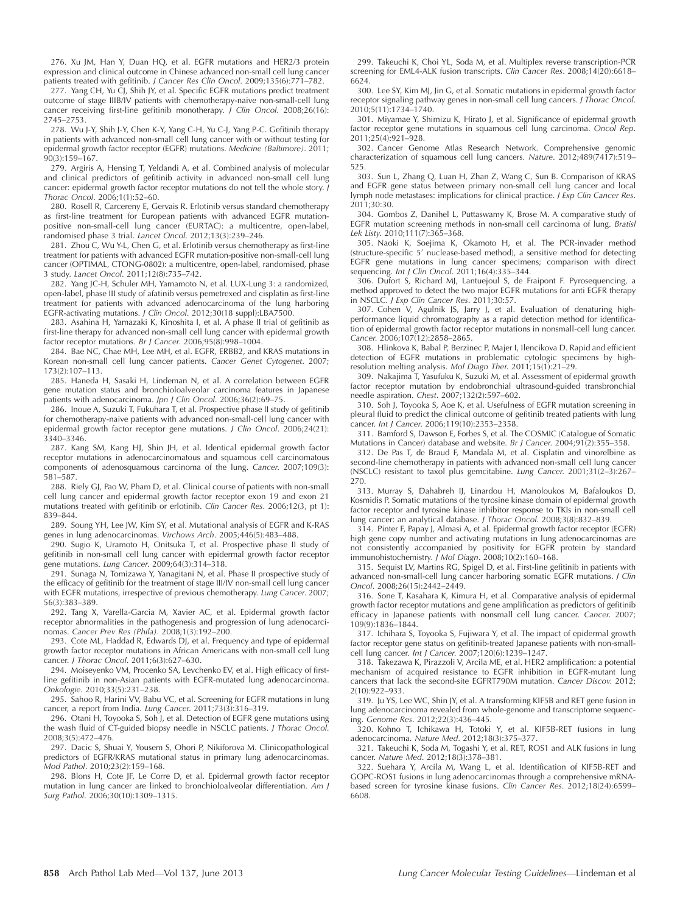276. Xu JM, Han Y, Duan HQ, et al. EGFR mutations and HER2/3 protein expression and clinical outcome in Chinese advanced non-small cell lung cancer patients treated with gefitinib. J Cancer Res Clin Oncol. 2009;135(6):771–782.

277. Yang CH, Yu CJ, Shih JY, et al. Specific EGFR mutations predict treatment outcome of stage IIIB/IV patients with chemotherapy-naive non-small-cell lung cancer receiving first-line gefitinib monotherapy. J Clin Oncol. 2008;26(16): 2745–2753.

278. Wu J-Y, Shih J-Y, Chen K-Y, Yang C-H, Yu C-J, Yang P-C. Gefitinib therapy in patients with advanced non-small cell lung cancer with or without testing for epidermal growth factor receptor (EGFR) mutations. Medicine (Baltimore). 2011; 90(3):159–167.

279. Argiris A, Hensing T, Yeldandi A, et al. Combined analysis of molecular and clinical predictors of gefitinib activity in advanced non-small cell lung cancer: epidermal growth factor receptor mutations do not tell the whole story. J Thorac Oncol. 2006;1(1):52–60.

280. Rosell R, Carcereny E, Gervais R. Erlotinib versus standard chemotherapy as first-line treatment for European patients with advanced EGFR mutationpositive non-small-cell lung cancer (EURTAC): a multicentre, open-label, randomised phase 3 trial. Lancet Oncol. 2012;13(3):239–246.

281. Zhou C, Wu Y-L, Chen G, et al. Erlotinib versus chemotherapy as first-line treatment for patients with advanced EGFR mutation-positive non-small-cell lung cancer (OPTIMAL, CTONG-0802): a multicentre, open-label, randomised, phase 3 study. Lancet Oncol. 2011;12(8):735–742.

282. Yang JC-H, Schuler MH, Yamamoto N, et al. LUX-Lung 3: a randomized, open-label, phase III study of afatinib versus pemetrexed and cisplatin as first-line treatment for patients with advanced adenocarcinoma of the lung harboring EGFR-activating mutations. J Clin Oncol. 2012;30(18 suppl):LBA7500.

283. Asahina H, Yamazaki K, Kinoshita I, et al. A phase II trial of gefitinib as first-line therapy for advanced non-small cell lung cancer with epidermal growth factor receptor mutations. Br J Cancer. 2006;95(8):998–1004.

284. Bae NC, Chae MH, Lee MH, et al. EGFR, ERBB2, and KRAS mutations in Korean non-small cell lung cancer patients. Cancer Genet Cytogenet. 2007; 173(2):107–113.

285. Haneda H, Sasaki H, Lindeman N, et al. A correlation between EGFR gene mutation status and bronchioloalveolar carcinoma features in Japanese patients with adenocarcinoma. Jpn J Clin Oncol. 2006;36(2):69–75.

286. Inoue A, Suzuki T, Fukuhara T, et al. Prospective phase II study of gefitinib for chemotherapy-naive patients with advanced non-small-cell lung cancer with epidermal growth factor receptor gene mutations. J Clin Oncol. 2006;24(21): 3340–3346.

287. Kang SM, Kang HJ, Shin JH, et al. Identical epidermal growth factor receptor mutations in adenocarcinomatous and squamous cell carcinomatous components of adenosquamous carcinoma of the lung. Cancer. 2007;109(3): 581–587.

288. Riely GJ, Pao W, Pham D, et al. Clinical course of patients with non-small cell lung cancer and epidermal growth factor receptor exon 19 and exon 21 mutations treated with gefitinib or erlotinib. Clin Cancer Res. 2006;12(3, pt 1): 839–844.

289. Soung YH, Lee JW, Kim SY, et al. Mutational analysis of EGFR and K-RAS genes in lung adenocarcinomas. Virchows Arch. 2005;446(5):483–488.

290. Sugio K, Uramoto H, Onitsuka T, et al. Prospective phase II study of gefitinib in non-small cell lung cancer with epidermal growth factor receptor gene mutations. Lung Cancer. 2009;64(3):314–318.

291. Sunaga N, Tomizawa Y, Yanagitani N, et al. Phase II prospective study of the efficacy of gefitinib for the treatment of stage III/IV non-small cell lung cancer with EGFR mutations, irrespective of previous chemotherapy. Lung Cancer. 2007; 56(3):383–389.

292. Tang X, Varella-Garcia M, Xavier AC, et al. Epidermal growth factor receptor abnormalities in the pathogenesis and progression of lung adenocarcinomas. Cancer Prev Res (Phila). 2008;1(3):192–200.

293. Cote ML, Haddad R, Edwards DJ, et al. Frequency and type of epidermal growth factor receptor mutations in African Americans with non-small cell lung cancer. J Thorac Oncol. 2011;6(3):627–630.

294. Moiseyenko VM, Procenko SA, Levchenko EV, et al. High efficacy of firstline gefitinib in non-Asian patients with EGFR-mutated lung adenocarcinoma. Onkologie. 2010;33(5):231–238.

295. Sahoo R, Harini VV, Babu VC, et al. Screening for EGFR mutations in lung cancer, a report from India. Lung Cancer. 2011;73(3):316–319.

296. Otani H, Toyooka S, Soh J, et al. Detection of EGFR gene mutations using the wash fluid of CT-guided biopsy needle in NSCLC patients. J Thorac Oncol. 2008;3(5):472–476.

297. Dacic S, Shuai Y, Yousem S, Ohori P, Nikiforova M. Clinicopathological predictors of EGFR/KRAS mutational status in primary lung adenocarcinomas. Mod Pathol. 2010;23(2):159–168.

298. Blons H, Cote JF, Le Corre D, et al. Epidermal growth factor receptor mutation in lung cancer are linked to bronchioloalveolar differentiation. Am J Surg Pathol. 2006;30(10):1309–1315.

299. Takeuchi K, Choi YL, Soda M, et al. Multiplex reverse transcription-PCR screening for EML4-ALK fusion transcripts. Clin Cancer Res. 2008;14(20):6618– 6624.

300. Lee SY, Kim MJ, Jin G, et al. Somatic mutations in epidermal growth factor receptor signaling pathway genes in non-small cell lung cancers. J Thorac Oncol. 2010;5(11):1734–1740.

301. Miyamae Y, Shimizu K, Hirato J, et al. Significance of epidermal growth factor receptor gene mutations in squamous cell lung carcinoma. Oncol Rep. 2011;25(4):921–928.

302. Cancer Genome Atlas Research Network. Comprehensive genomic characterization of squamous cell lung cancers. Nature. 2012;489(7417):519– 525.

303. Sun L, Zhang Q, Luan H, Zhan Z, Wang C, Sun B. Comparison of KRAS and EGFR gene status between primary non-small cell lung cancer and local lymph node metastases: implications for clinical practice. J Exp Clin Cancer Res. 2011;30:30.

304. Gombos Z, Danihel L, Puttaswamy K, Brose M. A comparative study of EGFR mutation screening methods in non-small cell carcinoma of lung. Bratisl Lek Listy. 2010;111(7):365–368.

305. Naoki K, Soejima K, Okamoto H, et al. The PCR-invader method (structure-specific 5' nuclease-based method), a sensitive method for detecting EGFR gene mutations in lung cancer specimens; comparison with direct sequencing. Int J Clin Oncol. 2011;16(4):335–344.

306. Dufort S, Richard MJ, Lantuejoul S, de Fraipont F. Pyrosequencing, a method approved to detect the two major EGFR mutations for anti EGFR therapy in NSCLC. J Exp Clin Cancer Res. 2011;30:57.

307. Cohen V, Agulnik JS, Jarry J, et al. Evaluation of denaturing highperformance liquid chromatography as a rapid detection method for identification of epidermal growth factor receptor mutations in nonsmall-cell lung cancer. Cancer. 2006;107(12):2858–2865.

308. Hlinkova K, Babal P, Berzinec P, Majer I, Ilencikova D. Rapid and efficient detection of EGFR mutations in problematic cytologic specimens by highresolution melting analysis. Mol Diagn Ther. 2011;15(1):21–29.

309. Nakajima T, Yasufuku K, Suzuki M, et al. Assessment of epidermal growth factor receptor mutation by endobronchial ultrasound-guided transbronchial needle aspiration. Chest. 2007;132(2):597–602.

310. Soh J, Toyooka S, Aoe K, et al. Usefulness of EGFR mutation screening in pleural fluid to predict the clinical outcome of gefitinib treated patients with lung cancer. Int J Cancer. 2006;119(10):2353–2358.

311. Bamford S, Dawson E, Forbes S, et al. The COSMIC (Catalogue of Somatic Mutations in Cancer) database and website. Br J Cancer. 2004;91(2):355–358.

312. De Pas T, de Braud F, Mandala M, et al. Cisplatin and vinorelbine as second-line chemotherapy in patients with advanced non-small cell lung cancer (NSCLC) resistant to taxol plus gemcitabine. Lung Cancer. 2001;31(2–3):267– 270.

313. Murray S, Dahabreh IJ, Linardou H, Manoloukos M, Bafaloukos D, Kosmidis P. Somatic mutations of the tyrosine kinase domain of epidermal growth factor receptor and tyrosine kinase inhibitor response to TKIs in non-small cell lung cancer: an analytical database. J Thorac Oncol. 2008;3(8):832–839.

314. Pinter F, Papay J, Almasi A, et al. Epidermal growth factor receptor (EGFR) high gene copy number and activating mutations in lung adenocarcinomas are not consistently accompanied by positivity for EGFR protein by standard immunohistochemistry. J Mol Diagn. 2008;10(2):160–168.

315. Sequist LV, Martins RG, Spigel D, et al. First-line gefitinib in patients with advanced non-small-cell lung cancer harboring somatic EGFR mutations. J Clin Oncol. 2008;26(15):2442–2449.

316. Sone T, Kasahara K, Kimura H, et al. Comparative analysis of epidermal growth factor receptor mutations and gene amplification as predictors of gefitinib efficacy in Japanese patients with nonsmall cell lung cancer. Cancer. 2007; 109(9):1836–1844.

317. Ichihara S, Toyooka S, Fujiwara Y, et al. The impact of epidermal growth factor receptor gene status on gefitinib-treated Japanese patients with non-smallcell lung cancer. Int J Cancer. 2007;120(6):1239–1247.

318. Takezawa K, Pirazzoli V, Arcila ME, et al. HER2 amplification: a potential mechanism of acquired resistance to EGFR inhibition in EGFR-mutant lung cancers that lack the second-site EGFRT790M mutation. Cancer Discov. 2012; 2(10):922–933.

319. Ju YS, Lee WC, Shin JY, et al. A transforming KIF5B and RET gene fusion in lung adenocarcinoma revealed from whole-genome and transcriptome sequencing. Genome Res. 2012;22(3):436–445.

320. Kohno T, Ichikawa H, Totoki Y, et al. KIF5B-RET fusions in lung adenocarcinoma. Nature Med. 2012;18(3):375–377.

321. Takeuchi K, Soda M, Togashi Y, et al. RET, ROS1 and ALK fusions in lung cancer. Nature Med. 2012;18(3):378–381.

322. Suehara Y, Arcila M, Wang L, et al. Identification of KIF5B-RET and GOPC-ROS1 fusions in lung adenocarcinomas through a comprehensive mRNAbased screen for tyrosine kinase fusions. Clin Cancer Res. 2012;18(24):6599– 6608.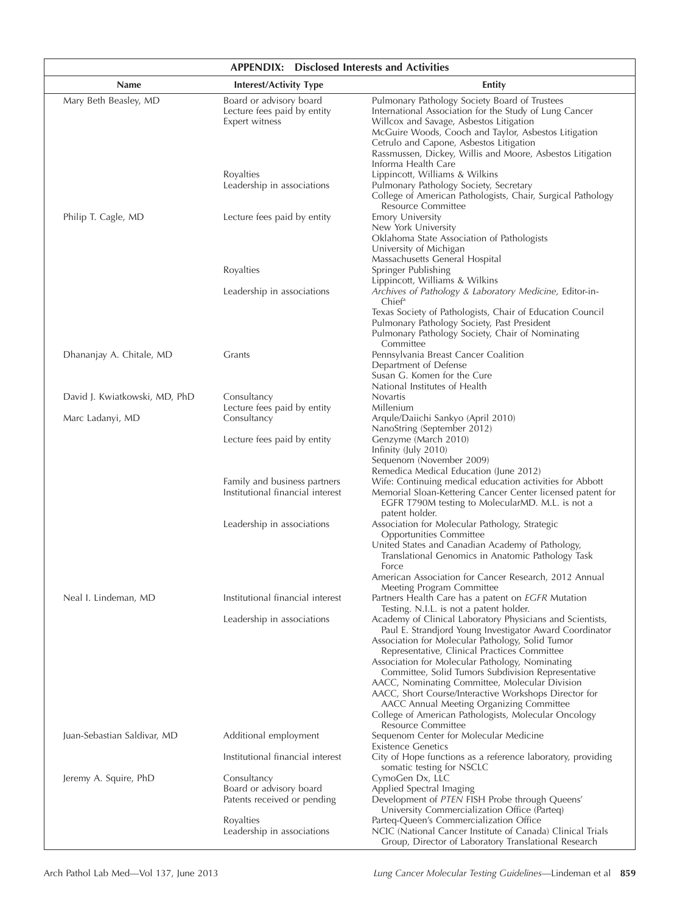| <b>APPENDIX:</b> Disclosed Interests and Activities |                                                                                       |                                                                                                                                                                                                                                                                                                                                                                                                                                                                                                                                                                               |  |  |  |
|-----------------------------------------------------|---------------------------------------------------------------------------------------|-------------------------------------------------------------------------------------------------------------------------------------------------------------------------------------------------------------------------------------------------------------------------------------------------------------------------------------------------------------------------------------------------------------------------------------------------------------------------------------------------------------------------------------------------------------------------------|--|--|--|
| Name                                                | <b>Interest/Activity Type</b>                                                         | <b>Entity</b>                                                                                                                                                                                                                                                                                                                                                                                                                                                                                                                                                                 |  |  |  |
| Mary Beth Beasley, MD                               | Board or advisory board<br>Lecture fees paid by entity<br>Expert witness<br>Royalties | Pulmonary Pathology Society Board of Trustees<br>International Association for the Study of Lung Cancer<br>Willcox and Savage, Asbestos Litigation<br>McGuire Woods, Cooch and Taylor, Asbestos Litigation<br>Cetrulo and Capone, Asbestos Litigation<br>Rassmussen, Dickey, Willis and Moore, Asbestos Litigation<br>Informa Health Care<br>Lippincott, Williams & Wilkins                                                                                                                                                                                                   |  |  |  |
|                                                     | Leadership in associations                                                            | Pulmonary Pathology Society, Secretary<br>College of American Pathologists, Chair, Surgical Pathology<br><b>Resource Committee</b>                                                                                                                                                                                                                                                                                                                                                                                                                                            |  |  |  |
| Philip T. Cagle, MD                                 | Lecture fees paid by entity                                                           | <b>Emory University</b><br>New York University<br>Oklahoma State Association of Pathologists<br>University of Michigan<br>Massachusetts General Hospital                                                                                                                                                                                                                                                                                                                                                                                                                      |  |  |  |
|                                                     | Royalties                                                                             | Springer Publishing<br>Lippincott, Williams & Wilkins                                                                                                                                                                                                                                                                                                                                                                                                                                                                                                                         |  |  |  |
|                                                     | Leadership in associations                                                            | Archives of Pathology & Laboratory Medicine, Editor-in-<br>Chief <sup>a</sup><br>Texas Society of Pathologists, Chair of Education Council                                                                                                                                                                                                                                                                                                                                                                                                                                    |  |  |  |
| Dhananjay A. Chitale, MD                            | Grants                                                                                | Pulmonary Pathology Society, Past President<br>Pulmonary Pathology Society, Chair of Nominating<br>Committee<br>Pennsylvania Breast Cancer Coalition                                                                                                                                                                                                                                                                                                                                                                                                                          |  |  |  |
|                                                     |                                                                                       | Department of Defense<br>Susan G. Komen for the Cure<br>National Institutes of Health                                                                                                                                                                                                                                                                                                                                                                                                                                                                                         |  |  |  |
| David J. Kwiatkowski, MD, PhD                       | Consultancy                                                                           | <b>Novartis</b>                                                                                                                                                                                                                                                                                                                                                                                                                                                                                                                                                               |  |  |  |
| Marc Ladanyi, MD                                    | Lecture fees paid by entity<br>Consultancy                                            | Millenium<br>Arqule/Daiichi Sankyo (April 2010)<br>NanoString (September 2012)                                                                                                                                                                                                                                                                                                                                                                                                                                                                                                |  |  |  |
|                                                     | Lecture fees paid by entity                                                           | Genzyme (March 2010)<br>Infinity (July 2010)<br>Sequenom (November 2009)<br>Remedica Medical Education (June 2012)                                                                                                                                                                                                                                                                                                                                                                                                                                                            |  |  |  |
|                                                     | Family and business partners<br>Institutional financial interest                      | Wife: Continuing medical education activities for Abbott<br>Memorial Sloan-Kettering Cancer Center licensed patent for<br>EGFR T790M testing to MolecularMD. M.L. is not a<br>patent holder.                                                                                                                                                                                                                                                                                                                                                                                  |  |  |  |
|                                                     | Leadership in associations                                                            | Association for Molecular Pathology, Strategic<br>Opportunities Committee<br>United States and Canadian Academy of Pathology,<br>Translational Genomics in Anatomic Pathology Task<br>Force<br>American Association for Cancer Research, 2012 Annual                                                                                                                                                                                                                                                                                                                          |  |  |  |
| Neal I. Lindeman, MD                                | Institutional financial interest                                                      | Meeting Program Committee<br>Partners Health Care has a patent on EGFR Mutation<br>Testing. N.I.L. is not a patent holder.                                                                                                                                                                                                                                                                                                                                                                                                                                                    |  |  |  |
|                                                     | Leadership in associations                                                            | Academy of Clinical Laboratory Physicians and Scientists,<br>Paul E. Strandjord Young Investigator Award Coordinator<br>Association for Molecular Pathology, Solid Tumor<br>Representative, Clinical Practices Committee<br>Association for Molecular Pathology, Nominating<br>Committee, Solid Tumors Subdivision Representative<br>AACC, Nominating Committee, Molecular Division<br>AACC, Short Course/Interactive Workshops Director for<br>AACC Annual Meeting Organizing Committee<br>College of American Pathologists, Molecular Oncology<br><b>Resource Committee</b> |  |  |  |
| Juan-Sebastian Saldivar, MD                         | Additional employment                                                                 | Sequenom Center for Molecular Medicine<br><b>Existence Genetics</b>                                                                                                                                                                                                                                                                                                                                                                                                                                                                                                           |  |  |  |
|                                                     | Institutional financial interest                                                      | City of Hope functions as a reference laboratory, providing<br>somatic testing for NSCLC                                                                                                                                                                                                                                                                                                                                                                                                                                                                                      |  |  |  |
| Jeremy A. Squire, PhD                               | Consultancy<br>Board or advisory board<br>Patents received or pending<br>Royalties    | CymoGen Dx, LLC<br>Applied Spectral Imaging<br>Development of PTEN FISH Probe through Queens'<br>University Commercialization Office (Parteq)<br>Parteq-Queen's Commercialization Office                                                                                                                                                                                                                                                                                                                                                                                      |  |  |  |
|                                                     | Leadership in associations                                                            | NCIC (National Cancer Institute of Canada) Clinical Trials<br>Group, Director of Laboratory Translational Research                                                                                                                                                                                                                                                                                                                                                                                                                                                            |  |  |  |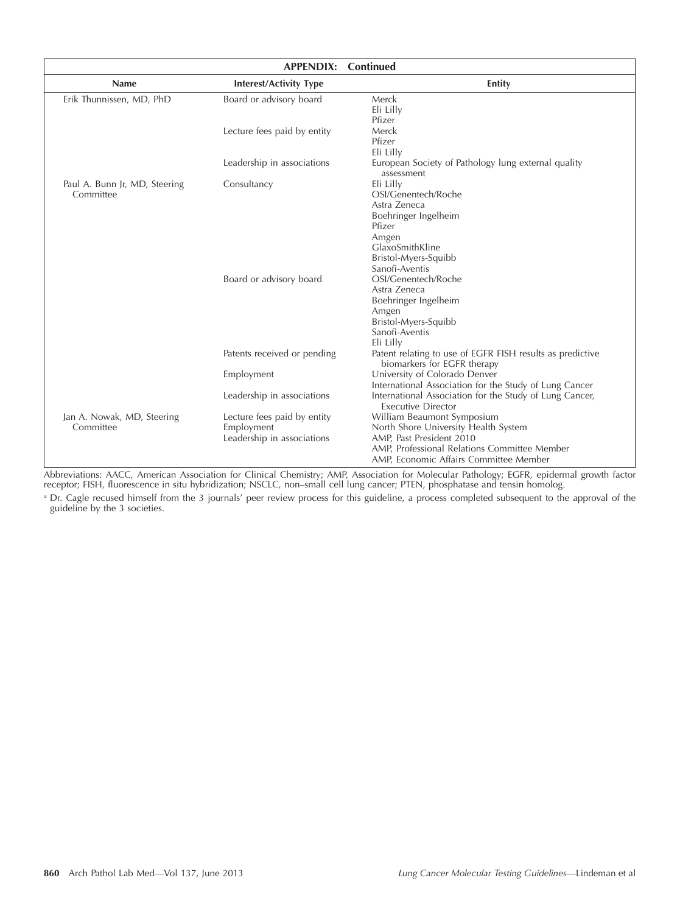| <b>APPENDIX:</b><br>Continued              |                                                                         |                                                                                                                                                                                                 |  |  |  |
|--------------------------------------------|-------------------------------------------------------------------------|-------------------------------------------------------------------------------------------------------------------------------------------------------------------------------------------------|--|--|--|
| Name                                       | <b>Interest/Activity Type</b>                                           | Entity                                                                                                                                                                                          |  |  |  |
| Erik Thunnissen, MD, PhD                   | Board or advisory board                                                 | Merck<br>Eli Lilly<br>Pfizer                                                                                                                                                                    |  |  |  |
|                                            | Lecture fees paid by entity                                             | Merck<br>Pfizer<br>Eli Lilly                                                                                                                                                                    |  |  |  |
|                                            | Leadership in associations                                              | European Society of Pathology lung external quality<br>assessment                                                                                                                               |  |  |  |
| Paul A. Bunn Jr, MD, Steering<br>Committee | Consultancy<br>Board or advisory board                                  | Eli Lilly<br>OSI/Genentech/Roche<br>Astra Zeneca<br>Boehringer Ingelheim<br>Pfizer<br>Amgen<br>GlaxoSmithKline<br>Bristol-Myers-Squibb<br>Sanofi-Aventis<br>OSI/Genentech/Roche<br>Astra Zeneca |  |  |  |
|                                            | Patents received or pending                                             | Boehringer Ingelheim<br>Amgen<br>Bristol-Myers-Squibb<br>Sanofi-Aventis<br>Eli Lilly<br>Patent relating to use of EGFR FISH results as predictive                                               |  |  |  |
|                                            | Employment                                                              | biomarkers for EGFR therapy<br>University of Colorado Denver                                                                                                                                    |  |  |  |
|                                            | Leadership in associations                                              | International Association for the Study of Lung Cancer<br>International Association for the Study of Lung Cancer,<br><b>Executive Director</b>                                                  |  |  |  |
| Jan A. Nowak, MD, Steering<br>Committee    | Lecture fees paid by entity<br>Employment<br>Leadership in associations | William Beaumont Symposium<br>North Shore University Health System<br>AMP, Past President 2010<br>AMP, Professional Relations Committee Member<br>AMP, Economic Affairs Committee Member        |  |  |  |

Abbreviations: AACC, American Association for Clinical Chemistry; AMP, Association for Molecular Pathology; EGFR, epidermal growth factor receptor; FISH, fluorescence in situ hybridization; NSCLC, non–small cell lung cancer; PTEN, phosphatase and tensin homolog.

<sup>a</sup> Dr. Cagle recused himself from the 3 journals' peer review process for this guideline, a process completed subsequent to the approval of the guideline by the 3 societies.